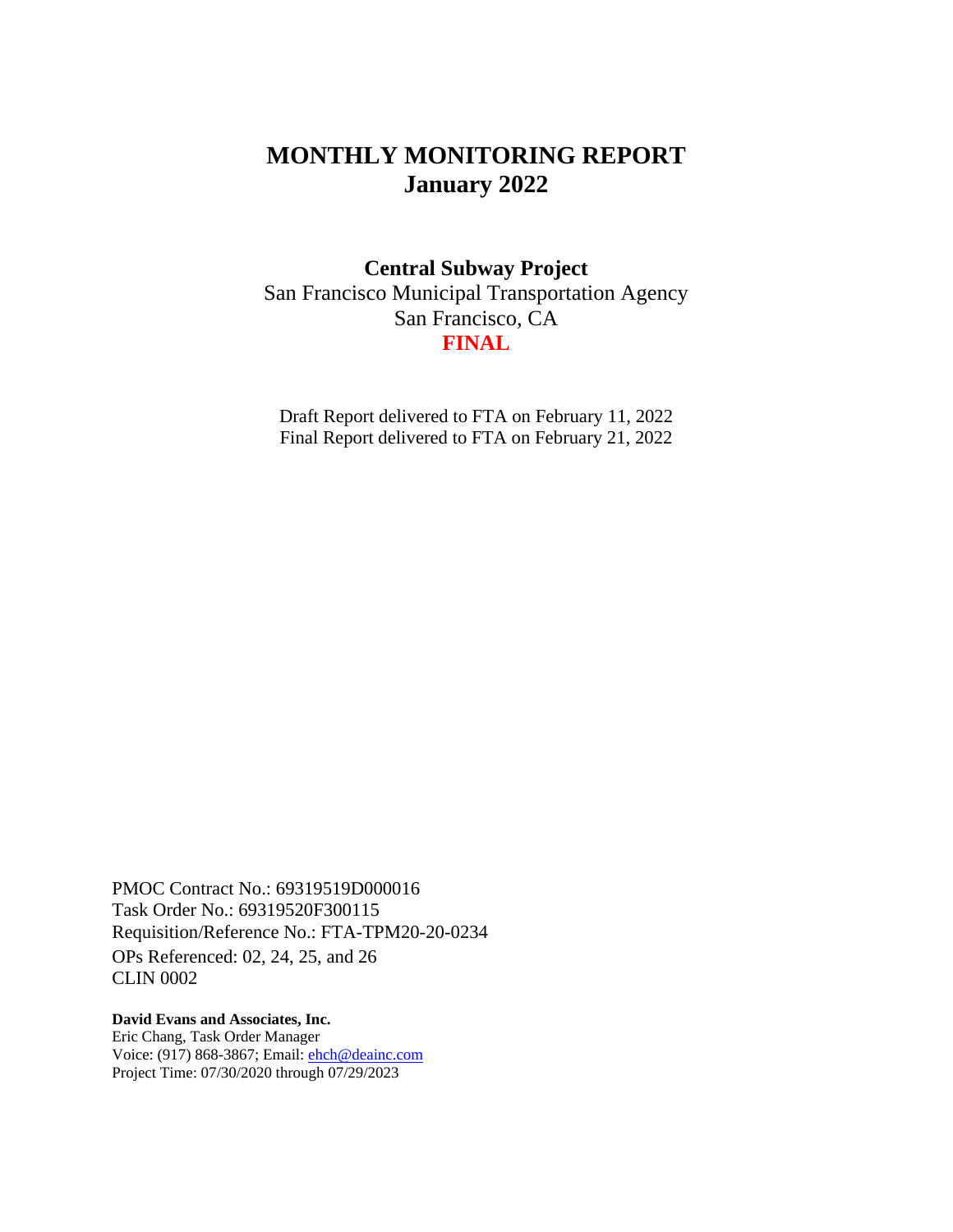# **MONTHLY MONITORING REPORT January 2022**

### **Central Subway Project**

San Francisco Municipal Transportation Agency San Francisco, CA **FINAL**

Draft Report delivered to FTA on February 11, 2022 Final Report delivered to FTA on February 21, 2022

PMOC Contract No.: 69319519D000016 Task Order No.: 69319520F300115 Requisition/Reference No.: FTA-TPM20-20-0234 OPs Referenced: 02, 24, 25, and 26 CLIN 0002

**David Evans and Associates, Inc.**  Eric Chang, Task Order Manager Voice: (917) 868-3867; Email: [ehch@deainc.com](mailto:ehch@deainc.com) Project Time: 07/30/2020 through 07/29/2023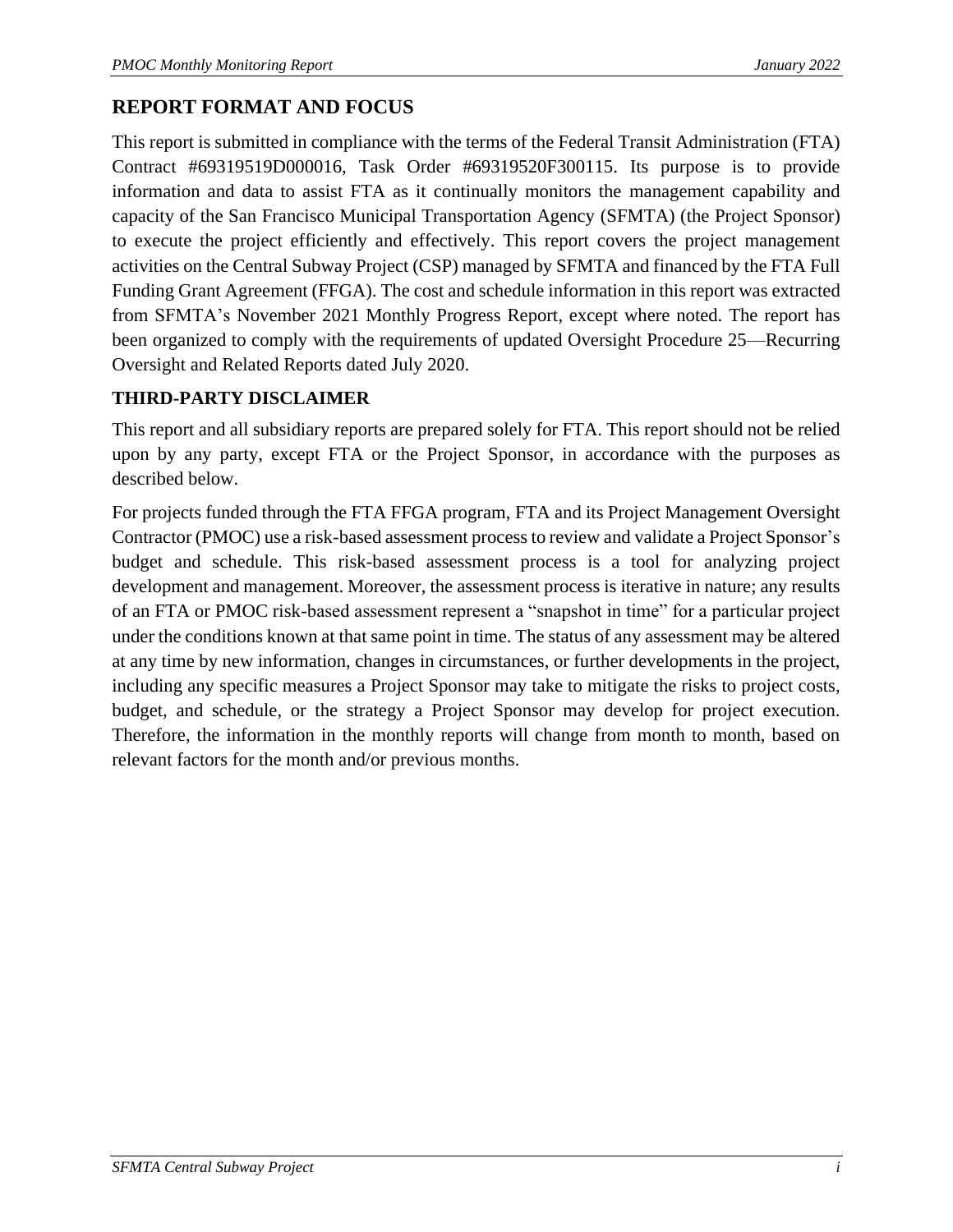## **REPORT FORMAT AND FOCUS**

This report is submitted in compliance with the terms of the Federal Transit Administration (FTA) Contract #69319519D000016, Task Order #69319520F300115. Its purpose is to provide information and data to assist FTA as it continually monitors the management capability and capacity of the San Francisco Municipal Transportation Agency (SFMTA) (the Project Sponsor) to execute the project efficiently and effectively. This report covers the project management activities on the Central Subway Project (CSP) managed by SFMTA and financed by the FTA Full Funding Grant Agreement (FFGA). The cost and schedule information in this report was extracted from SFMTA's November 2021 Monthly Progress Report, except where noted. The report has been organized to comply with the requirements of updated Oversight Procedure 25—Recurring Oversight and Related Reports dated July 2020.

## **THIRD-PARTY DISCLAIMER**

This report and all subsidiary reports are prepared solely for FTA. This report should not be relied upon by any party, except FTA or the Project Sponsor, in accordance with the purposes as described below.

For projects funded through the FTA FFGA program, FTA and its Project Management Oversight Contractor (PMOC) use a risk-based assessment process to review and validate a Project Sponsor's budget and schedule. This risk-based assessment process is a tool for analyzing project development and management. Moreover, the assessment process is iterative in nature; any results of an FTA or PMOC risk-based assessment represent a "snapshot in time" for a particular project under the conditions known at that same point in time. The status of any assessment may be altered at any time by new information, changes in circumstances, or further developments in the project, including any specific measures a Project Sponsor may take to mitigate the risks to project costs, budget, and schedule, or the strategy a Project Sponsor may develop for project execution. Therefore, the information in the monthly reports will change from month to month, based on relevant factors for the month and/or previous months.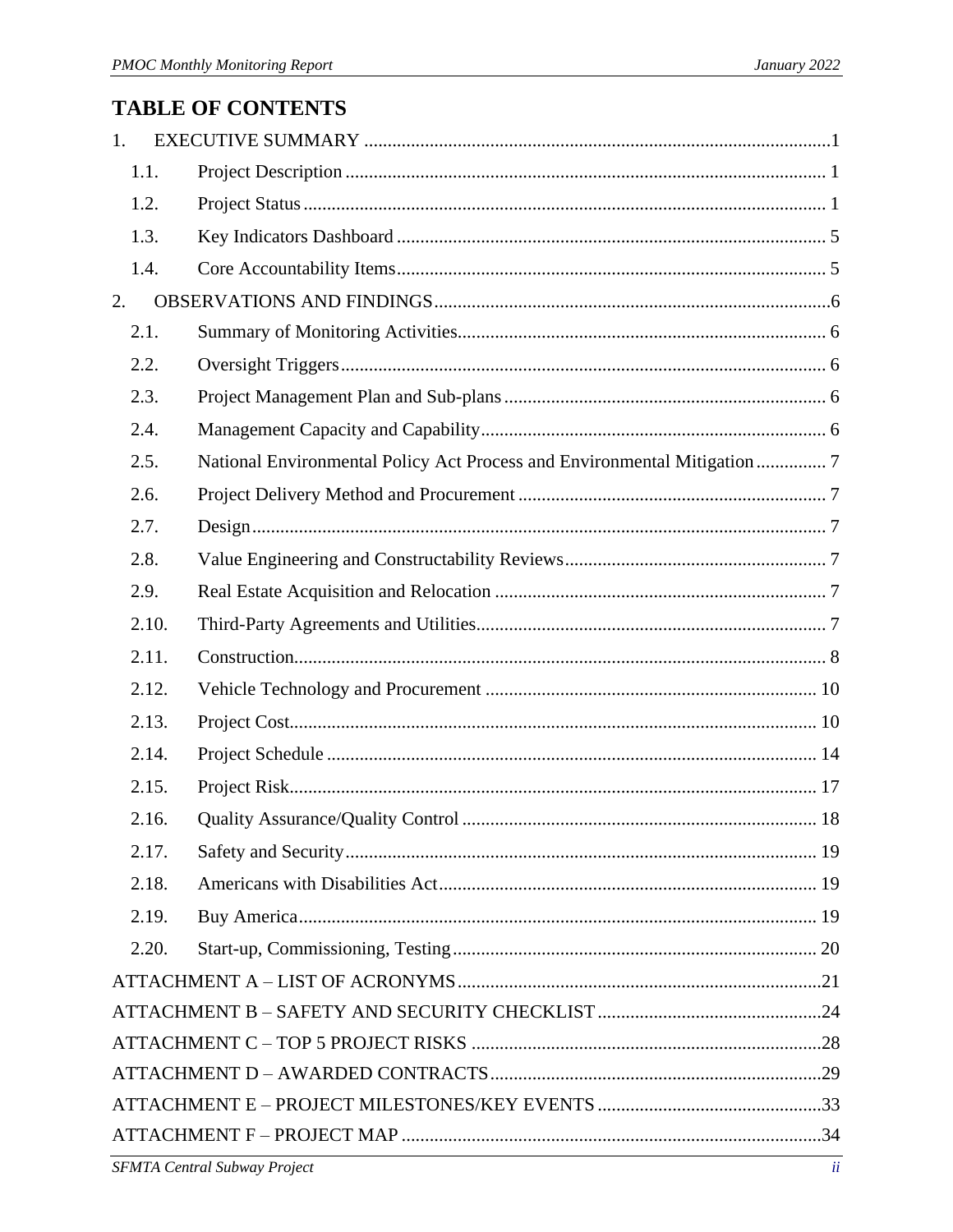# **TABLE OF CONTENTS**

| 1. |       |                                                                           |  |  |  |  |  |
|----|-------|---------------------------------------------------------------------------|--|--|--|--|--|
|    | 1.1.  |                                                                           |  |  |  |  |  |
|    | 1.2.  |                                                                           |  |  |  |  |  |
|    | 1.3.  |                                                                           |  |  |  |  |  |
|    | 1.4.  |                                                                           |  |  |  |  |  |
| 2. |       |                                                                           |  |  |  |  |  |
|    | 2.1.  |                                                                           |  |  |  |  |  |
|    | 2.2.  |                                                                           |  |  |  |  |  |
|    | 2.3.  |                                                                           |  |  |  |  |  |
|    | 2.4.  |                                                                           |  |  |  |  |  |
|    | 2.5.  | National Environmental Policy Act Process and Environmental Mitigation  7 |  |  |  |  |  |
|    | 2.6.  |                                                                           |  |  |  |  |  |
|    | 2.7.  |                                                                           |  |  |  |  |  |
|    | 2.8.  |                                                                           |  |  |  |  |  |
|    | 2.9.  |                                                                           |  |  |  |  |  |
|    | 2.10. |                                                                           |  |  |  |  |  |
|    | 2.11. |                                                                           |  |  |  |  |  |
|    | 2.12. |                                                                           |  |  |  |  |  |
|    | 2.13. |                                                                           |  |  |  |  |  |
|    | 2.14. |                                                                           |  |  |  |  |  |
|    | 2.15. |                                                                           |  |  |  |  |  |
|    | 2.16. |                                                                           |  |  |  |  |  |
|    | 2.17. |                                                                           |  |  |  |  |  |
|    | 2.18. |                                                                           |  |  |  |  |  |
|    | 2.19. |                                                                           |  |  |  |  |  |
|    | 2.20. |                                                                           |  |  |  |  |  |
|    |       |                                                                           |  |  |  |  |  |
|    |       |                                                                           |  |  |  |  |  |
|    |       |                                                                           |  |  |  |  |  |
|    |       |                                                                           |  |  |  |  |  |
|    |       |                                                                           |  |  |  |  |  |
|    |       |                                                                           |  |  |  |  |  |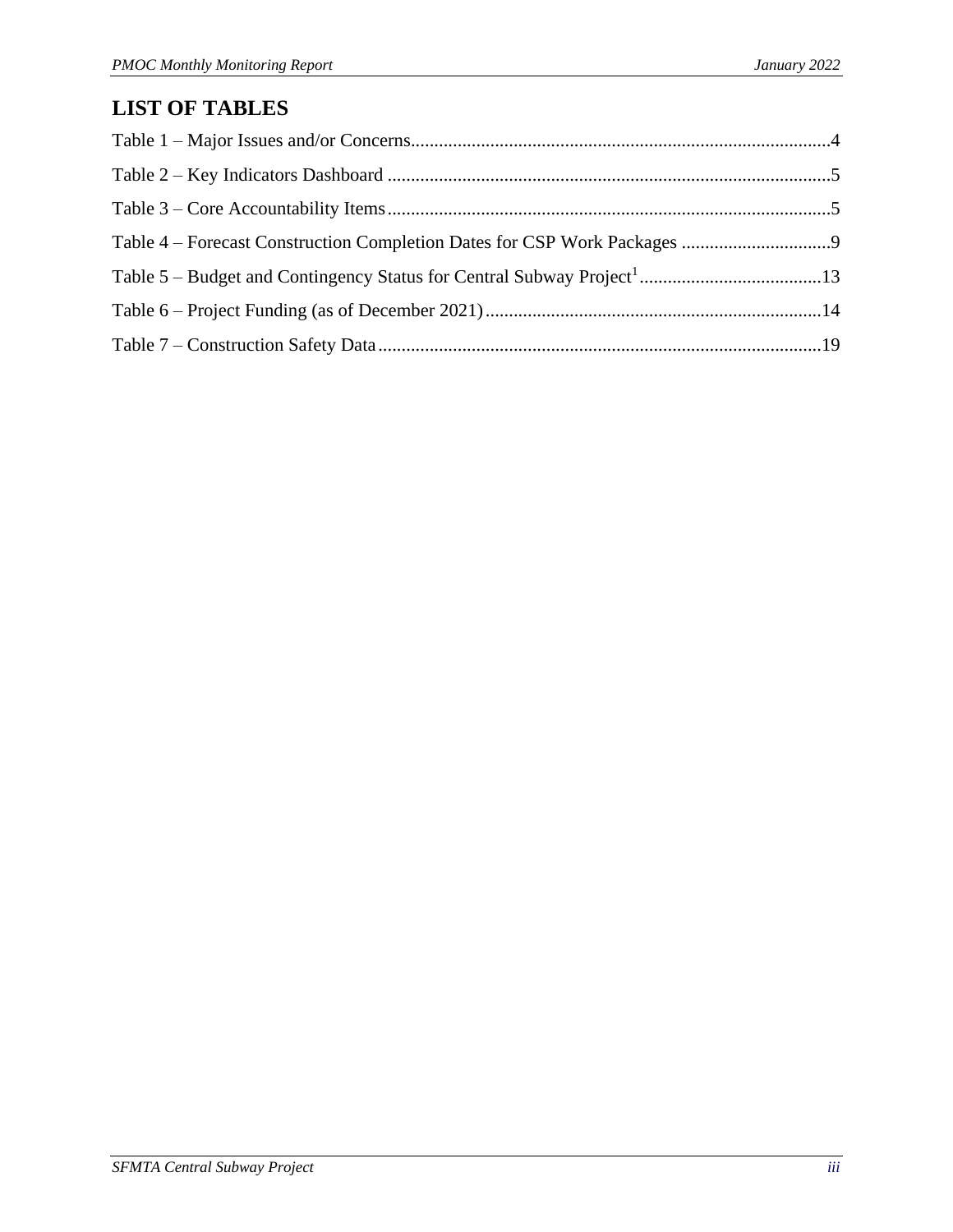# **LIST OF TABLES**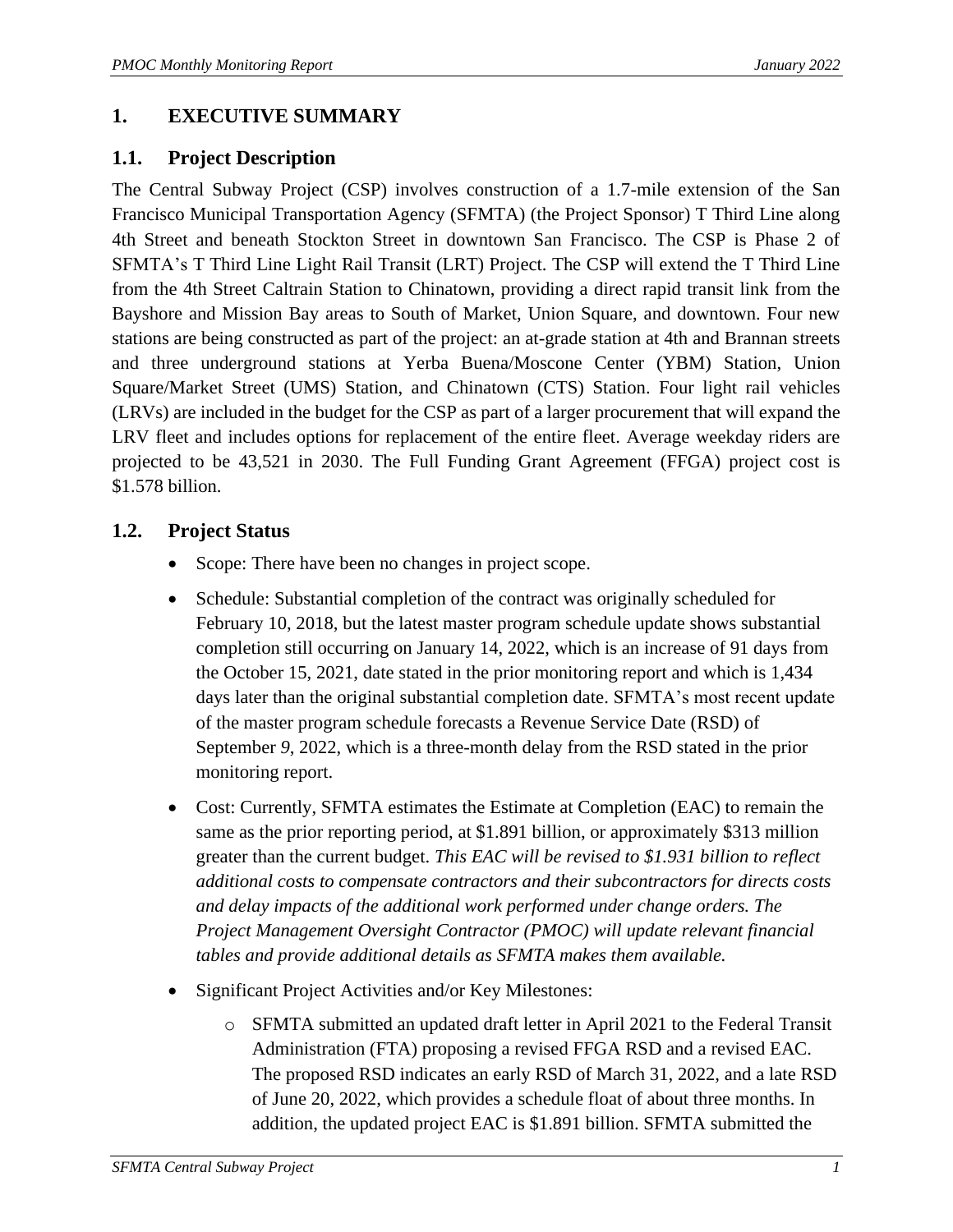## <span id="page-4-0"></span>**1. EXECUTIVE SUMMARY**

### <span id="page-4-1"></span>**1.1. Project Description**

The Central Subway Project (CSP) involves construction of a 1.7-mile extension of the San Francisco Municipal Transportation Agency (SFMTA) (the Project Sponsor) T Third Line along 4th Street and beneath Stockton Street in downtown San Francisco. The CSP is Phase 2 of SFMTA's T Third Line Light Rail Transit (LRT) Project. The CSP will extend the T Third Line from the 4th Street Caltrain Station to Chinatown, providing a direct rapid transit link from the Bayshore and Mission Bay areas to South of Market, Union Square, and downtown. Four new stations are being constructed as part of the project: an at-grade station at 4th and Brannan streets and three underground stations at Yerba Buena/Moscone Center (YBM) Station, Union Square/Market Street (UMS) Station, and Chinatown (CTS) Station. Four light rail vehicles (LRVs) are included in the budget for the CSP as part of a larger procurement that will expand the LRV fleet and includes options for replacement of the entire fleet. Average weekday riders are projected to be 43,521 in 2030. The Full Funding Grant Agreement (FFGA) project cost is \$1.578 billion.

## <span id="page-4-2"></span>**1.2. Project Status**

- Scope: There have been no changes in project scope.
- Schedule: Substantial completion of the contract was originally scheduled for February 10, 2018, but the latest master program schedule update shows substantial completion still occurring on January 14, 2022, which is an increase of 91 days from the October 15, 2021, date stated in the prior monitoring report and which is 1,434 days later than the original substantial completion date. SFMTA's most recent update of the master program schedule forecasts a Revenue Service Date (RSD) of September *9*, 2022, which is a three-month delay from the RSD stated in the prior monitoring report.
- Cost: Currently, SFMTA estimates the Estimate at Completion (EAC) to remain the same as the prior reporting period, at \$1.891 billion, or approximately \$313 million greater than the current budget. *This EAC will be revised to \$1.931 billion to reflect additional costs to compensate contractors and their subcontractors for directs costs and delay impacts of the additional work performed under change orders. The Project Management Oversight Contractor (PMOC) will update relevant financial tables and provide additional details as SFMTA makes them available.*
- Significant Project Activities and/or Key Milestones:
	- o SFMTA submitted an updated draft letter in April 2021 to the Federal Transit Administration (FTA) proposing a revised FFGA RSD and a revised EAC. The proposed RSD indicates an early RSD of March 31, 2022, and a late RSD of June 20, 2022, which provides a schedule float of about three months. In addition, the updated project EAC is \$1.891 billion. SFMTA submitted the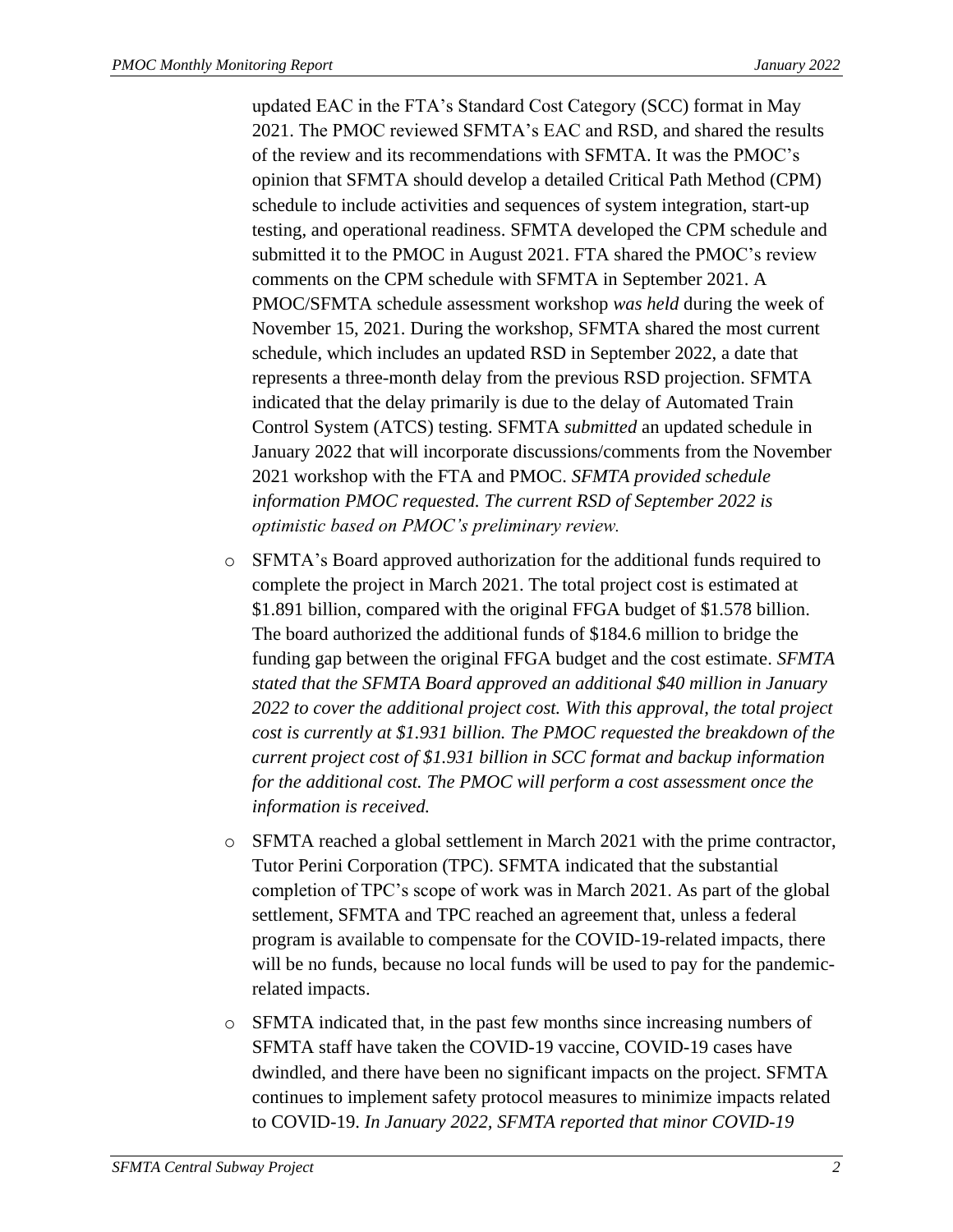updated EAC in the FTA's Standard Cost Category (SCC) format in May 2021. The PMOC reviewed SFMTA's EAC and RSD, and shared the results of the review and its recommendations with SFMTA. It was the PMOC's opinion that SFMTA should develop a detailed Critical Path Method (CPM) schedule to include activities and sequences of system integration, start-up testing, and operational readiness. SFMTA developed the CPM schedule and submitted it to the PMOC in August 2021. FTA shared the PMOC's review comments on the CPM schedule with SFMTA in September 2021. A PMOC/SFMTA schedule assessment workshop *was held* during the week of November 15, 2021. During the workshop, SFMTA shared the most current schedule, which includes an updated RSD in September 2022, a date that represents a three-month delay from the previous RSD projection. SFMTA indicated that the delay primarily is due to the delay of Automated Train Control System (ATCS) testing. SFMTA *submitted* an updated schedule in January 2022 that will incorporate discussions/comments from the November 2021 workshop with the FTA and PMOC. *SFMTA provided schedule information PMOC requested. The current RSD of September 2022 is optimistic based on PMOC's preliminary review.*

- o SFMTA's Board approved authorization for the additional funds required to complete the project in March 2021. The total project cost is estimated at \$1.891 billion, compared with the original FFGA budget of \$1.578 billion. The board authorized the additional funds of \$184.6 million to bridge the funding gap between the original FFGA budget and the cost estimate. *SFMTA stated that the SFMTA Board approved an additional \$40 million in January 2022 to cover the additional project cost. With this approval, the total project cost is currently at \$1.931 billion. The PMOC requested the breakdown of the current project cost of \$1.931 billion in SCC format and backup information for the additional cost. The PMOC will perform a cost assessment once the information is received.*
- o SFMTA reached a global settlement in March 2021 with the prime contractor, Tutor Perini Corporation (TPC). SFMTA indicated that the substantial completion of TPC's scope of work was in March 2021. As part of the global settlement, SFMTA and TPC reached an agreement that, unless a federal program is available to compensate for the COVID-19-related impacts, there will be no funds, because no local funds will be used to pay for the pandemicrelated impacts.
- o SFMTA indicated that, in the past few months since increasing numbers of SFMTA staff have taken the COVID-19 vaccine, COVID-19 cases have dwindled, and there have been no significant impacts on the project. SFMTA continues to implement safety protocol measures to minimize impacts related to COVID-19. *In January 2022, SFMTA reported that minor COVID-19*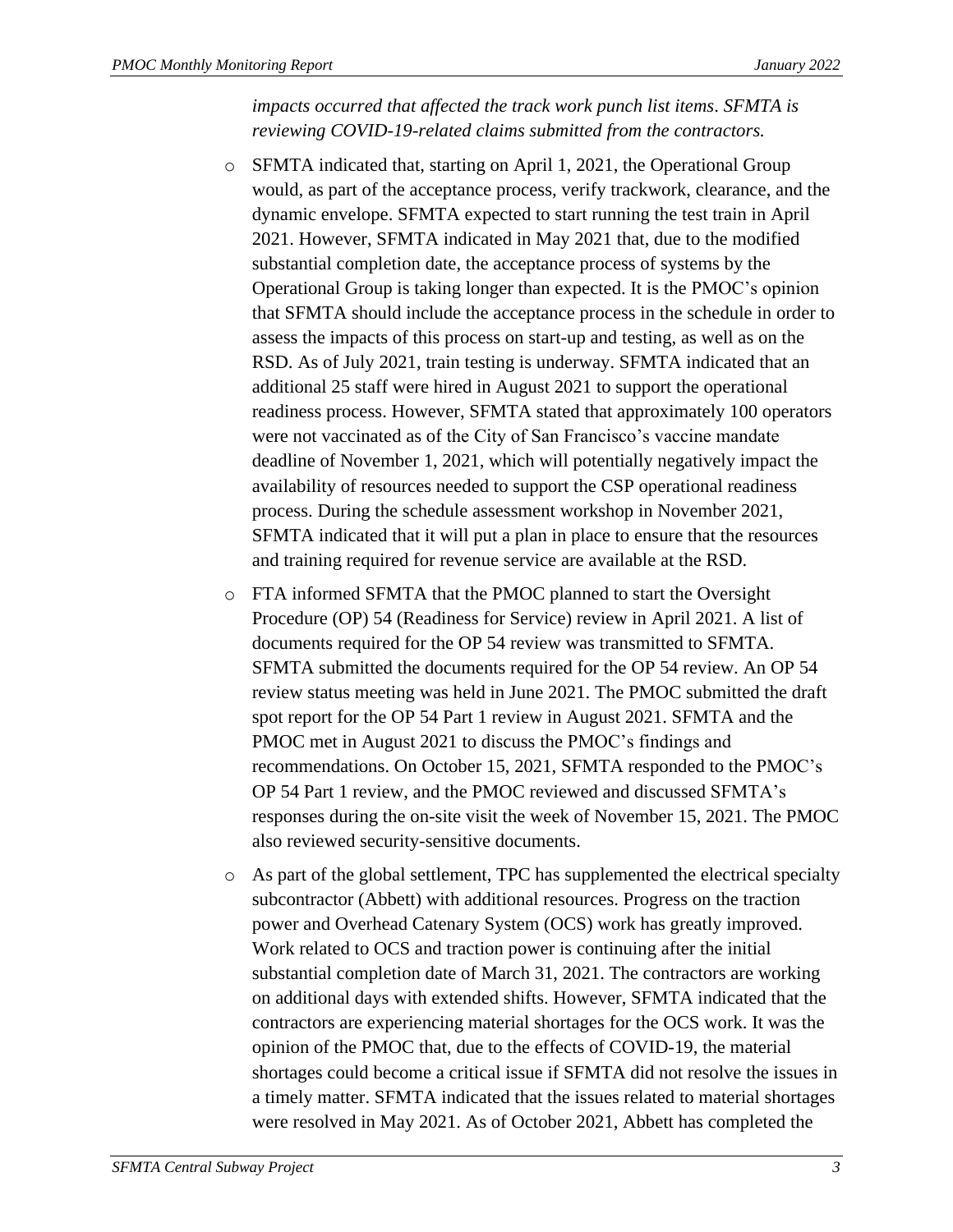*impacts occurred that affected the track work punch list items*. *SFMTA is reviewing COVID-19-related claims submitted from the contractors.*

- o SFMTA indicated that, starting on April 1, 2021, the Operational Group would, as part of the acceptance process, verify trackwork, clearance, and the dynamic envelope. SFMTA expected to start running the test train in April 2021. However, SFMTA indicated in May 2021 that, due to the modified substantial completion date, the acceptance process of systems by the Operational Group is taking longer than expected. It is the PMOC's opinion that SFMTA should include the acceptance process in the schedule in order to assess the impacts of this process on start-up and testing, as well as on the RSD. As of July 2021, train testing is underway. SFMTA indicated that an additional 25 staff were hired in August 2021 to support the operational readiness process. However, SFMTA stated that approximately 100 operators were not vaccinated as of the City of San Francisco's vaccine mandate deadline of November 1, 2021, which will potentially negatively impact the availability of resources needed to support the CSP operational readiness process. During the schedule assessment workshop in November 2021, SFMTA indicated that it will put a plan in place to ensure that the resources and training required for revenue service are available at the RSD.
- o FTA informed SFMTA that the PMOC planned to start the Oversight Procedure (OP) 54 (Readiness for Service) review in April 2021. A list of documents required for the OP 54 review was transmitted to SFMTA. SFMTA submitted the documents required for the OP 54 review. An OP 54 review status meeting was held in June 2021. The PMOC submitted the draft spot report for the OP 54 Part 1 review in August 2021. SFMTA and the PMOC met in August 2021 to discuss the PMOC's findings and recommendations. On October 15, 2021, SFMTA responded to the PMOC's OP 54 Part 1 review, and the PMOC reviewed and discussed SFMTA's responses during the on-site visit the week of November 15, 2021. The PMOC also reviewed security-sensitive documents.
- o As part of the global settlement, TPC has supplemented the electrical specialty subcontractor (Abbett) with additional resources. Progress on the traction power and Overhead Catenary System (OCS) work has greatly improved. Work related to OCS and traction power is continuing after the initial substantial completion date of March 31, 2021. The contractors are working on additional days with extended shifts. However, SFMTA indicated that the contractors are experiencing material shortages for the OCS work. It was the opinion of the PMOC that, due to the effects of COVID-19, the material shortages could become a critical issue if SFMTA did not resolve the issues in a timely matter. SFMTA indicated that the issues related to material shortages were resolved in May 2021. As of October 2021, Abbett has completed the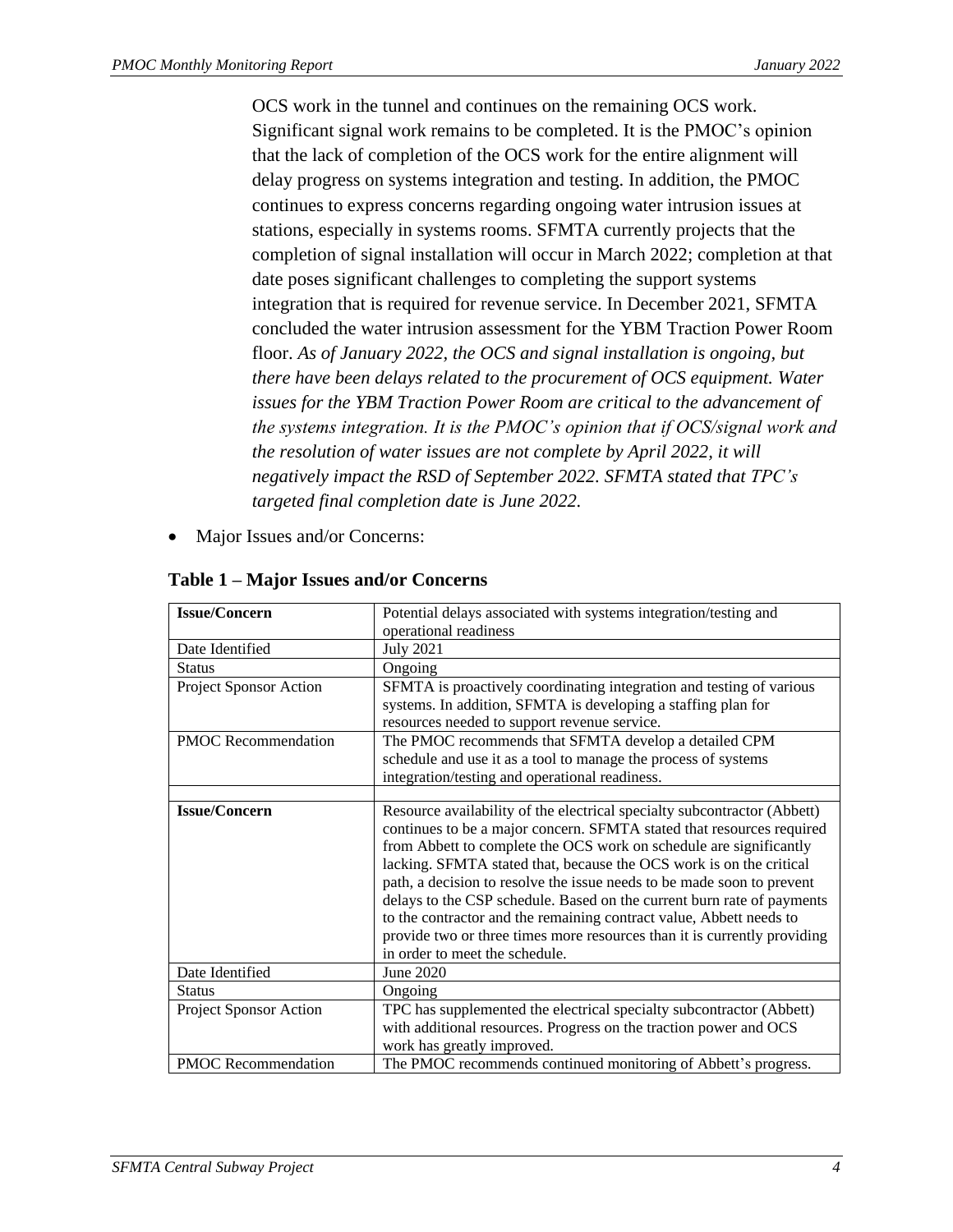OCS work in the tunnel and continues on the remaining OCS work. Significant signal work remains to be completed. It is the PMOC's opinion that the lack of completion of the OCS work for the entire alignment will delay progress on systems integration and testing. In addition, the PMOC continues to express concerns regarding ongoing water intrusion issues at stations, especially in systems rooms. SFMTA currently projects that the completion of signal installation will occur in March 2022; completion at that date poses significant challenges to completing the support systems integration that is required for revenue service. In December 2021, SFMTA concluded the water intrusion assessment for the YBM Traction Power Room floor. *As of January 2022, the OCS and signal installation is ongoing, but there have been delays related to the procurement of OCS equipment. Water issues for the YBM Traction Power Room are critical to the advancement of the systems integration. It is the PMOC's opinion that if OCS/signal work and the resolution of water issues are not complete by April 2022, it will negatively impact the RSD of September 2022. SFMTA stated that TPC's targeted final completion date is June 2022.*

Major Issues and/or Concerns:

| <b>Issue/Concern</b>       | Potential delays associated with systems integration/testing and                                                                                                                                                                                                                                                                                                                                                                                                                                                                                                                                                                        |
|----------------------------|-----------------------------------------------------------------------------------------------------------------------------------------------------------------------------------------------------------------------------------------------------------------------------------------------------------------------------------------------------------------------------------------------------------------------------------------------------------------------------------------------------------------------------------------------------------------------------------------------------------------------------------------|
|                            | operational readiness                                                                                                                                                                                                                                                                                                                                                                                                                                                                                                                                                                                                                   |
| Date Identified            | <b>July 2021</b>                                                                                                                                                                                                                                                                                                                                                                                                                                                                                                                                                                                                                        |
| <b>Status</b>              | Ongoing                                                                                                                                                                                                                                                                                                                                                                                                                                                                                                                                                                                                                                 |
| Project Sponsor Action     | SFMTA is proactively coordinating integration and testing of various<br>systems. In addition, SFMTA is developing a staffing plan for<br>resources needed to support revenue service.                                                                                                                                                                                                                                                                                                                                                                                                                                                   |
| PMOC Recommendation        | The PMOC recommends that SFMTA develop a detailed CPM<br>schedule and use it as a tool to manage the process of systems<br>integration/testing and operational readiness.                                                                                                                                                                                                                                                                                                                                                                                                                                                               |
|                            |                                                                                                                                                                                                                                                                                                                                                                                                                                                                                                                                                                                                                                         |
| <b>Issue/Concern</b>       | Resource availability of the electrical specialty subcontractor (Abbett)<br>continues to be a major concern. SFMTA stated that resources required<br>from Abbett to complete the OCS work on schedule are significantly<br>lacking. SFMTA stated that, because the OCS work is on the critical<br>path, a decision to resolve the issue needs to be made soon to prevent<br>delays to the CSP schedule. Based on the current burn rate of payments<br>to the contractor and the remaining contract value, Abbett needs to<br>provide two or three times more resources than it is currently providing<br>in order to meet the schedule. |
| Date Identified            | June 2020                                                                                                                                                                                                                                                                                                                                                                                                                                                                                                                                                                                                                               |
| <b>Status</b>              | Ongoing                                                                                                                                                                                                                                                                                                                                                                                                                                                                                                                                                                                                                                 |
| Project Sponsor Action     | TPC has supplemented the electrical specialty subcontractor (Abbett)<br>with additional resources. Progress on the traction power and OCS<br>work has greatly improved.                                                                                                                                                                                                                                                                                                                                                                                                                                                                 |
| <b>PMOC</b> Recommendation | The PMOC recommends continued monitoring of Abbett's progress.                                                                                                                                                                                                                                                                                                                                                                                                                                                                                                                                                                          |

<span id="page-7-0"></span>**Table 1 – Major Issues and/or Concerns**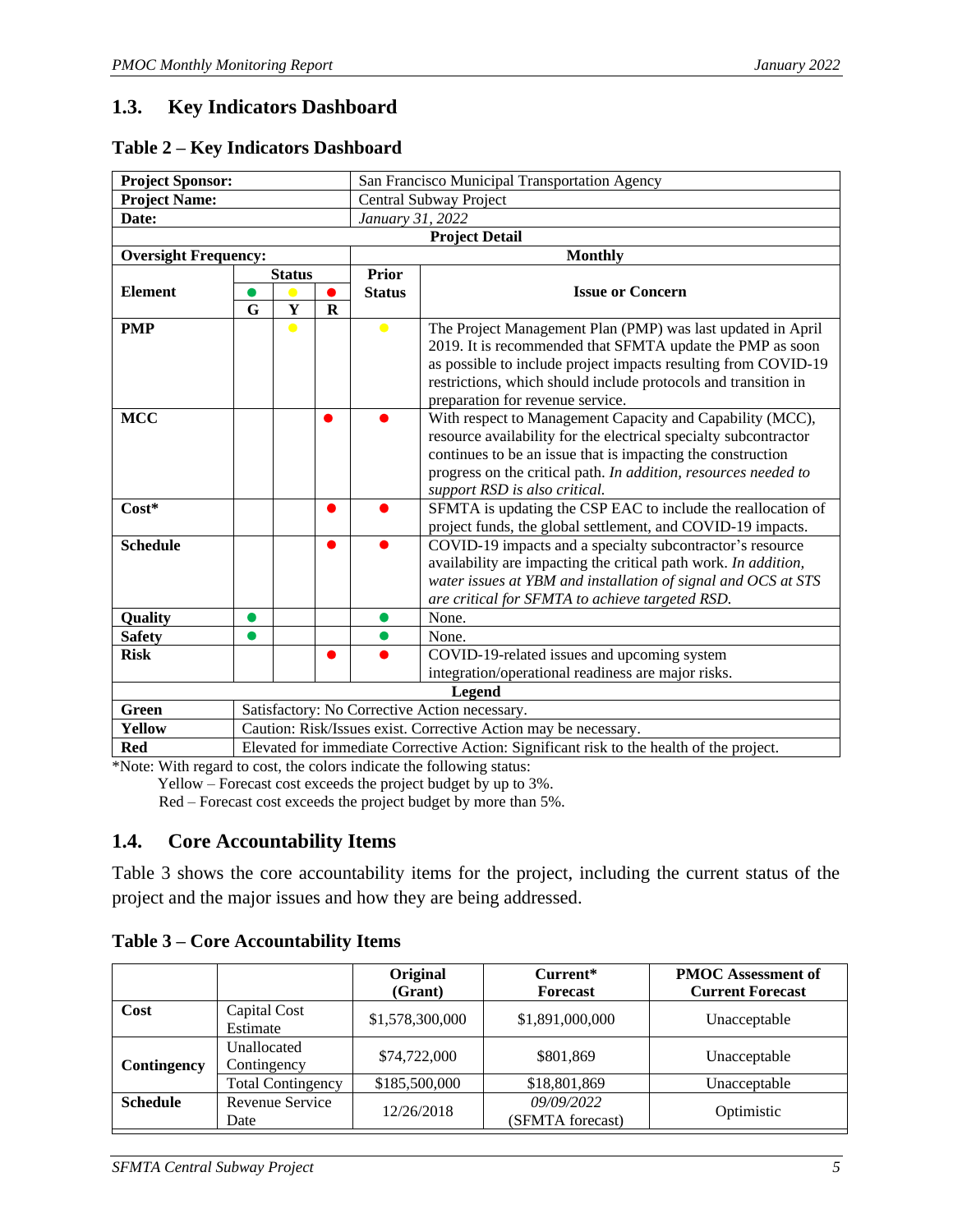## <span id="page-8-0"></span>**1.3. Key Indicators Dashboard**

#### <span id="page-8-2"></span>**Table 2 – Key Indicators Dashboard**

| <b>Project Sponsor:</b>                                                   |                                                                                          |               |             | San Francisco Municipal Transportation Agency                                                                                                                                                                                                                                                    |                                                                                                                                                                                                                                                                                                  |  |  |
|---------------------------------------------------------------------------|------------------------------------------------------------------------------------------|---------------|-------------|--------------------------------------------------------------------------------------------------------------------------------------------------------------------------------------------------------------------------------------------------------------------------------------------------|--------------------------------------------------------------------------------------------------------------------------------------------------------------------------------------------------------------------------------------------------------------------------------------------------|--|--|
| <b>Project Name:</b>                                                      |                                                                                          |               |             | Central Subway Project                                                                                                                                                                                                                                                                           |                                                                                                                                                                                                                                                                                                  |  |  |
| Date:                                                                     |                                                                                          |               |             | January 31, 2022                                                                                                                                                                                                                                                                                 |                                                                                                                                                                                                                                                                                                  |  |  |
|                                                                           |                                                                                          |               |             |                                                                                                                                                                                                                                                                                                  | <b>Project Detail</b>                                                                                                                                                                                                                                                                            |  |  |
| <b>Oversight Frequency:</b>                                               |                                                                                          |               |             |                                                                                                                                                                                                                                                                                                  | <b>Monthly</b>                                                                                                                                                                                                                                                                                   |  |  |
|                                                                           |                                                                                          | <b>Status</b> |             | <b>Prior</b>                                                                                                                                                                                                                                                                                     |                                                                                                                                                                                                                                                                                                  |  |  |
| <b>Element</b>                                                            |                                                                                          |               |             | <b>Status</b>                                                                                                                                                                                                                                                                                    | <b>Issue or Concern</b>                                                                                                                                                                                                                                                                          |  |  |
|                                                                           | G                                                                                        | Y             | $\mathbf R$ |                                                                                                                                                                                                                                                                                                  |                                                                                                                                                                                                                                                                                                  |  |  |
| <b>PMP</b>                                                                |                                                                                          | $\bullet$     |             | $\bullet$                                                                                                                                                                                                                                                                                        | The Project Management Plan (PMP) was last updated in April<br>2019. It is recommended that SFMTA update the PMP as soon<br>as possible to include project impacts resulting from COVID-19<br>restrictions, which should include protocols and transition in<br>preparation for revenue service. |  |  |
| <b>MCC</b><br>●                                                           |                                                                                          |               |             | With respect to Management Capacity and Capability (MCC),<br>resource availability for the electrical specialty subcontractor<br>continues to be an issue that is impacting the construction<br>progress on the critical path. In addition, resources needed to<br>support RSD is also critical. |                                                                                                                                                                                                                                                                                                  |  |  |
| $Cost*$<br>●                                                              |                                                                                          |               |             |                                                                                                                                                                                                                                                                                                  | SFMTA is updating the CSP EAC to include the reallocation of<br>project funds, the global settlement, and COVID-19 impacts.                                                                                                                                                                      |  |  |
| <b>Schedule</b><br>●                                                      |                                                                                          |               |             | COVID-19 impacts and a specialty subcontractor's resource<br>availability are impacting the critical path work. In addition,<br>water issues at YBM and installation of signal and OCS at STS<br>are critical for SFMTA to achieve targeted RSD.                                                 |                                                                                                                                                                                                                                                                                                  |  |  |
| Quality                                                                   | $\bullet$                                                                                |               |             |                                                                                                                                                                                                                                                                                                  | None.                                                                                                                                                                                                                                                                                            |  |  |
| <b>Safety</b>                                                             |                                                                                          |               |             |                                                                                                                                                                                                                                                                                                  | None.                                                                                                                                                                                                                                                                                            |  |  |
| <b>Risk</b>                                                               |                                                                                          |               | O           |                                                                                                                                                                                                                                                                                                  | COVID-19-related issues and upcoming system                                                                                                                                                                                                                                                      |  |  |
|                                                                           |                                                                                          |               |             |                                                                                                                                                                                                                                                                                                  | integration/operational readiness are major risks.                                                                                                                                                                                                                                               |  |  |
|                                                                           |                                                                                          |               |             |                                                                                                                                                                                                                                                                                                  | <b>Legend</b>                                                                                                                                                                                                                                                                                    |  |  |
| Green<br>Satisfactory: No Corrective Action necessary.                    |                                                                                          |               |             |                                                                                                                                                                                                                                                                                                  |                                                                                                                                                                                                                                                                                                  |  |  |
| Caution: Risk/Issues exist. Corrective Action may be necessary.<br>Yellow |                                                                                          |               |             |                                                                                                                                                                                                                                                                                                  |                                                                                                                                                                                                                                                                                                  |  |  |
| <b>Red</b>                                                                | Elevated for immediate Corrective Action: Significant risk to the health of the project. |               |             |                                                                                                                                                                                                                                                                                                  |                                                                                                                                                                                                                                                                                                  |  |  |

\*Note: With regard to cost, the colors indicate the following status:

Yellow – Forecast cost exceeds the project budget by up to 3%.

Red – Forecast cost exceeds the project budget by more than 5%.

## <span id="page-8-1"></span>**1.4. Core Accountability Items**

Table 3 shows the core accountability items for the project, including the current status of the project and the major issues and how they are being addressed.

|                 |                            | Original<br>(Grant) | Current*<br><b>Forecast</b>    | <b>PMOC</b> Assessment of<br><b>Current Forecast</b> |
|-----------------|----------------------------|---------------------|--------------------------------|------------------------------------------------------|
| Cost            | Capital Cost<br>Estimate   | \$1,578,300,000     | \$1,891,000,000                | Unacceptable                                         |
| Contingency     | Unallocated<br>Contingency | \$74,722,000        | \$801,869                      | Unacceptable                                         |
|                 | <b>Total Contingency</b>   | \$185,500,000       | \$18,801,869                   | Unacceptable                                         |
| <b>Schedule</b> | Revenue Service<br>Date    | 12/26/2018          | 09/09/2022<br>(SFMTA forecast) | Optimistic                                           |

#### <span id="page-8-3"></span>**Table 3 – Core Accountability Items**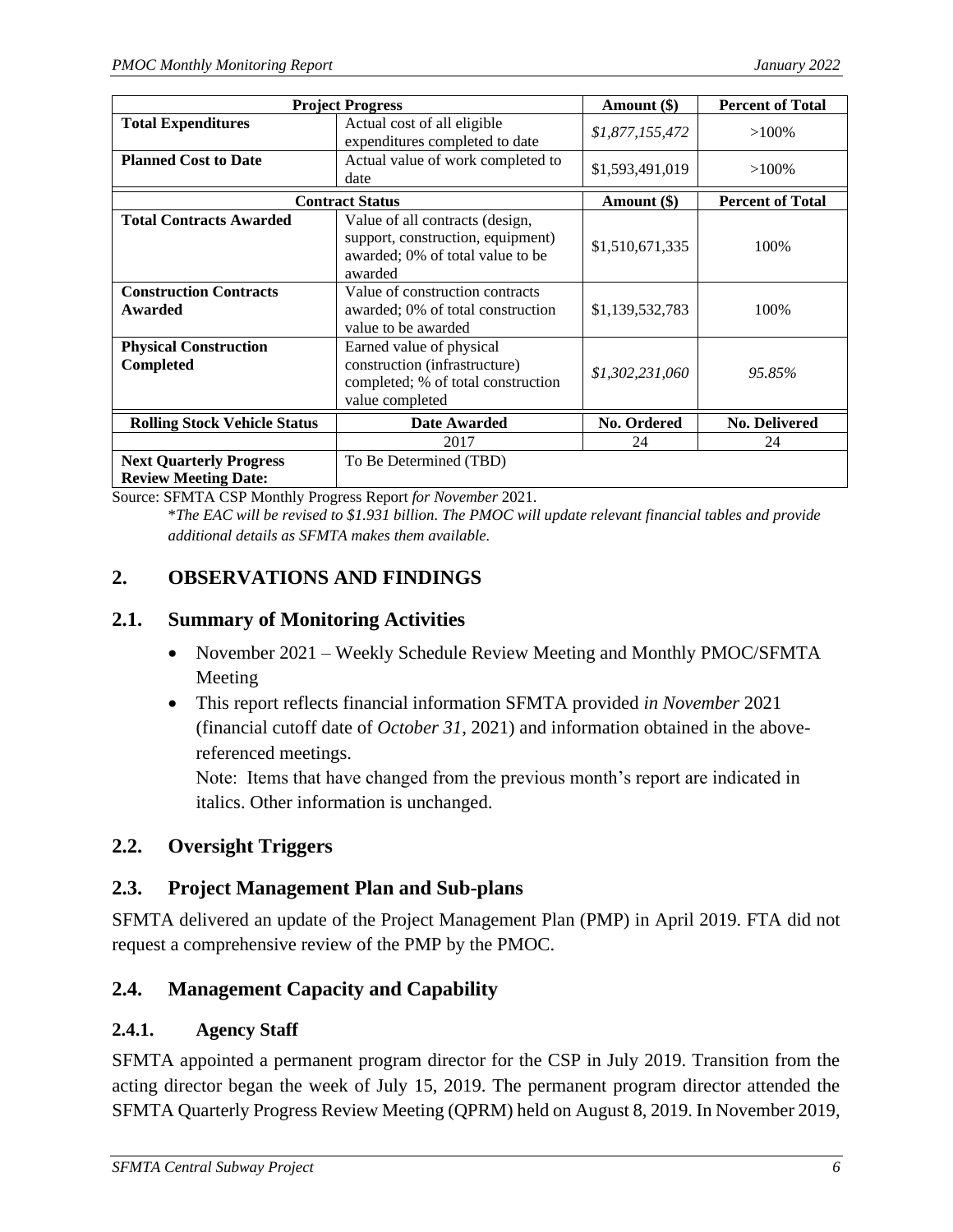|                                                               | <b>Project Progress</b>                                                                                             | Amount (\$)     | <b>Percent of Total</b> |
|---------------------------------------------------------------|---------------------------------------------------------------------------------------------------------------------|-----------------|-------------------------|
| <b>Total Expenditures</b>                                     | Actual cost of all eligible<br>expenditures completed to date                                                       | \$1,877,155,472 | $>100\%$                |
| <b>Planned Cost to Date</b>                                   | Actual value of work completed to<br>date                                                                           | \$1,593,491,019 | $>100\%$                |
|                                                               | <b>Contract Status</b>                                                                                              | Amount (\$)     | <b>Percent of Total</b> |
| <b>Total Contracts Awarded</b>                                | Value of all contracts (design,<br>support, construction, equipment)<br>awarded; 0% of total value to be<br>awarded | \$1,510,671,335 | 100%                    |
| <b>Construction Contracts</b><br>Awarded                      | Value of construction contracts<br>awarded; 0% of total construction<br>value to be awarded                         | \$1,139,532,783 | 100%                    |
| <b>Physical Construction</b><br>Completed                     | Earned value of physical<br>construction (infrastructure)<br>completed; % of total construction<br>value completed  | \$1,302,231,060 | 95.85%                  |
| <b>Rolling Stock Vehicle Status</b>                           | <b>Date Awarded</b>                                                                                                 | No. Ordered     | <b>No. Delivered</b>    |
|                                                               | 2017                                                                                                                | 24              | 24                      |
| <b>Next Quarterly Progress</b><br><b>Review Meeting Date:</b> | To Be Determined (TBD)                                                                                              |                 |                         |

Source: SFMTA CSP Monthly Progress Report *for November* 2021.

\**The EAC will be revised to \$1.931 billion. The PMOC will update relevant financial tables and provide additional details as SFMTA makes them available.*

## <span id="page-9-0"></span>**2. OBSERVATIONS AND FINDINGS**

### <span id="page-9-1"></span>**2.1. Summary of Monitoring Activities**

- November 2021 Weekly Schedule Review Meeting and Monthly PMOC/SFMTA Meeting
- This report reflects financial information SFMTA provided *in November* 2021 (financial cutoff date of *October 31*, 2021) and information obtained in the abovereferenced meetings.

Note: Items that have changed from the previous month's report are indicated in italics. Other information is unchanged.

## <span id="page-9-2"></span>**2.2. Oversight Triggers**

## <span id="page-9-3"></span>**2.3. Project Management Plan and Sub-plans**

SFMTA delivered an update of the Project Management Plan (PMP) in April 2019. FTA did not request a comprehensive review of the PMP by the PMOC.

## <span id="page-9-4"></span>**2.4. Management Capacity and Capability**

### **2.4.1. Agency Staff**

SFMTA appointed a permanent program director for the CSP in July 2019. Transition from the acting director began the week of July 15, 2019. The permanent program director attended the SFMTA Quarterly Progress Review Meeting (QPRM) held on August 8, 2019. In November 2019,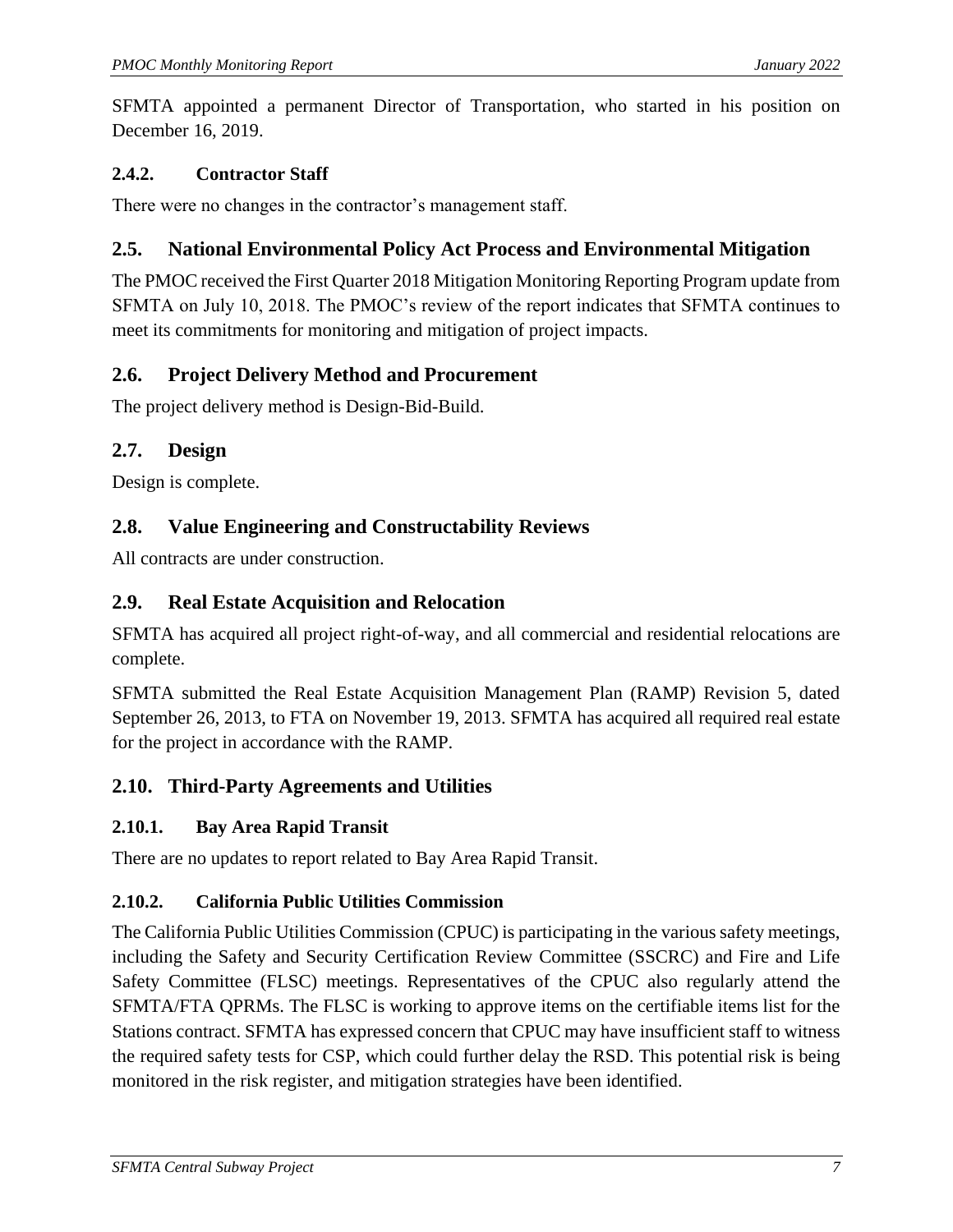SFMTA appointed a permanent Director of Transportation, who started in his position on December 16, 2019.

#### **2.4.2. Contractor Staff**

There were no changes in the contractor's management staff.

### <span id="page-10-0"></span>**2.5. National Environmental Policy Act Process and Environmental Mitigation**

The PMOC received the First Quarter 2018 Mitigation Monitoring Reporting Program update from SFMTA on July 10, 2018. The PMOC's review of the report indicates that SFMTA continues to meet its commitments for monitoring and mitigation of project impacts.

### <span id="page-10-1"></span>**2.6. Project Delivery Method and Procurement**

The project delivery method is Design-Bid-Build.

## <span id="page-10-2"></span>**2.7. Design**

Design is complete.

## <span id="page-10-3"></span>**2.8. Value Engineering and Constructability Reviews**

All contracts are under construction.

## <span id="page-10-4"></span>**2.9. Real Estate Acquisition and Relocation**

SFMTA has acquired all project right-of-way, and all commercial and residential relocations are complete.

SFMTA submitted the Real Estate Acquisition Management Plan (RAMP) Revision 5, dated September 26, 2013, to FTA on November 19, 2013. SFMTA has acquired all required real estate for the project in accordance with the RAMP.

## <span id="page-10-5"></span>**2.10. Third-Party Agreements and Utilities**

### **2.10.1. Bay Area Rapid Transit**

There are no updates to report related to Bay Area Rapid Transit.

### **2.10.2. California Public Utilities Commission**

The California Public Utilities Commission (CPUC) is participating in the various safety meetings, including the Safety and Security Certification Review Committee (SSCRC) and Fire and Life Safety Committee (FLSC) meetings. Representatives of the CPUC also regularly attend the SFMTA/FTA QPRMs. The FLSC is working to approve items on the certifiable items list for the Stations contract. SFMTA has expressed concern that CPUC may have insufficient staff to witness the required safety tests for CSP, which could further delay the RSD. This potential risk is being monitored in the risk register, and mitigation strategies have been identified.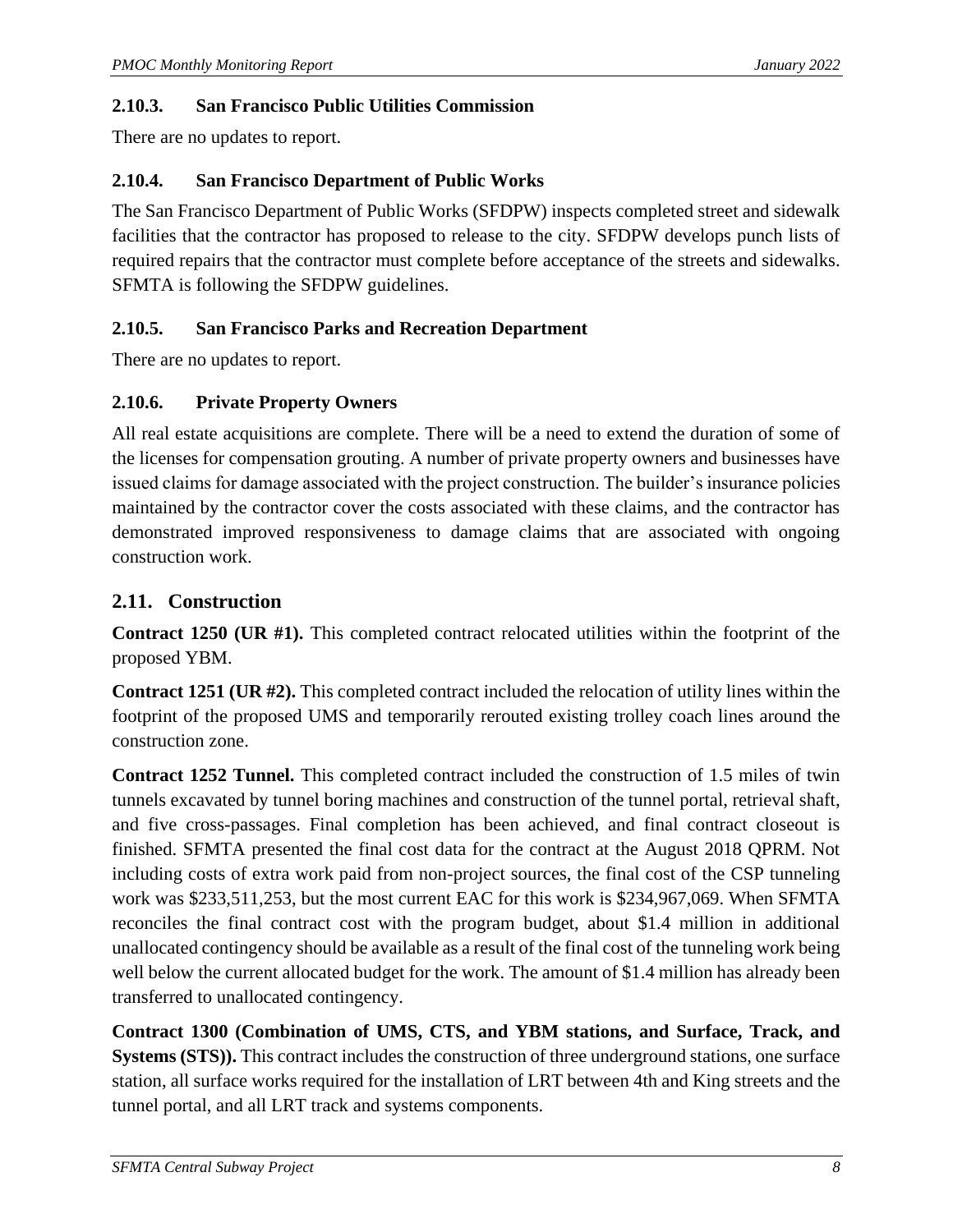### **2.10.3. San Francisco Public Utilities Commission**

There are no updates to report.

### **2.10.4. San Francisco Department of Public Works**

The San Francisco Department of Public Works (SFDPW) inspects completed street and sidewalk facilities that the contractor has proposed to release to the city. SFDPW develops punch lists of required repairs that the contractor must complete before acceptance of the streets and sidewalks. SFMTA is following the SFDPW guidelines.

## **2.10.5. San Francisco Parks and Recreation Department**

There are no updates to report.

## **2.10.6. Private Property Owners**

All real estate acquisitions are complete. There will be a need to extend the duration of some of the licenses for compensation grouting. A number of private property owners and businesses have issued claims for damage associated with the project construction. The builder's insurance policies maintained by the contractor cover the costs associated with these claims, and the contractor has demonstrated improved responsiveness to damage claims that are associated with ongoing construction work.

# <span id="page-11-0"></span>**2.11. Construction**

**Contract 1250 (UR #1).** This completed contract relocated utilities within the footprint of the proposed YBM.

**Contract 1251 (UR #2).** This completed contract included the relocation of utility lines within the footprint of the proposed UMS and temporarily rerouted existing trolley coach lines around the construction zone.

**Contract 1252 Tunnel.** This completed contract included the construction of 1.5 miles of twin tunnels excavated by tunnel boring machines and construction of the tunnel portal, retrieval shaft, and five cross-passages. Final completion has been achieved, and final contract closeout is finished. SFMTA presented the final cost data for the contract at the August 2018 QPRM. Not including costs of extra work paid from non-project sources, the final cost of the CSP tunneling work was \$233,511,253, but the most current EAC for this work is \$234,967,069. When SFMTA reconciles the final contract cost with the program budget, about \$1.4 million in additional unallocated contingency should be available as a result of the final cost of the tunneling work being well below the current allocated budget for the work. The amount of \$1.4 million has already been transferred to unallocated contingency.

**Contract 1300 (Combination of UMS, CTS, and YBM stations, and Surface, Track, and Systems (STS)).** This contract includes the construction of three underground stations, one surface station, all surface works required for the installation of LRT between 4th and King streets and the tunnel portal, and all LRT track and systems components.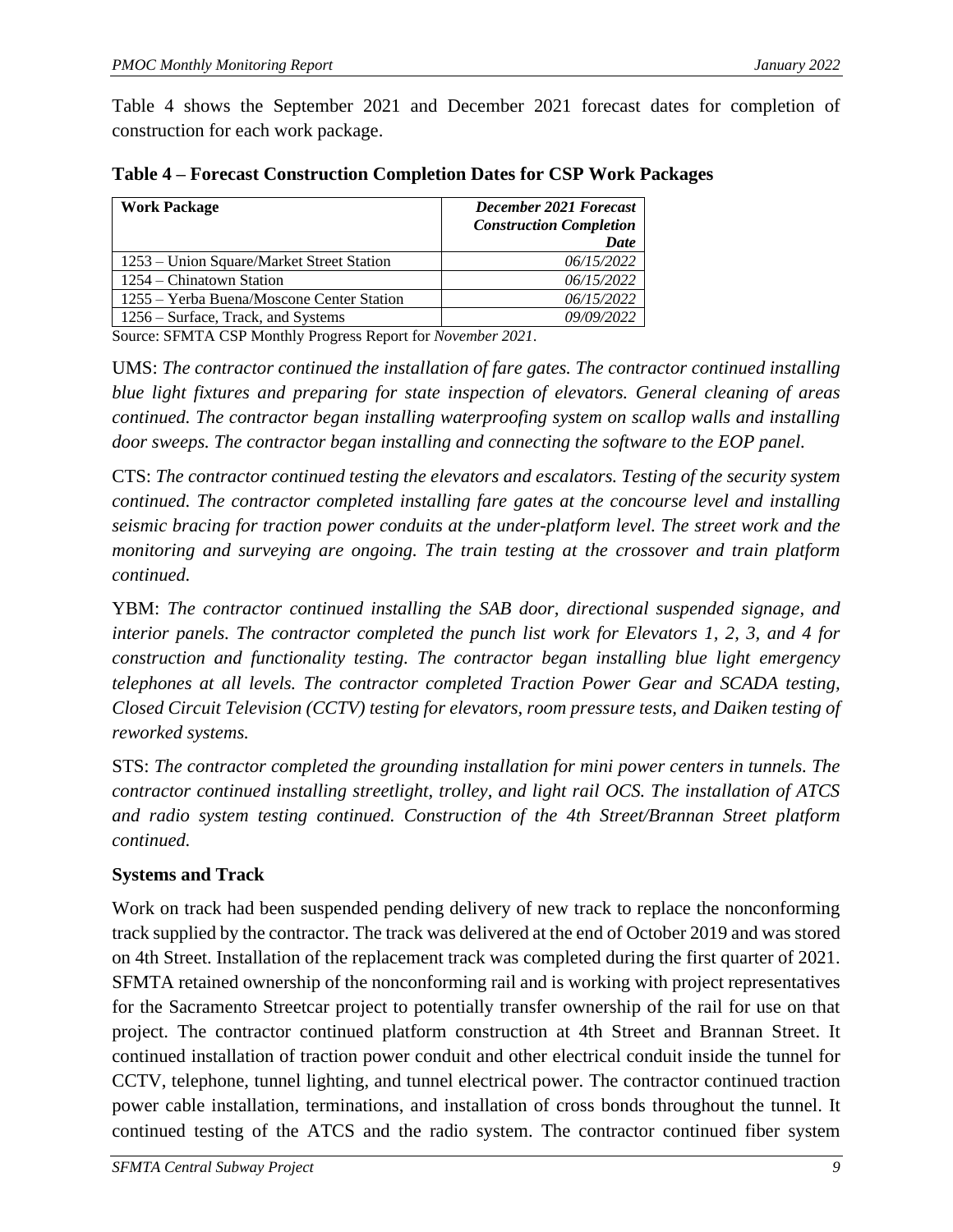Table 4 shows the September 2021 and December 2021 forecast dates for completion of construction for each work package.

| <b>Work Package</b>                       | <b>December 2021 Forecast</b><br><b>Construction Completion</b><br>Date |
|-------------------------------------------|-------------------------------------------------------------------------|
| 1253 – Union Square/Market Street Station | 06/15/2022                                                              |
| 1254 – Chinatown Station                  | 06/15/2022                                                              |
| 1255 – Yerba Buena/Moscone Center Station | 06/15/2022                                                              |
| 1256 – Surface, Track, and Systems        | 09/09/2022                                                              |

<span id="page-12-0"></span>**Table 4 – Forecast Construction Completion Dates for CSP Work Packages**

Source: SFMTA CSP Monthly Progress Report for *November 2021*.

UMS: *The contractor continued the installation of fare gates. The contractor continued installing blue light fixtures and preparing for state inspection of elevators. General cleaning of areas continued. The contractor began installing waterproofing system on scallop walls and installing door sweeps. The contractor began installing and connecting the software to the EOP panel.*

CTS: *The contractor continued testing the elevators and escalators. Testing of the security system continued. The contractor completed installing fare gates at the concourse level and installing seismic bracing for traction power conduits at the under-platform level. The street work and the monitoring and surveying are ongoing. The train testing at the crossover and train platform continued.*

YBM: *The contractor continued installing the SAB door, directional suspended signage, and interior panels. The contractor completed the punch list work for Elevators 1, 2, 3, and 4 for construction and functionality testing. The contractor began installing blue light emergency telephones at all levels. The contractor completed Traction Power Gear and SCADA testing, Closed Circuit Television (CCTV) testing for elevators, room pressure tests, and Daiken testing of reworked systems.*

STS: *The contractor completed the grounding installation for mini power centers in tunnels. The contractor continued installing streetlight, trolley, and light rail OCS. The installation of ATCS and radio system testing continued. Construction of the 4th Street/Brannan Street platform continued.*

### **Systems and Track**

Work on track had been suspended pending delivery of new track to replace the nonconforming track supplied by the contractor. The track was delivered at the end of October 2019 and was stored on 4th Street. Installation of the replacement track was completed during the first quarter of 2021. SFMTA retained ownership of the nonconforming rail and is working with project representatives for the Sacramento Streetcar project to potentially transfer ownership of the rail for use on that project. The contractor continued platform construction at 4th Street and Brannan Street. It continued installation of traction power conduit and other electrical conduit inside the tunnel for CCTV, telephone, tunnel lighting, and tunnel electrical power. The contractor continued traction power cable installation, terminations, and installation of cross bonds throughout the tunnel. It continued testing of the ATCS and the radio system. The contractor continued fiber system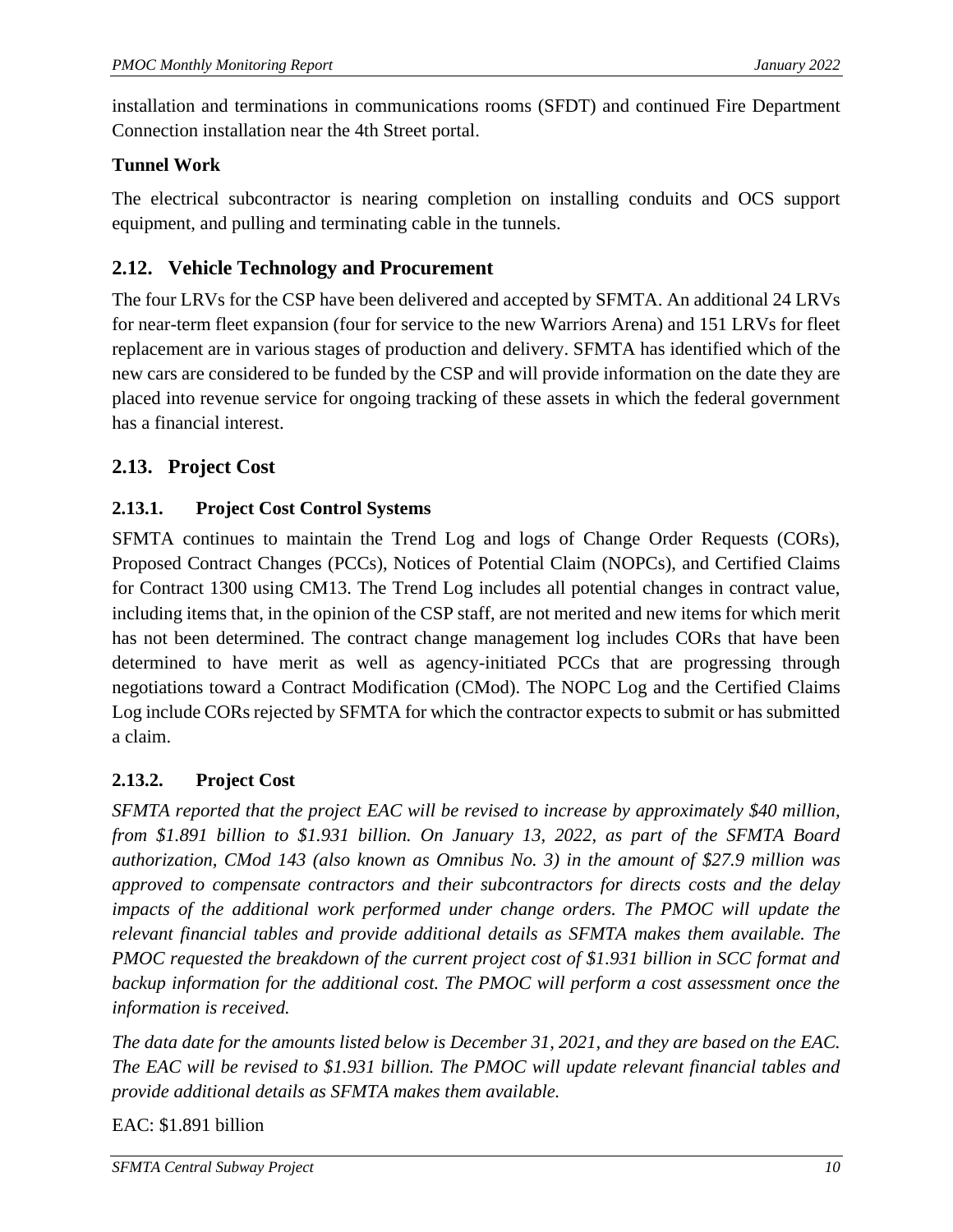installation and terminations in communications rooms (SFDT) and continued Fire Department Connection installation near the 4th Street portal.

### **Tunnel Work**

The electrical subcontractor is nearing completion on installing conduits and OCS support equipment, and pulling and terminating cable in the tunnels.

## <span id="page-13-0"></span>**2.12. Vehicle Technology and Procurement**

The four LRVs for the CSP have been delivered and accepted by SFMTA. An additional 24 LRVs for near-term fleet expansion (four for service to the new Warriors Arena) and 151 LRVs for fleet replacement are in various stages of production and delivery. SFMTA has identified which of the new cars are considered to be funded by the CSP and will provide information on the date they are placed into revenue service for ongoing tracking of these assets in which the federal government has a financial interest.

### <span id="page-13-1"></span>**2.13. Project Cost**

### **2.13.1. Project Cost Control Systems**

SFMTA continues to maintain the Trend Log and logs of Change Order Requests (CORs), Proposed Contract Changes (PCCs), Notices of Potential Claim (NOPCs), and Certified Claims for Contract 1300 using CM13. The Trend Log includes all potential changes in contract value, including items that, in the opinion of the CSP staff, are not merited and new items for which merit has not been determined. The contract change management log includes CORs that have been determined to have merit as well as agency-initiated PCCs that are progressing through negotiations toward a Contract Modification (CMod). The NOPC Log and the Certified Claims Log include CORs rejected by SFMTA for which the contractor expects to submit or has submitted a claim.

### **2.13.2. Project Cost**

*SFMTA reported that the project EAC will be revised to increase by approximately \$40 million, from \$1.891 billion to \$1.931 billion. On January 13, 2022, as part of the SFMTA Board authorization, CMod 143 (also known as Omnibus No. 3) in the amount of \$27.9 million was approved to compensate contractors and their subcontractors for directs costs and the delay impacts of the additional work performed under change orders. The PMOC will update the relevant financial tables and provide additional details as SFMTA makes them available. The PMOC requested the breakdown of the current project cost of \$1.931 billion in SCC format and backup information for the additional cost. The PMOC will perform a cost assessment once the information is received.* 

*The data date for the amounts listed below is December 31, 2021, and they are based on the EAC. The EAC will be revised to \$1.931 billion. The PMOC will update relevant financial tables and provide additional details as SFMTA makes them available.*

### EAC: \$1.891 billion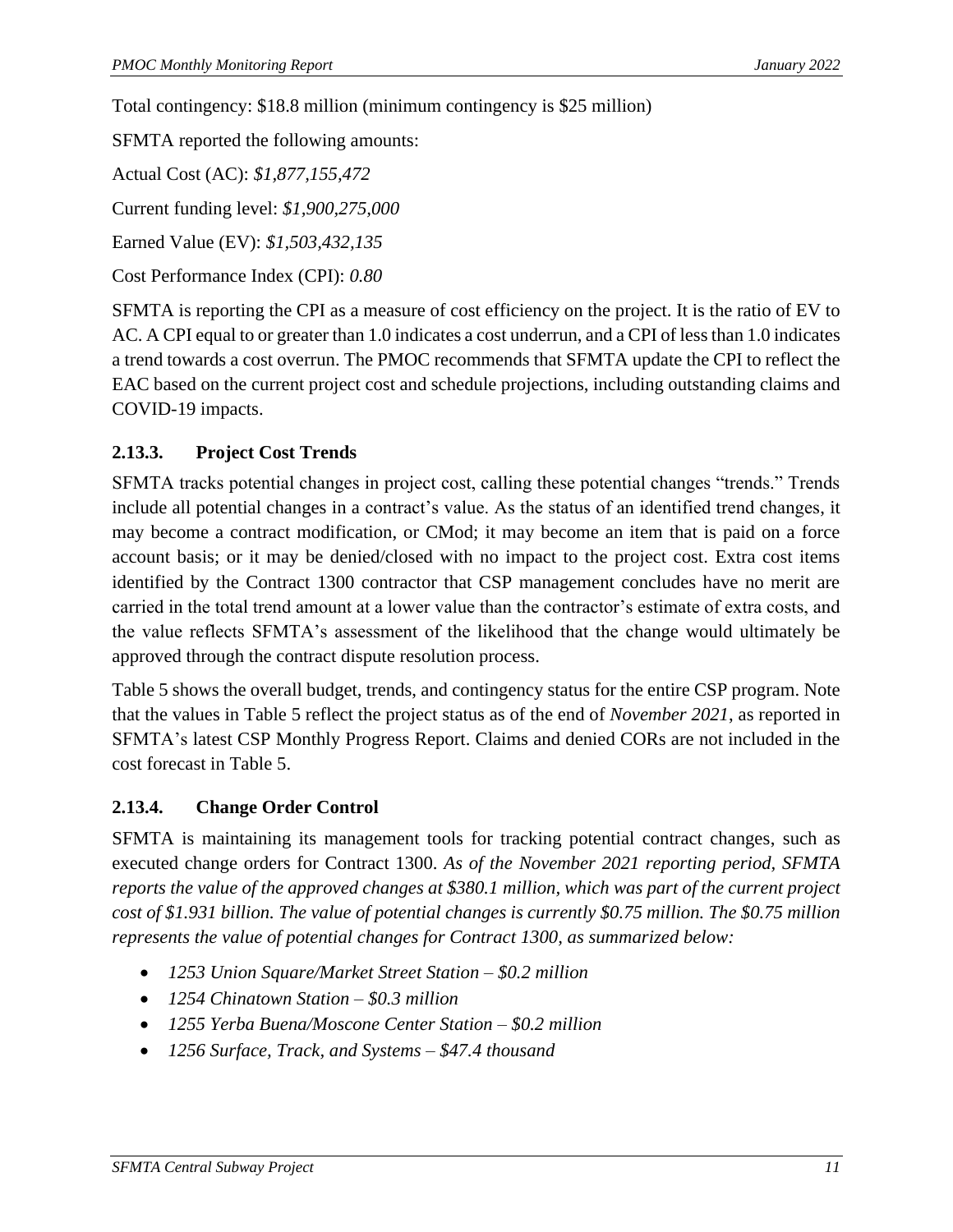Total contingency: \$18.8 million (minimum contingency is \$25 million)

SFMTA reported the following amounts:

Actual Cost (AC): *\$1,877,155,472* Current funding level: *\$1,900,275,000* Earned Value (EV): *\$1,503,432,135*

Cost Performance Index (CPI): *0.80*

SFMTA is reporting the CPI as a measure of cost efficiency on the project. It is the ratio of EV to AC. A CPI equal to or greater than 1.0 indicates a cost underrun, and a CPI of less than 1.0 indicates a trend towards a cost overrun. The PMOC recommends that SFMTA update the CPI to reflect the EAC based on the current project cost and schedule projections, including outstanding claims and COVID-19 impacts.

### **2.13.3. Project Cost Trends**

SFMTA tracks potential changes in project cost, calling these potential changes "trends." Trends include all potential changes in a contract's value. As the status of an identified trend changes, it may become a contract modification, or CMod; it may become an item that is paid on a force account basis; or it may be denied/closed with no impact to the project cost. Extra cost items identified by the Contract 1300 contractor that CSP management concludes have no merit are carried in the total trend amount at a lower value than the contractor's estimate of extra costs, and the value reflects SFMTA's assessment of the likelihood that the change would ultimately be approved through the contract dispute resolution process.

Table 5 shows the overall budget, trends, and contingency status for the entire CSP program. Note that the values in Table 5 reflect the project status as of the end of *November 2021*, as reported in SFMTA's latest CSP Monthly Progress Report. Claims and denied CORs are not included in the cost forecast in Table 5.

### **2.13.4. Change Order Control**

SFMTA is maintaining its management tools for tracking potential contract changes, such as executed change orders for Contract 1300. *As of the November 2021 reporting period, SFMTA reports the value of the approved changes at \$380.1 million, which was part of the current project cost of \$1.931 billion. The value of potential changes is currently \$0.75 million. The \$0.75 million represents the value of potential changes for Contract 1300, as summarized below:*

- *1253 Union Square/Market Street Station – \$0.2 million*
- *1254 Chinatown Station – \$0.3 million*
- *1255 Yerba Buena/Moscone Center Station – \$0.2 million*
- *1256 Surface, Track, and Systems – \$47.4 thousand*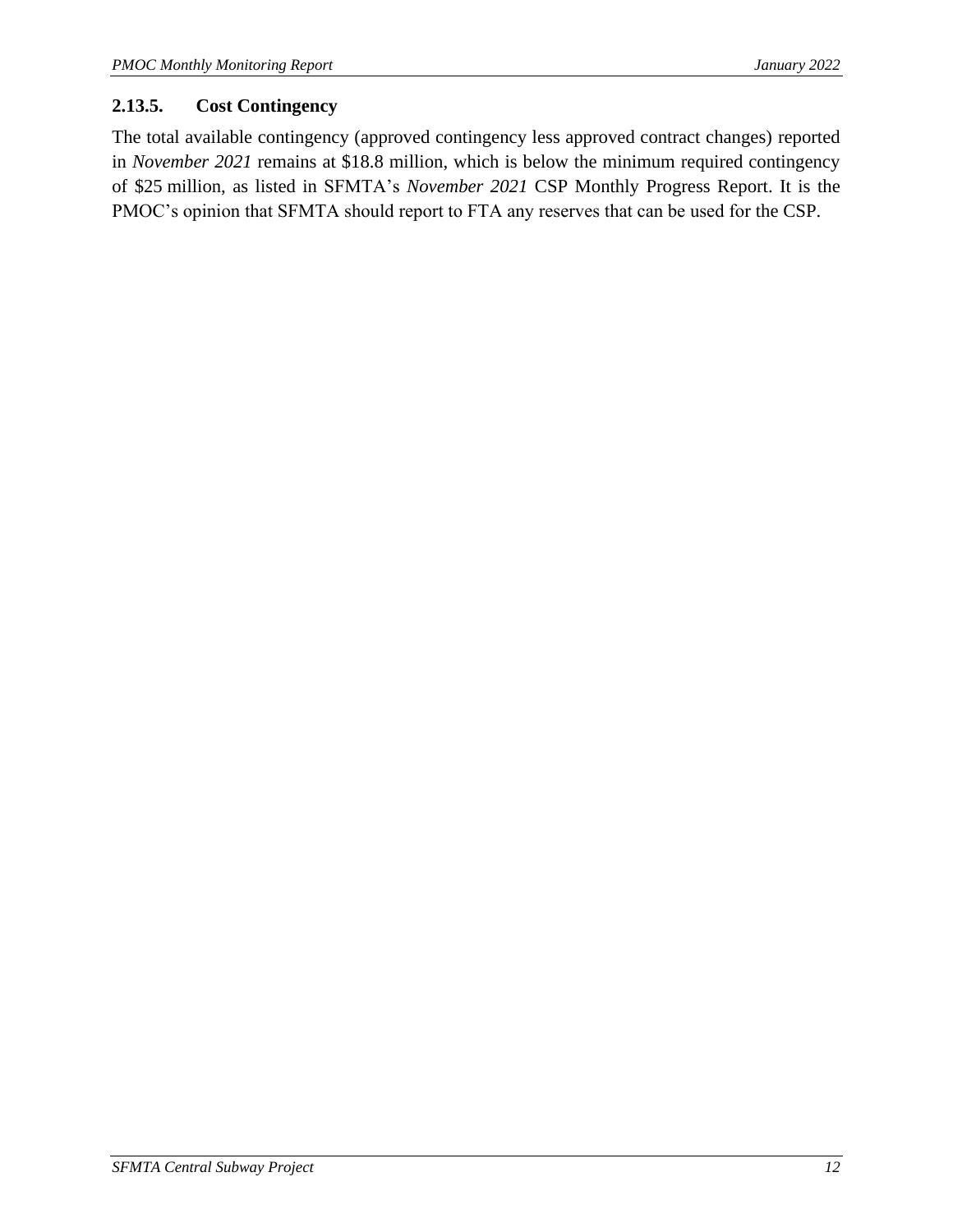### **2.13.5. Cost Contingency**

The total available contingency (approved contingency less approved contract changes) reported in *November 2021* remains at \$18.8 million, which is below the minimum required contingency of \$25 million, as listed in SFMTA's *November 2021* CSP Monthly Progress Report. It is the PMOC's opinion that SFMTA should report to FTA any reserves that can be used for the CSP.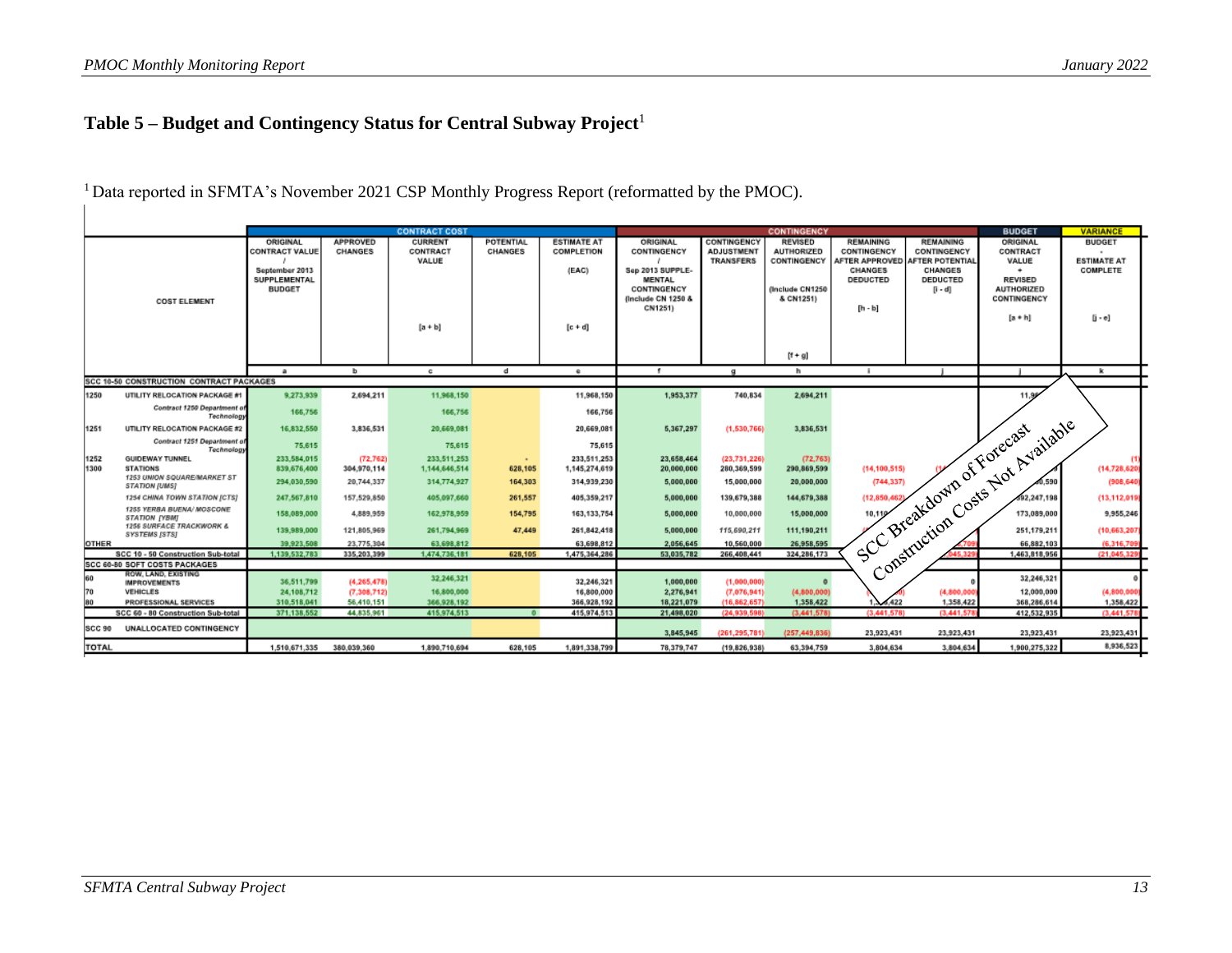# **Table 5 – Budget and Contingency Status for Central Subway Project**<sup>1</sup>

<span id="page-16-0"></span>

|               |                                                      |                                                                                             |                            | <b>CONTRACT COST</b>                             |                      |                                                        |                                                                                                              |                                                      | <b>CONTINGENCY</b>                                                                 |                                                                            |                                                                                                       | <b>BUDGET</b>                                                                                         | <b>VARIANCE</b>                                                        |
|---------------|------------------------------------------------------|---------------------------------------------------------------------------------------------|----------------------------|--------------------------------------------------|----------------------|--------------------------------------------------------|--------------------------------------------------------------------------------------------------------------|------------------------------------------------------|------------------------------------------------------------------------------------|----------------------------------------------------------------------------|-------------------------------------------------------------------------------------------------------|-------------------------------------------------------------------------------------------------------|------------------------------------------------------------------------|
|               | <b>COST ELEMENT</b>                                  | ORIGINAL<br><b>CONTRACT VALUE</b><br>September 2013<br><b>SUPPLEMENTAL</b><br><b>BUDGET</b> | <b>APPROVED</b><br>CHANGES | <b>CURRENT</b><br>CONTRACT<br>VALUE<br>$[a + b]$ | POTENTIAL<br>CHANGES | <b>ESTIMATE AT</b><br>COMPLETION<br>(EAC)<br>$[c + d]$ | ORIGINAL<br>CONTINGENCY<br>Sep 2013 SUPPLE-<br><b>MENTAL</b><br>CONTINGENCY<br>(Include CN 1250 &<br>CN1251) | CONTINGENCY<br><b>ADJUSTMENT</b><br><b>TRANSFERS</b> | <b>REVISED</b><br><b>AUTHORIZED</b><br>CONTINGENCY<br>finclude CN1250<br>& CN1251) | <b>REMAINING</b><br>CONTINGENCY<br><b>CHANGES</b><br>DEDUCTED<br>$[h - b]$ | <b>REMAINING</b><br>CONTINGENCY<br>AFTER APPROVED AFTER POTENTIAL<br>CHANGES<br>DEDUCTED<br>$[i - d]$ | ORIGINAL<br>CONTRACT<br>VALUE<br>٠<br><b>REVISED</b><br><b>AUTHORIZED</b><br>CONTINGENCY<br>$[a + h]$ | <b>BUDGET</b><br>$\sim$<br><b>ESTIMATE AT</b><br>COMPLETE<br>$[i - e]$ |
|               |                                                      |                                                                                             |                            |                                                  |                      |                                                        |                                                                                                              |                                                      | $[t + g]$                                                                          |                                                                            |                                                                                                       |                                                                                                       |                                                                        |
|               | SCC 10-50 CONSTRUCTION CONTRACT PACKAGES             | $\alpha$                                                                                    | <b>b</b>                   | c                                                | d                    | $\bullet$                                              |                                                                                                              | $\alpha$                                             | h.                                                                                 | п.                                                                         |                                                                                                       |                                                                                                       | K.                                                                     |
|               |                                                      |                                                                                             |                            |                                                  |                      |                                                        |                                                                                                              |                                                      |                                                                                    |                                                                            |                                                                                                       |                                                                                                       |                                                                        |
| 1250          | UTILITY RELOCATION PACKAGE #                         | 9.273.939                                                                                   | 2,694,211                  | 11,968,150                                       |                      | 11,968,150                                             | 1,953,377                                                                                                    | 740,834                                              | 2,694,211                                                                          |                                                                            |                                                                                                       | 11.96                                                                                                 |                                                                        |
|               | Contract 1250 Department of<br>Technology            | 166,756                                                                                     |                            | 166,756                                          |                      | 166,756                                                |                                                                                                              |                                                      |                                                                                    |                                                                            |                                                                                                       | Construction Costs Not Available                                                                      |                                                                        |
| 1251          | UTILITY RELOCATION PACKAGE #2                        | 16.832.550                                                                                  | 3,836,531                  | 20.669.081                                       |                      | 20,669,081                                             | 5,367,297                                                                                                    | (1.530.766)                                          | 3,836,531                                                                          |                                                                            |                                                                                                       |                                                                                                       |                                                                        |
|               | Contract 1251 Department o<br>Technology             | 75,615                                                                                      |                            | 75,615                                           |                      | 75,615                                                 |                                                                                                              |                                                      |                                                                                    |                                                                            |                                                                                                       |                                                                                                       |                                                                        |
| 1252          | GUIDEWAY TUNNEL                                      | 233.584.015                                                                                 | (72.762)                   | 233,511,253                                      | $\sim$               | 233,511,253                                            | 23,658,464                                                                                                   | (23, 731, 226)                                       | (72, 763)                                                                          |                                                                            |                                                                                                       |                                                                                                       |                                                                        |
| 1300          | <b>STATIONS</b>                                      | 839,676,400                                                                                 | 304,970,114                | 1,144,646,514                                    | 628,105              | 1,145,274,619                                          | 20,000,000                                                                                                   | 280,369,599                                          | 290,869,599                                                                        |                                                                            |                                                                                                       |                                                                                                       | (14,728,62)                                                            |
|               | 1253 UNION SQUARE/MARKET ST<br>STATION (UMS)         | 294,030,590                                                                                 | 20.744.337                 | 314,774,927                                      | 164,303              | 314,939,230                                            | 5,000,000                                                                                                    | 15,000,000                                           | 20,000,000                                                                         |                                                                            |                                                                                                       |                                                                                                       | (908, 640)                                                             |
|               | 1254 CHINA TOWN STATION [CTS]                        | 247.567.810                                                                                 | 157,529,850                | 405.097.660                                      | 261,557              | 405,359,217                                            | 5,000,000                                                                                                    | 139,679,388                                          | 144,679,388                                                                        |                                                                            |                                                                                                       |                                                                                                       | (13,112,019                                                            |
|               | 1255 YERBA BUENA/ MOSCONE<br><b>STATION IYBMI</b>    | 158,089,000                                                                                 | 4,889,959                  | 162.978.959                                      | 154,795              | 163, 133, 754                                          | 5,000,000                                                                                                    | 10,000,000                                           | 15,000,000                                                                         |                                                                            | J SCC Breakdown of Forecast                                                                           |                                                                                                       | 9,955,246                                                              |
|               | 1256 SURFACE TRACKWORK &<br>SYSTEMS [STS]            | 139,989,000                                                                                 | 121,805,969                | 261.794.969                                      | 47,449               | 261.842.418                                            | 5,000,000                                                                                                    | 115,690.211                                          | 111,190,211                                                                        |                                                                            |                                                                                                       |                                                                                                       | (10,663,207                                                            |
| <b>OTHER</b>  |                                                      | 39,923,508                                                                                  | 23.775.304                 | 63.698.812                                       |                      | 63,698,812                                             | 2,056,645                                                                                                    | 10,560,000                                           | 26,958,595                                                                         |                                                                            |                                                                                                       |                                                                                                       | (6.316.70)                                                             |
|               | SCC 10 - 50 Construction Sub-total                   | 1.139.532.783                                                                               | 335,203,399                | 1,474,736,181                                    | 628,105              | 1,475,364,286                                          | 53,035,782                                                                                                   | 266,408,441                                          | 324.286.173                                                                        |                                                                            |                                                                                                       |                                                                                                       | (21.045.32                                                             |
|               | SCC 60-80 SOFT COSTS PACKAGES<br>ROW, LAND, EXISTING |                                                                                             |                            |                                                  |                      |                                                        |                                                                                                              |                                                      |                                                                                    |                                                                            |                                                                                                       |                                                                                                       |                                                                        |
| 60            | <b>IMPROVEMENTS</b>                                  | 36,511,799                                                                                  | (4.265.478)                | 32.246.321                                       |                      | 32,246,321                                             | 1,000,000                                                                                                    | (1,000,000)                                          |                                                                                    |                                                                            |                                                                                                       |                                                                                                       |                                                                        |
| 70            | VEHICLES                                             | 24,108,712                                                                                  | (7,308,712)                | 16,800,000                                       |                      | 16,800,000                                             | 2,276,941                                                                                                    | (7.076.941)                                          | (4,800,000)                                                                        |                                                                            | (4.800.00)                                                                                            | 12,000.000                                                                                            | (4,800,000                                                             |
| 80            | PROFESSIONAL SERVICES                                | 310.518,041                                                                                 | 56.410.151                 | 366,928,192                                      |                      | 366,928,192                                            | 18,221,079                                                                                                   | (16,862,657)                                         | 1,358,422                                                                          | 422                                                                        | 1,358,422                                                                                             | 368,286,614                                                                                           | 1,358,422                                                              |
|               | SCC 60 - 80 Construction Sub-total                   | 371.138.552                                                                                 | 44.835,961                 | 415,974,513                                      | $\bullet$            | 415,974,513                                            | 21,498,020                                                                                                   | (24,939,598)                                         | (3,441,578)                                                                        | (3,441,578)                                                                | (3.441.57                                                                                             | 412,532,935                                                                                           | (3,441,57)                                                             |
| <b>SCC 90</b> | UNALLOCATED CONTINGENCY                              |                                                                                             |                            |                                                  |                      |                                                        | 3,845,945                                                                                                    | (261, 295, 781)                                      | (257,449,836)                                                                      | 23,923,431                                                                 | 23.923.431                                                                                            | 23,923,431                                                                                            | 23,923,431                                                             |
| <b>TOTAL</b>  |                                                      | 1,510,671,335                                                                               | 380.039.360                | 1.890.710.694                                    | 628,105              | 1,891,338,799                                          | 78.379.747                                                                                                   | (19, 826, 938)                                       | 63.394.759                                                                         | 3,804,634                                                                  | 3.804.634                                                                                             | 1,900,275,322                                                                                         | 8,936,523                                                              |

<sup>1</sup> Data reported in SFMTA's November 2021 CSP Monthly Progress Report (reformatted by the PMOC).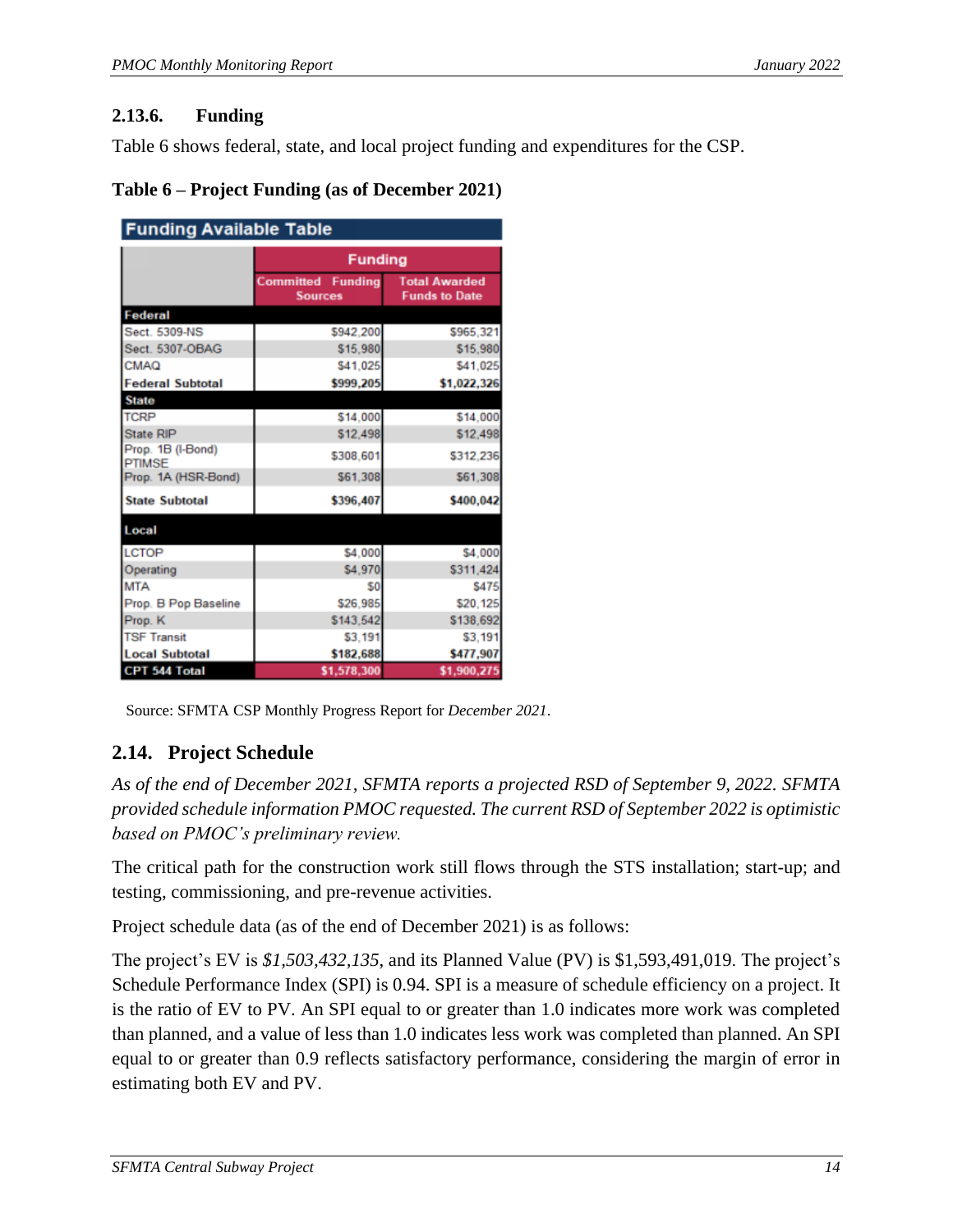### **2.13.6. Funding**

Table 6 shows federal, state, and local project funding and expenditures for the CSP.

#### <span id="page-17-1"></span>**Table 6 – Project Funding (as of December 2021)**

| <b>Funding Available Table</b> |                                     |                                              |  |  |
|--------------------------------|-------------------------------------|----------------------------------------------|--|--|
|                                | <b>Funding</b>                      |                                              |  |  |
|                                | Committed Funding<br><b>Sources</b> | <b>Total Awarded</b><br><b>Funds to Date</b> |  |  |
| Federal                        |                                     |                                              |  |  |
| Sect. 5309-NS                  | \$942.200                           | \$965,321                                    |  |  |
| Sect. 5307-OBAG                | \$15,980                            | \$15,980                                     |  |  |
| <b>CMAQ</b>                    | \$41,025                            | \$41,025                                     |  |  |
| <b>Federal Subtotal</b>        | \$999,205                           | \$1,022,326                                  |  |  |
| <b>State</b>                   |                                     |                                              |  |  |
| <b>TCRP</b>                    | \$14,000                            | \$14,000                                     |  |  |
| <b>State RIP</b>               | \$12,498                            | \$12,498                                     |  |  |
| Prop. 1B (I-Bond)<br>PTIMSE    | \$308.601                           | \$312,236                                    |  |  |
| Prop. 1A (HSR-Bond)            | \$61,308                            | \$61,308                                     |  |  |
| <b>State Subtotal</b>          | \$396,407                           | \$400.042                                    |  |  |
| Local                          |                                     |                                              |  |  |
| <b>LCTOP</b>                   | \$4,000                             | \$4,000                                      |  |  |
| Operating                      | \$4,970                             | \$311,424                                    |  |  |
| <b>MTA</b>                     | \$0                                 | <b>S475</b>                                  |  |  |
| Prop. B Pop Baseline           | \$26,985                            | \$20,125                                     |  |  |
| Prop. K                        | \$143.542                           | \$138,692                                    |  |  |
| <b>TSF Transit</b>             | \$3,191                             | \$3,191                                      |  |  |
| <b>Local Subtotal</b>          | \$182,688                           | \$477,907                                    |  |  |
| CPT 544 Total                  | \$1,578,300                         | \$1,900,275                                  |  |  |

Source: SFMTA CSP Monthly Progress Report for *December 2021*.

# <span id="page-17-0"></span>**2.14. Project Schedule**

*As of the end of December 2021, SFMTA reports a projected RSD of September 9, 2022. SFMTA provided schedule information PMOC requested. The current RSD of September 2022 is optimistic based on PMOC's preliminary review.*

The critical path for the construction work still flows through the STS installation; start-up; and testing, commissioning, and pre-revenue activities.

Project schedule data (as of the end of December 2021) is as follows:

The project's EV is *\$1,503,432,135*, and its Planned Value (PV) is \$1,593,491,019. The project's Schedule Performance Index (SPI) is 0.94. SPI is a measure of schedule efficiency on a project. It is the ratio of EV to PV. An SPI equal to or greater than 1.0 indicates more work was completed than planned, and a value of less than 1.0 indicates less work was completed than planned. An SPI equal to or greater than 0.9 reflects satisfactory performance, considering the margin of error in estimating both EV and PV.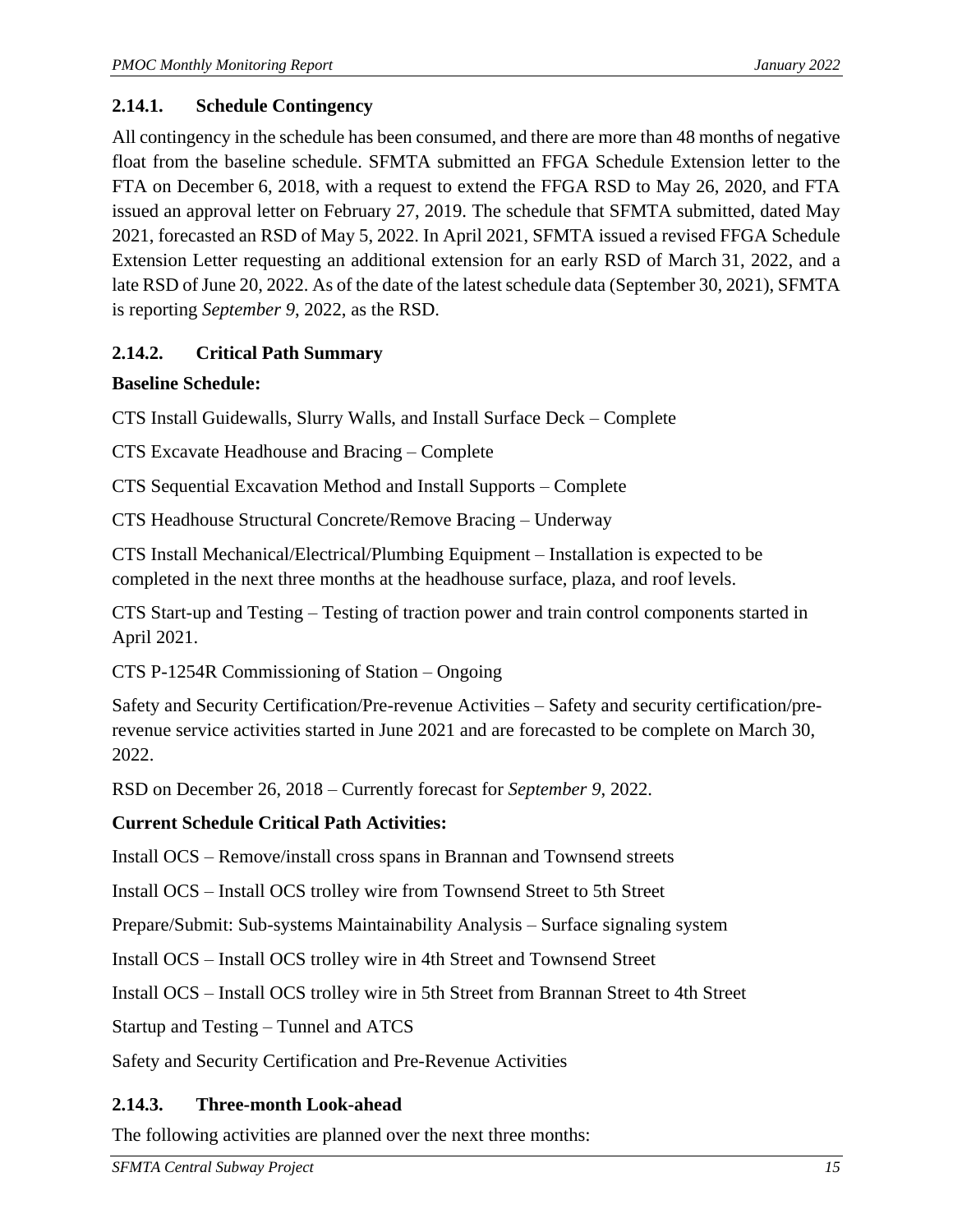## **2.14.1. Schedule Contingency**

All contingency in the schedule has been consumed, and there are more than 48 months of negative float from the baseline schedule. SFMTA submitted an FFGA Schedule Extension letter to the FTA on December 6, 2018, with a request to extend the FFGA RSD to May 26, 2020, and FTA issued an approval letter on February 27, 2019. The schedule that SFMTA submitted, dated May 2021, forecasted an RSD of May 5, 2022. In April 2021, SFMTA issued a revised FFGA Schedule Extension Letter requesting an additional extension for an early RSD of March 31, 2022, and a late RSD of June 20, 2022. As of the date of the latest schedule data (September 30, 2021), SFMTA is reporting *September 9*, 2022, as the RSD.

## **2.14.2. Critical Path Summary**

## **Baseline Schedule:**

CTS Install Guidewalls, Slurry Walls, and Install Surface Deck – Complete

CTS Excavate Headhouse and Bracing – Complete

CTS Sequential Excavation Method and Install Supports – Complete

CTS Headhouse Structural Concrete/Remove Bracing – Underway

CTS Install Mechanical/Electrical/Plumbing Equipment – Installation is expected to be completed in the next three months at the headhouse surface, plaza, and roof levels.

CTS Start-up and Testing – Testing of traction power and train control components started in April 2021.

CTS P-1254R Commissioning of Station – Ongoing

Safety and Security Certification/Pre-revenue Activities – Safety and security certification/prerevenue service activities started in June 2021 and are forecasted to be complete on March 30, 2022.

RSD on December 26, 2018 – Currently forecast for *September 9*, 2022.

## **Current Schedule Critical Path Activities:**

Install OCS – Remove/install cross spans in Brannan and Townsend streets

Install OCS – Install OCS trolley wire from Townsend Street to 5th Street

Prepare/Submit: Sub-systems Maintainability Analysis – Surface signaling system

Install OCS – Install OCS trolley wire in 4th Street and Townsend Street

Install OCS – Install OCS trolley wire in 5th Street from Brannan Street to 4th Street

Startup and Testing – Tunnel and ATCS

Safety and Security Certification and Pre-Revenue Activities

## **2.14.3. Three-month Look-ahead**

The following activities are planned over the next three months: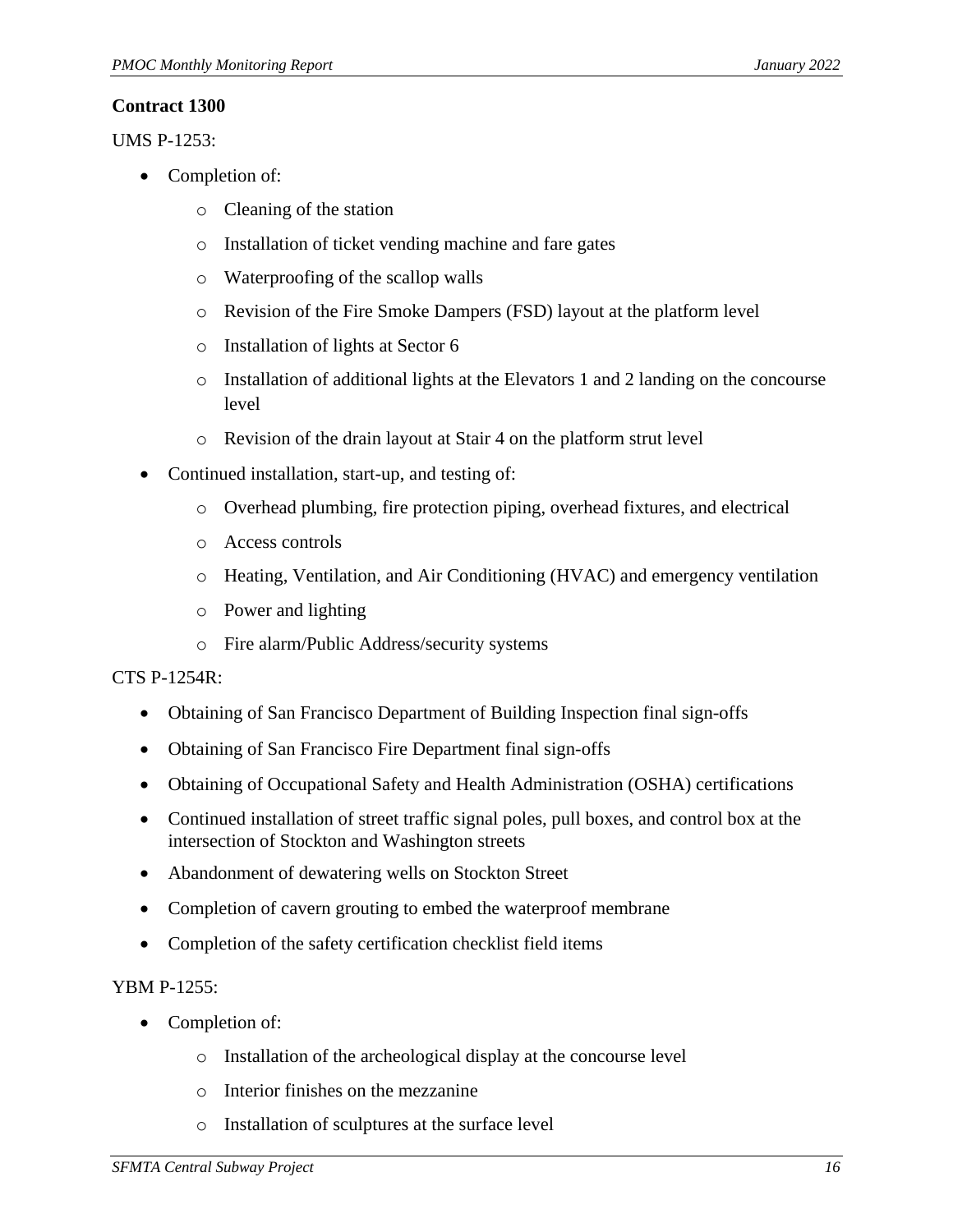#### **Contract 1300**

UMS P-1253:

- Completion of:
	- o Cleaning of the station
	- o Installation of ticket vending machine and fare gates
	- o Waterproofing of the scallop walls
	- o Revision of the Fire Smoke Dampers (FSD) layout at the platform level
	- o Installation of lights at Sector 6
	- o Installation of additional lights at the Elevators 1 and 2 landing on the concourse level
	- o Revision of the drain layout at Stair 4 on the platform strut level
- Continued installation, start-up, and testing of:
	- o Overhead plumbing, fire protection piping, overhead fixtures, and electrical
	- o Access controls
	- o Heating, Ventilation, and Air Conditioning (HVAC) and emergency ventilation
	- o Power and lighting
	- o Fire alarm/Public Address/security systems

#### CTS P-1254R:

- Obtaining of San Francisco Department of Building Inspection final sign-offs
- Obtaining of San Francisco Fire Department final sign-offs
- Obtaining of Occupational Safety and Health Administration (OSHA) certifications
- Continued installation of street traffic signal poles, pull boxes, and control box at the intersection of Stockton and Washington streets
- Abandonment of dewatering wells on Stockton Street
- Completion of cavern grouting to embed the waterproof membrane
- Completion of the safety certification checklist field items

#### YBM P-1255:

- Completion of:
	- o Installation of the archeological display at the concourse level
	- o Interior finishes on the mezzanine
	- o Installation of sculptures at the surface level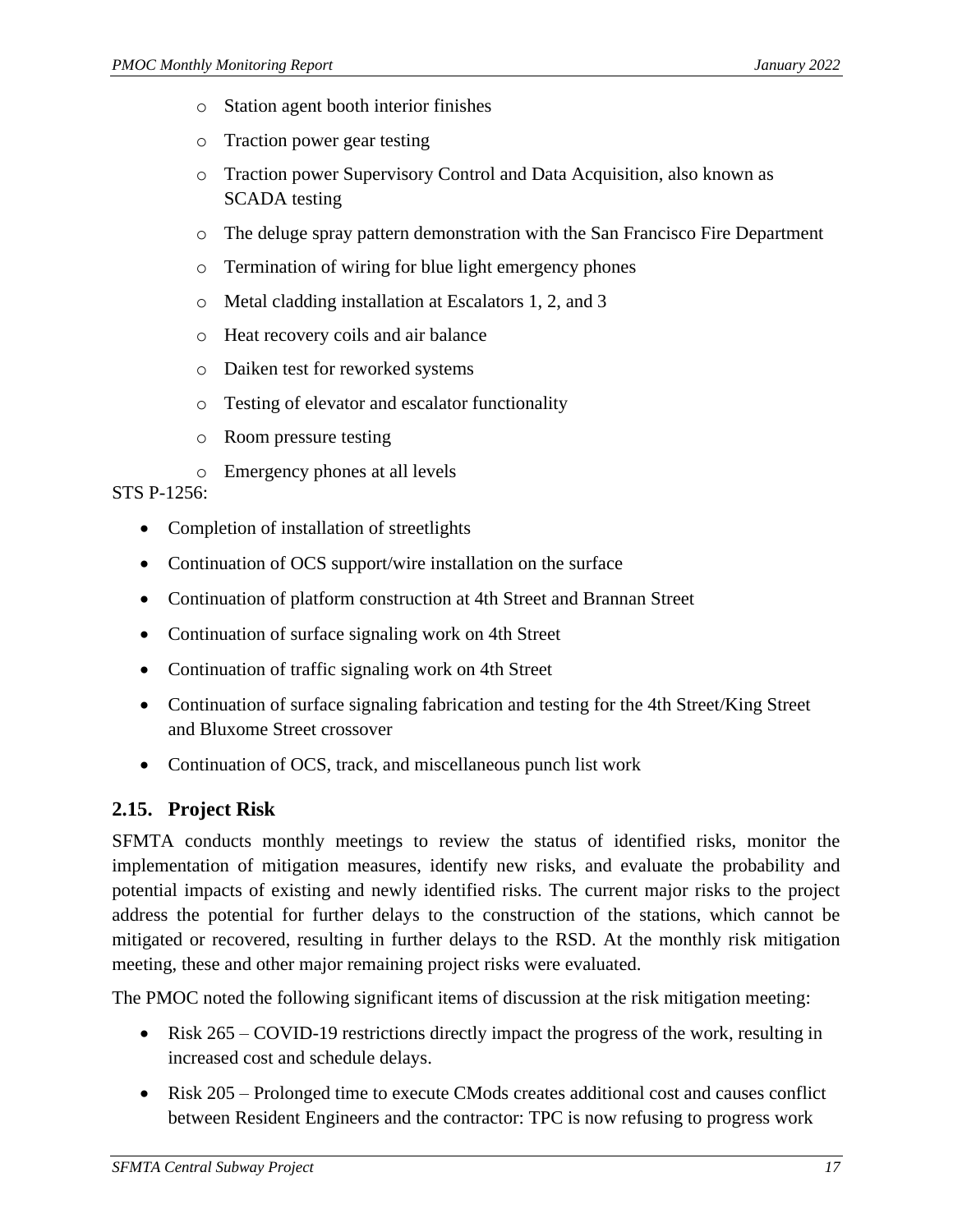- o Station agent booth interior finishes
- o Traction power gear testing
- o Traction power Supervisory Control and Data Acquisition, also known as SCADA testing
- o The deluge spray pattern demonstration with the San Francisco Fire Department
- o Termination of wiring for blue light emergency phones
- o Metal cladding installation at Escalators 1, 2, and 3
- o Heat recovery coils and air balance
- o Daiken test for reworked systems
- o Testing of elevator and escalator functionality
- o Room pressure testing
- o Emergency phones at all levels

#### STS P-1256:

- Completion of installation of streetlights
- Continuation of OCS support/wire installation on the surface
- Continuation of platform construction at 4th Street and Brannan Street
- Continuation of surface signaling work on 4th Street
- Continuation of traffic signaling work on 4th Street
- Continuation of surface signaling fabrication and testing for the 4th Street/King Street and Bluxome Street crossover
- Continuation of OCS, track, and miscellaneous punch list work

## <span id="page-20-0"></span>**2.15. Project Risk**

SFMTA conducts monthly meetings to review the status of identified risks, monitor the implementation of mitigation measures, identify new risks, and evaluate the probability and potential impacts of existing and newly identified risks. The current major risks to the project address the potential for further delays to the construction of the stations, which cannot be mitigated or recovered, resulting in further delays to the RSD. At the monthly risk mitigation meeting, these and other major remaining project risks were evaluated.

The PMOC noted the following significant items of discussion at the risk mitigation meeting:

- Risk 265 COVID-19 restrictions directly impact the progress of the work, resulting in increased cost and schedule delays.
- Risk 205 Prolonged time to execute CMods creates additional cost and causes conflict between Resident Engineers and the contractor: TPC is now refusing to progress work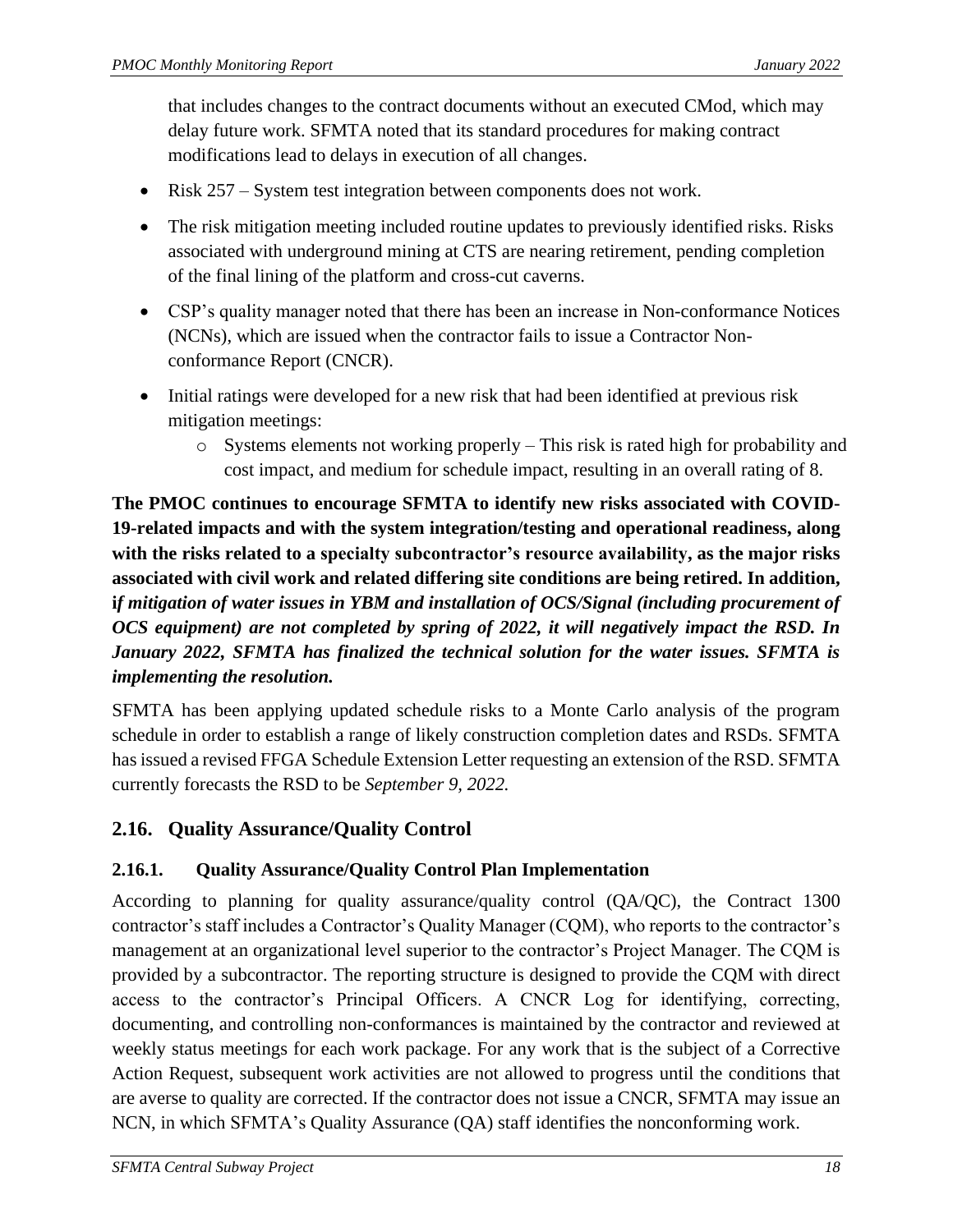that includes changes to the contract documents without an executed CMod, which may delay future work. SFMTA noted that its standard procedures for making contract modifications lead to delays in execution of all changes.

- Risk 257 System test integration between components does not work.
- The risk mitigation meeting included routine updates to previously identified risks. Risks associated with underground mining at CTS are nearing retirement, pending completion of the final lining of the platform and cross-cut caverns.
- CSP's quality manager noted that there has been an increase in Non-conformance Notices (NCNs), which are issued when the contractor fails to issue a Contractor Nonconformance Report (CNCR).
- Initial ratings were developed for a new risk that had been identified at previous risk mitigation meetings:
	- o Systems elements not working properly This risk is rated high for probability and cost impact, and medium for schedule impact, resulting in an overall rating of 8.

**The PMOC continues to encourage SFMTA to identify new risks associated with COVID-19-related impacts and with the system integration/testing and operational readiness, along with the risks related to a specialty subcontractor's resource availability, as the major risks associated with civil work and related differing site conditions are being retired. In addition, i***f mitigation of water issues in YBM and installation of OCS/Signal (including procurement of OCS equipment) are not completed by spring of 2022, it will negatively impact the RSD. In January 2022, SFMTA has finalized the technical solution for the water issues. SFMTA is implementing the resolution.*

SFMTA has been applying updated schedule risks to a Monte Carlo analysis of the program schedule in order to establish a range of likely construction completion dates and RSDs. SFMTA has issued a revised FFGA Schedule Extension Letter requesting an extension of the RSD. SFMTA currently forecasts the RSD to be *September 9, 2022.*

# <span id="page-21-0"></span>**2.16. Quality Assurance/Quality Control**

## **2.16.1. Quality Assurance/Quality Control Plan Implementation**

According to planning for quality assurance/quality control (QA/QC), the Contract 1300 contractor's staff includes a Contractor's Quality Manager (CQM), who reports to the contractor's management at an organizational level superior to the contractor's Project Manager. The CQM is provided by a subcontractor. The reporting structure is designed to provide the CQM with direct access to the contractor's Principal Officers. A CNCR Log for identifying, correcting, documenting, and controlling non-conformances is maintained by the contractor and reviewed at weekly status meetings for each work package. For any work that is the subject of a Corrective Action Request, subsequent work activities are not allowed to progress until the conditions that are averse to quality are corrected. If the contractor does not issue a CNCR, SFMTA may issue an NCN, in which SFMTA's Quality Assurance (QA) staff identifies the nonconforming work.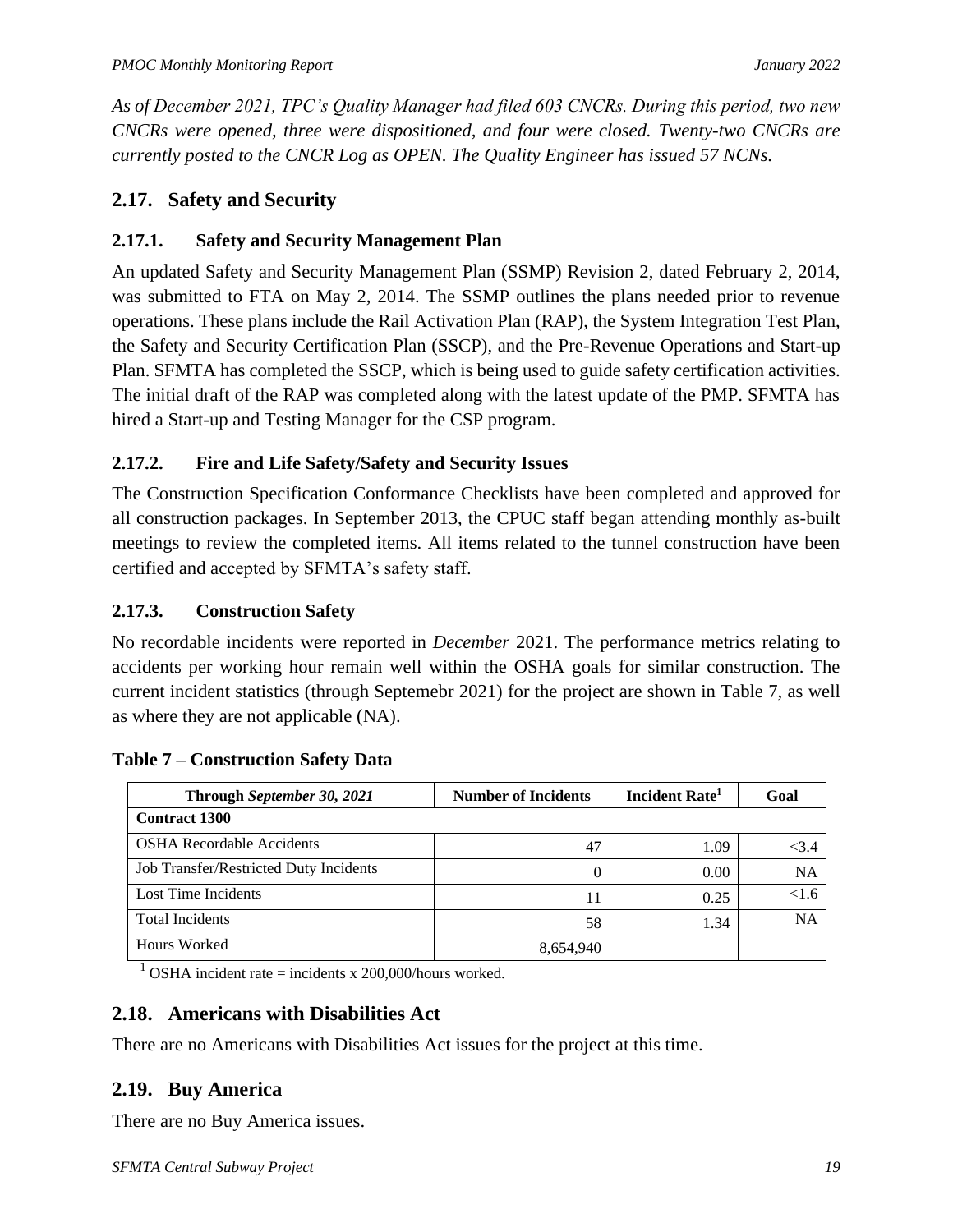*As of December 2021, TPC's Quality Manager had filed 603 CNCRs. During this period, two new CNCRs were opened, three were dispositioned, and four were closed. Twenty-two CNCRs are currently posted to the CNCR Log as OPEN. The Quality Engineer has issued 57 NCNs.*

### <span id="page-22-0"></span>**2.17. Safety and Security**

### **2.17.1. Safety and Security Management Plan**

An updated Safety and Security Management Plan (SSMP) Revision 2, dated February 2, 2014, was submitted to FTA on May 2, 2014. The SSMP outlines the plans needed prior to revenue operations. These plans include the Rail Activation Plan (RAP), the System Integration Test Plan, the Safety and Security Certification Plan (SSCP), and the Pre-Revenue Operations and Start-up Plan. SFMTA has completed the SSCP, which is being used to guide safety certification activities. The initial draft of the RAP was completed along with the latest update of the PMP. SFMTA has hired a Start-up and Testing Manager for the CSP program.

### **2.17.2. Fire and Life Safety/Safety and Security Issues**

The Construction Specification Conformance Checklists have been completed and approved for all construction packages. In September 2013, the CPUC staff began attending monthly as-built meetings to review the completed items. All items related to the tunnel construction have been certified and accepted by SFMTA's safety staff.

#### **2.17.3. Construction Safety**

No recordable incidents were reported in *December* 2021. The performance metrics relating to accidents per working hour remain well within the OSHA goals for similar construction. The current incident statistics (through Septemebr 2021) for the project are shown in Table 7, as well as where they are not applicable (NA).

| Through September 30, 2021             | <b>Number of Incidents</b> | Incident Rate <sup>1</sup> | Goal      |
|----------------------------------------|----------------------------|----------------------------|-----------|
| <b>Contract 1300</b>                   |                            |                            |           |
| <b>OSHA Recordable Accidents</b>       | 47                         | 1.09                       | < 3.4     |
| Job Transfer/Restricted Duty Incidents | 0                          | 0.00                       | <b>NA</b> |
| Lost Time Incidents                    | 11                         | 0.25                       | <1.6      |
| <b>Total Incidents</b>                 | 58                         | 1.34                       | <b>NA</b> |
| Hours Worked                           | 8,654,940                  |                            |           |

#### <span id="page-22-3"></span>**Table 7 – Construction Safety Data**

<sup>1</sup> OSHA incident rate = incidents x 200,000/hours worked.

### <span id="page-22-1"></span>**2.18. Americans with Disabilities Act**

There are no Americans with Disabilities Act issues for the project at this time.

### <span id="page-22-2"></span>**2.19. Buy America**

There are no Buy America issues.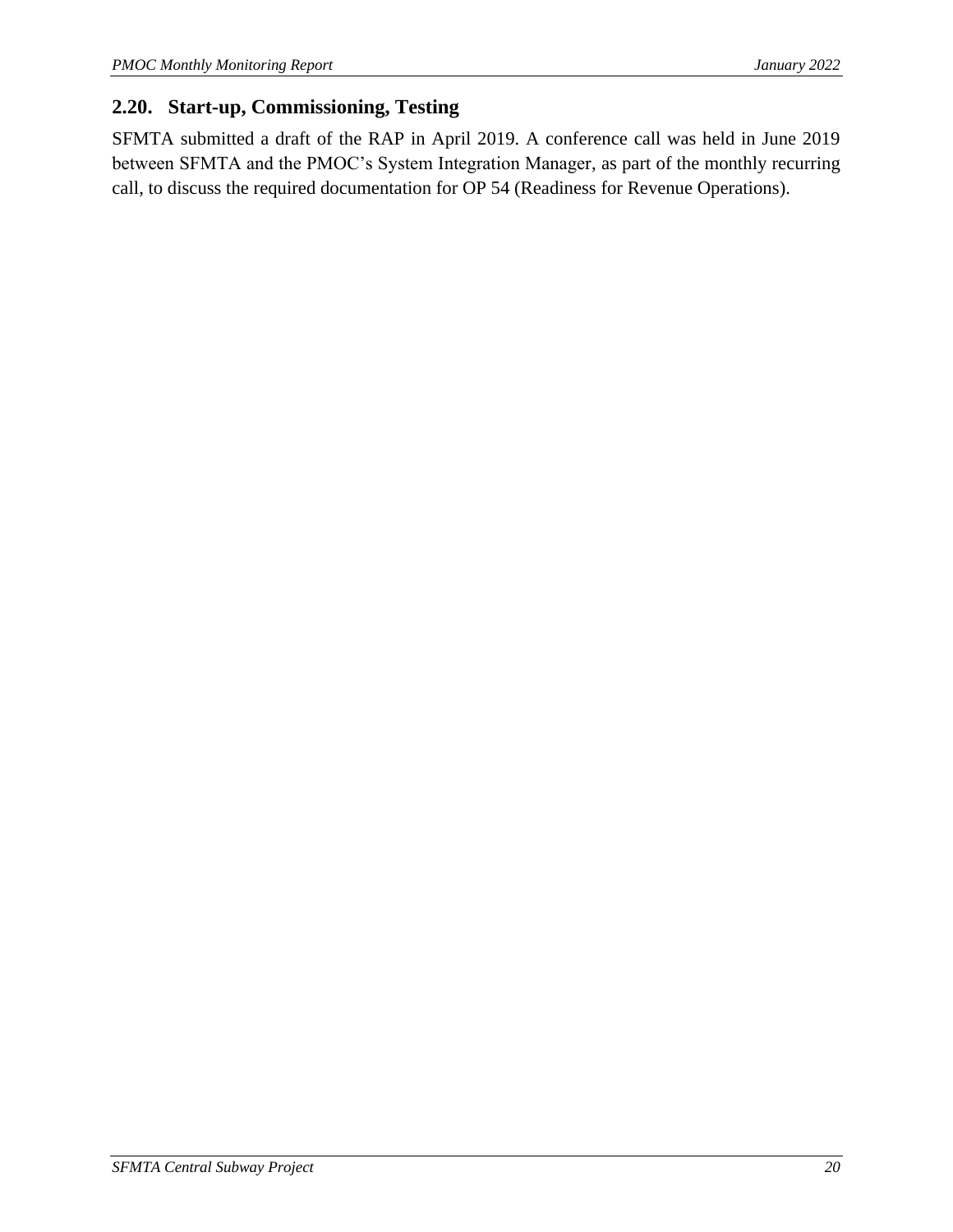## <span id="page-23-0"></span>**2.20. Start-up, Commissioning, Testing**

SFMTA submitted a draft of the RAP in April 2019. A conference call was held in June 2019 between SFMTA and the PMOC's System Integration Manager, as part of the monthly recurring call, to discuss the required documentation for OP 54 (Readiness for Revenue Operations).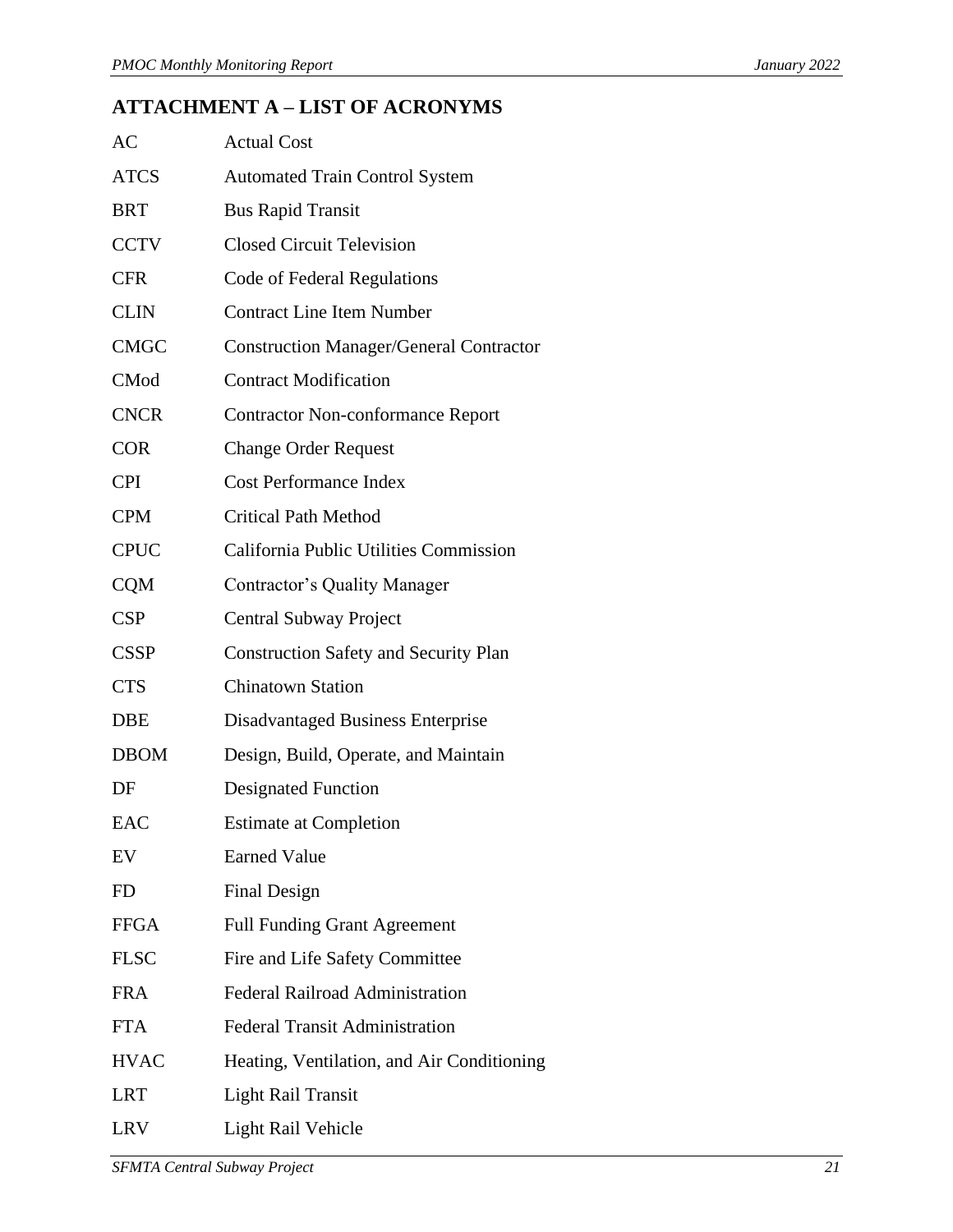# <span id="page-24-0"></span>**ATTACHMENT A – LIST OF ACRONYMS**

| AC          | <b>Actual Cost</b>                             |
|-------------|------------------------------------------------|
| <b>ATCS</b> | <b>Automated Train Control System</b>          |
| <b>BRT</b>  | <b>Bus Rapid Transit</b>                       |
| <b>CCTV</b> | <b>Closed Circuit Television</b>               |
| <b>CFR</b>  | Code of Federal Regulations                    |
| <b>CLIN</b> | <b>Contract Line Item Number</b>               |
| <b>CMGC</b> | <b>Construction Manager/General Contractor</b> |
| <b>CMod</b> | <b>Contract Modification</b>                   |
| <b>CNCR</b> | <b>Contractor Non-conformance Report</b>       |
| <b>COR</b>  | <b>Change Order Request</b>                    |
| <b>CPI</b>  | <b>Cost Performance Index</b>                  |
| <b>CPM</b>  | <b>Critical Path Method</b>                    |
| <b>CPUC</b> | California Public Utilities Commission         |
| <b>CQM</b>  | <b>Contractor's Quality Manager</b>            |
| <b>CSP</b>  | Central Subway Project                         |
| <b>CSSP</b> | <b>Construction Safety and Security Plan</b>   |
| <b>CTS</b>  | <b>Chinatown Station</b>                       |
| DBE         | <b>Disadvantaged Business Enterprise</b>       |
| <b>DBOM</b> | Design, Build, Operate, and Maintain           |
| DF          | <b>Designated Function</b>                     |
| EAC         | <b>Estimate at Completion</b>                  |
| EV          | <b>Earned Value</b>                            |
| FD          | <b>Final Design</b>                            |
| <b>FFGA</b> | <b>Full Funding Grant Agreement</b>            |
| <b>FLSC</b> | Fire and Life Safety Committee                 |
| <b>FRA</b>  | <b>Federal Railroad Administration</b>         |
| <b>FTA</b>  | <b>Federal Transit Administration</b>          |
| <b>HVAC</b> | Heating, Ventilation, and Air Conditioning     |
| <b>LRT</b>  | <b>Light Rail Transit</b>                      |
| LRV         | Light Rail Vehicle                             |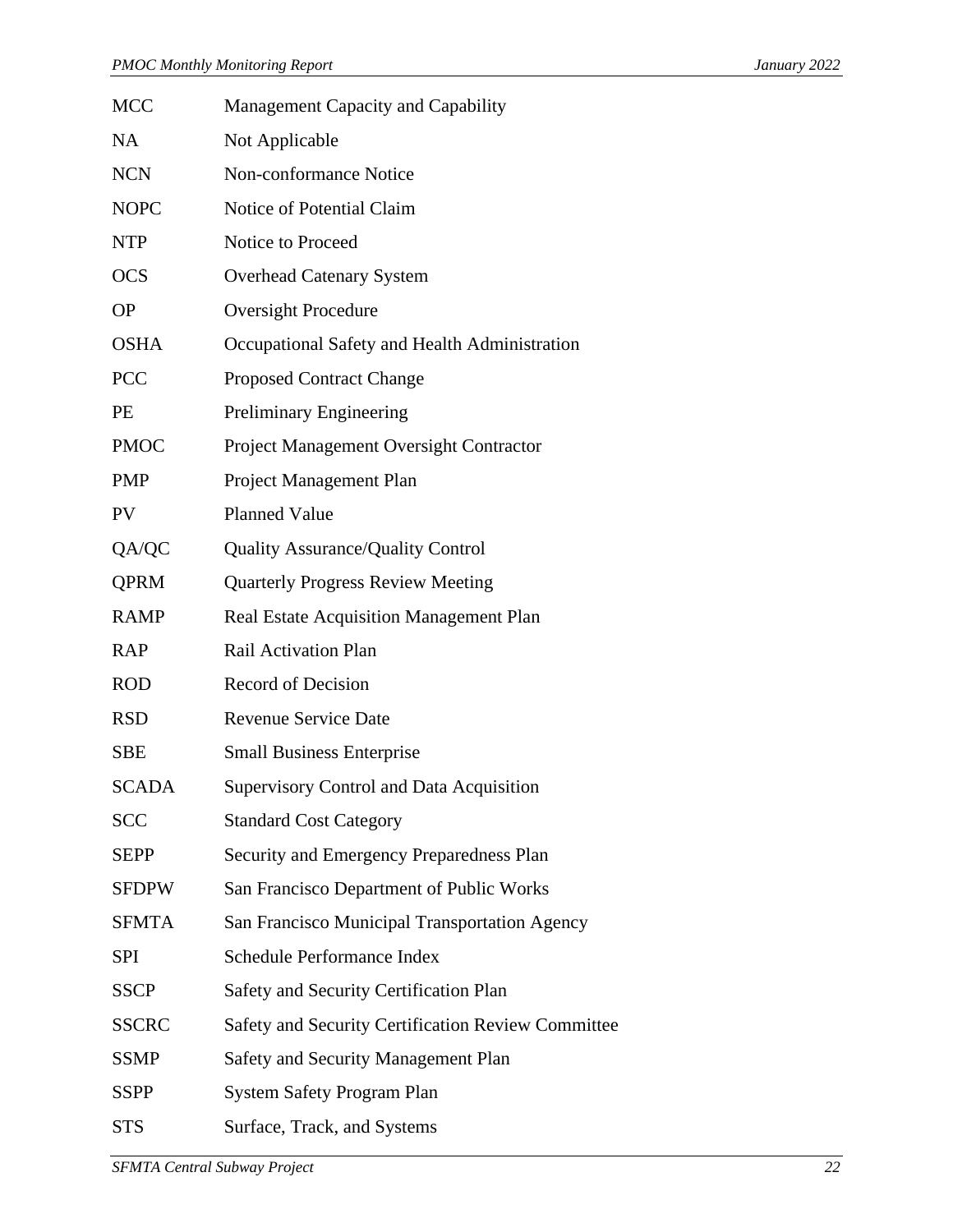| MCC          | Management Capacity and Capability                 |
|--------------|----------------------------------------------------|
| NA           | Not Applicable                                     |
| <b>NCN</b>   | Non-conformance Notice                             |
| <b>NOPC</b>  | Notice of Potential Claim                          |
| NTP          | Notice to Proceed                                  |
| <b>OCS</b>   | <b>Overhead Catenary System</b>                    |
| <b>OP</b>    | <b>Oversight Procedure</b>                         |
| <b>OSHA</b>  | Occupational Safety and Health Administration      |
| PCC          | <b>Proposed Contract Change</b>                    |
| PE           | Preliminary Engineering                            |
| <b>PMOC</b>  | Project Management Oversight Contractor            |
| <b>PMP</b>   | Project Management Plan                            |
| PV           | <b>Planned Value</b>                               |
| QA/QC        | <b>Quality Assurance/Quality Control</b>           |
| <b>QPRM</b>  | <b>Quarterly Progress Review Meeting</b>           |
| <b>RAMP</b>  | Real Estate Acquisition Management Plan            |
| <b>RAP</b>   | Rail Activation Plan                               |
| <b>ROD</b>   | <b>Record of Decision</b>                          |
| <b>RSD</b>   | <b>Revenue Service Date</b>                        |
| <b>SBE</b>   | <b>Small Business Enterprise</b>                   |
| <b>SCADA</b> | <b>Supervisory Control and Data Acquisition</b>    |
| SCC          | <b>Standard Cost Category</b>                      |
| <b>SEPP</b>  | Security and Emergency Preparedness Plan           |
| <b>SFDPW</b> | San Francisco Department of Public Works           |
| <b>SFMTA</b> | San Francisco Municipal Transportation Agency      |
| <b>SPI</b>   | Schedule Performance Index                         |
| <b>SSCP</b>  | Safety and Security Certification Plan             |
| <b>SSCRC</b> | Safety and Security Certification Review Committee |
| <b>SSMP</b>  | Safety and Security Management Plan                |
| <b>SSPP</b>  | <b>System Safety Program Plan</b>                  |
| <b>STS</b>   | Surface, Track, and Systems                        |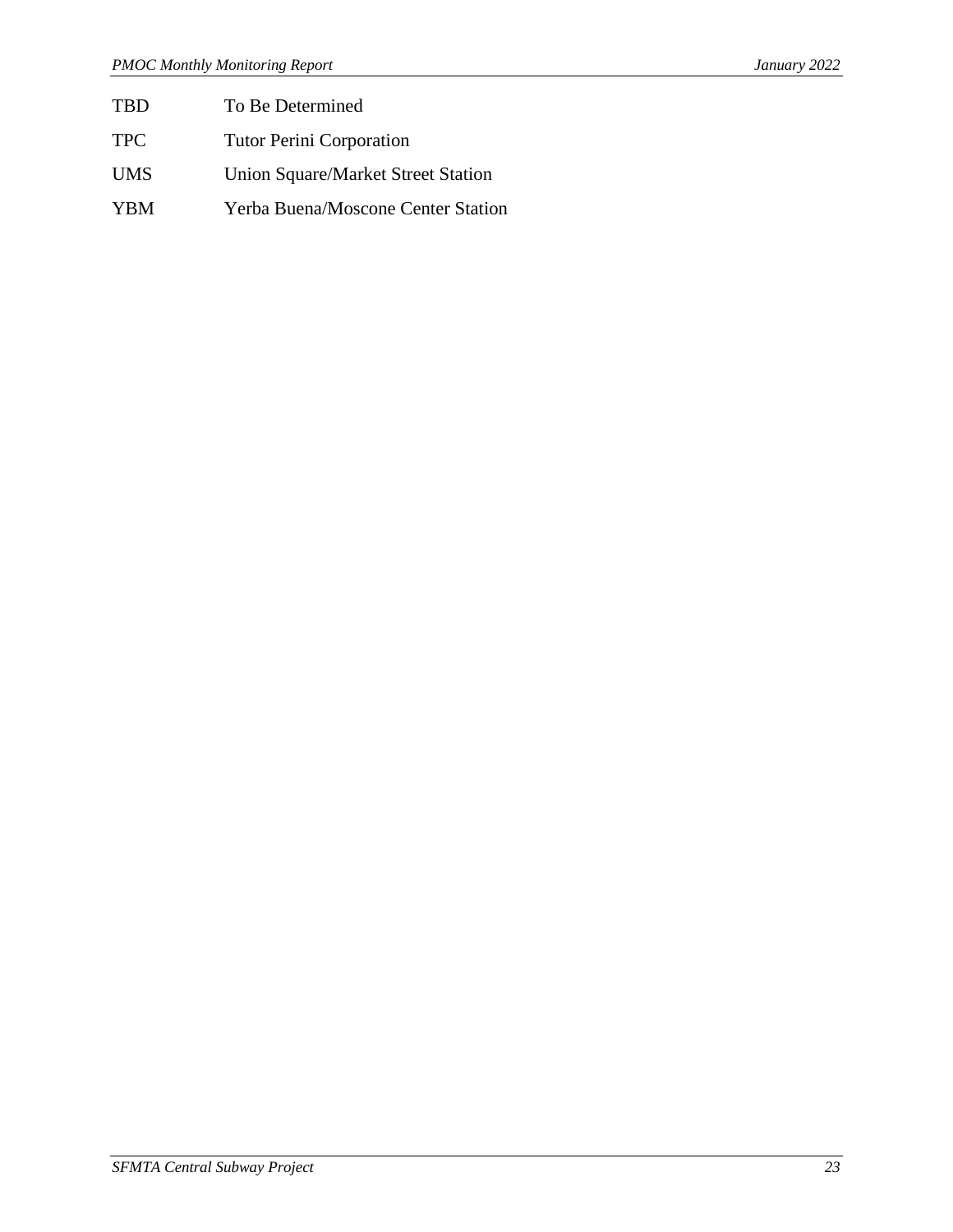- TBD To Be Determined
- TPC Tutor Perini Corporation
- UMS Union Square/Market Street Station
- YBM Yerba Buena/Moscone Center Station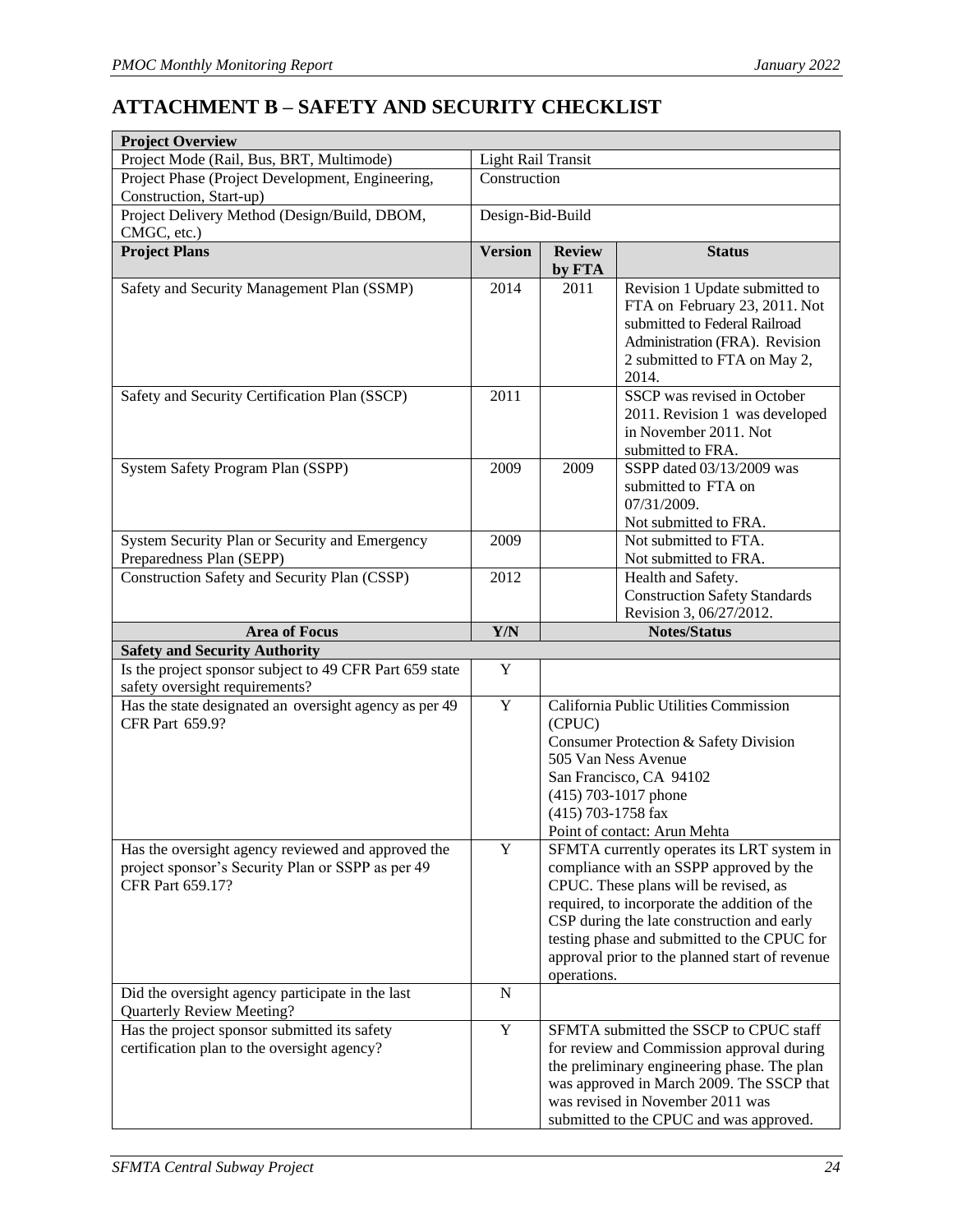# <span id="page-27-0"></span>**ATTACHMENT B – SAFETY AND SECURITY CHECKLIST**

| <b>Project Overview</b>                                                                                                     |                           |                              |                                                                                                                                                                                                                                                                                                                               |
|-----------------------------------------------------------------------------------------------------------------------------|---------------------------|------------------------------|-------------------------------------------------------------------------------------------------------------------------------------------------------------------------------------------------------------------------------------------------------------------------------------------------------------------------------|
| Project Mode (Rail, Bus, BRT, Multimode)                                                                                    | <b>Light Rail Transit</b> |                              |                                                                                                                                                                                                                                                                                                                               |
| Project Phase (Project Development, Engineering,<br>Construction, Start-up)                                                 | Construction              |                              |                                                                                                                                                                                                                                                                                                                               |
| Project Delivery Method (Design/Build, DBOM,                                                                                | Design-Bid-Build          |                              |                                                                                                                                                                                                                                                                                                                               |
| CMGC, etc.)                                                                                                                 |                           |                              |                                                                                                                                                                                                                                                                                                                               |
| <b>Project Plans</b>                                                                                                        | <b>Version</b>            | <b>Review</b><br>by FTA      | <b>Status</b>                                                                                                                                                                                                                                                                                                                 |
| Safety and Security Management Plan (SSMP)                                                                                  | 2014                      | 2011                         | Revision 1 Update submitted to<br>FTA on February 23, 2011. Not<br>submitted to Federal Railroad<br>Administration (FRA). Revision<br>2 submitted to FTA on May 2,<br>2014.                                                                                                                                                   |
| Safety and Security Certification Plan (SSCP)                                                                               | 2011                      |                              | SSCP was revised in October<br>2011. Revision 1 was developed<br>in November 2011. Not<br>submitted to FRA.                                                                                                                                                                                                                   |
| System Safety Program Plan (SSPP)                                                                                           | 2009                      | 2009                         | SSPP dated 03/13/2009 was<br>submitted to FTA on<br>07/31/2009.<br>Not submitted to FRA.                                                                                                                                                                                                                                      |
| System Security Plan or Security and Emergency<br>Preparedness Plan (SEPP)                                                  | 2009                      |                              | Not submitted to FTA.<br>Not submitted to FRA.                                                                                                                                                                                                                                                                                |
| Construction Safety and Security Plan (CSSP)                                                                                | 2012                      |                              | Health and Safety.<br><b>Construction Safety Standards</b><br>Revision 3, 06/27/2012.                                                                                                                                                                                                                                         |
| <b>Area of Focus</b>                                                                                                        | Y/N                       |                              | <b>Notes/Status</b>                                                                                                                                                                                                                                                                                                           |
| <b>Safety and Security Authority</b>                                                                                        |                           |                              |                                                                                                                                                                                                                                                                                                                               |
| Is the project sponsor subject to 49 CFR Part 659 state<br>safety oversight requirements?                                   | Y                         |                              |                                                                                                                                                                                                                                                                                                                               |
| Has the state designated an oversight agency as per 49<br><b>CFR Part 659.9?</b>                                            | $\mathbf Y$               | (CPUC)<br>(415) 703-1758 fax | California Public Utilities Commission<br>Consumer Protection & Safety Division<br>505 Van Ness Avenue<br>San Francisco, CA 94102<br>(415) 703-1017 phone<br>Point of contact: Arun Mehta                                                                                                                                     |
| Has the oversight agency reviewed and approved the<br>project sponsor's Security Plan or SSPP as per 49<br>CFR Part 659.17? | Y                         | operations.                  | SFMTA currently operates its LRT system in<br>compliance with an SSPP approved by the<br>CPUC. These plans will be revised, as<br>required, to incorporate the addition of the<br>CSP during the late construction and early<br>testing phase and submitted to the CPUC for<br>approval prior to the planned start of revenue |
| Did the oversight agency participate in the last<br><b>Quarterly Review Meeting?</b>                                        | N                         |                              |                                                                                                                                                                                                                                                                                                                               |
| Has the project sponsor submitted its safety<br>certification plan to the oversight agency?                                 | $\mathbf Y$               |                              | SFMTA submitted the SSCP to CPUC staff<br>for review and Commission approval during<br>the preliminary engineering phase. The plan<br>was approved in March 2009. The SSCP that<br>was revised in November 2011 was<br>submitted to the CPUC and was approved.                                                                |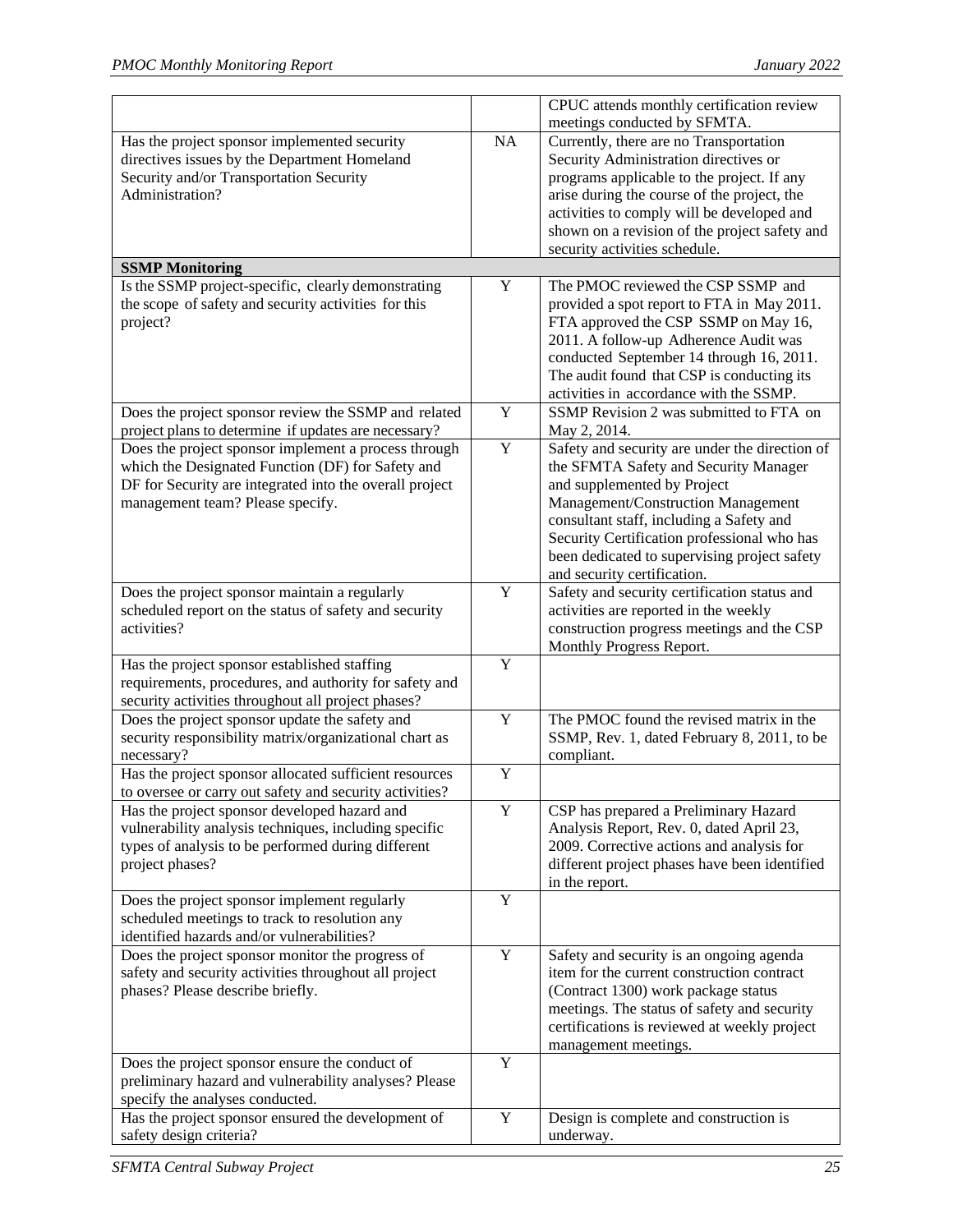|                                                                                                                                                                                                          |             | CPUC attends monthly certification review<br>meetings conducted by SFMTA.                                                                                                                                                                                                                                                              |
|----------------------------------------------------------------------------------------------------------------------------------------------------------------------------------------------------------|-------------|----------------------------------------------------------------------------------------------------------------------------------------------------------------------------------------------------------------------------------------------------------------------------------------------------------------------------------------|
| Has the project sponsor implemented security<br>directives issues by the Department Homeland<br>Security and/or Transportation Security<br>Administration?                                               | NA          | Currently, there are no Transportation<br>Security Administration directives or<br>programs applicable to the project. If any<br>arise during the course of the project, the<br>activities to comply will be developed and<br>shown on a revision of the project safety and                                                            |
| <b>SSMP Monitoring</b>                                                                                                                                                                                   |             | security activities schedule.                                                                                                                                                                                                                                                                                                          |
| Is the SSMP project-specific, clearly demonstrating<br>the scope of safety and security activities for this<br>project?                                                                                  | Y           | The PMOC reviewed the CSP SSMP and<br>provided a spot report to FTA in May 2011.<br>FTA approved the CSP SSMP on May 16,<br>2011. A follow-up Adherence Audit was<br>conducted September 14 through 16, 2011.<br>The audit found that CSP is conducting its                                                                            |
| Does the project sponsor review the SSMP and related<br>project plans to determine if updates are necessary?                                                                                             | Y           | activities in accordance with the SSMP.<br>SSMP Revision 2 was submitted to FTA on<br>May 2, 2014.                                                                                                                                                                                                                                     |
| Does the project sponsor implement a process through<br>which the Designated Function (DF) for Safety and<br>DF for Security are integrated into the overall project<br>management team? Please specify. | Y           | Safety and security are under the direction of<br>the SFMTA Safety and Security Manager<br>and supplemented by Project<br>Management/Construction Management<br>consultant staff, including a Safety and<br>Security Certification professional who has<br>been dedicated to supervising project safety<br>and security certification. |
| Does the project sponsor maintain a regularly<br>scheduled report on the status of safety and security<br>activities?                                                                                    | $\mathbf Y$ | Safety and security certification status and<br>activities are reported in the weekly<br>construction progress meetings and the CSP<br>Monthly Progress Report.                                                                                                                                                                        |
| Has the project sponsor established staffing<br>requirements, procedures, and authority for safety and<br>security activities throughout all project phases?                                             | Y           |                                                                                                                                                                                                                                                                                                                                        |
| Does the project sponsor update the safety and<br>security responsibility matrix/organizational chart as<br>necessary?                                                                                   | Y           | The PMOC found the revised matrix in the<br>SSMP, Rev. 1, dated February 8, 2011, to be<br>compliant.                                                                                                                                                                                                                                  |
| Has the project sponsor allocated sufficient resources<br>to oversee or carry out safety and security activities?                                                                                        | Y           |                                                                                                                                                                                                                                                                                                                                        |
| Has the project sponsor developed hazard and<br>vulnerability analysis techniques, including specific<br>types of analysis to be performed during different<br>project phases?                           | Y           | CSP has prepared a Preliminary Hazard<br>Analysis Report, Rev. 0, dated April 23,<br>2009. Corrective actions and analysis for<br>different project phases have been identified<br>in the report.                                                                                                                                      |
| Does the project sponsor implement regularly<br>scheduled meetings to track to resolution any<br>identified hazards and/or vulnerabilities?                                                              | Y           |                                                                                                                                                                                                                                                                                                                                        |
| Does the project sponsor monitor the progress of<br>safety and security activities throughout all project<br>phases? Please describe briefly.                                                            | Y           | Safety and security is an ongoing agenda<br>item for the current construction contract<br>(Contract 1300) work package status<br>meetings. The status of safety and security<br>certifications is reviewed at weekly project<br>management meetings.                                                                                   |
| Does the project sponsor ensure the conduct of<br>preliminary hazard and vulnerability analyses? Please<br>specify the analyses conducted.                                                               | Y           |                                                                                                                                                                                                                                                                                                                                        |
| Has the project sponsor ensured the development of<br>safety design criteria?                                                                                                                            | Y           | Design is complete and construction is<br>underway.                                                                                                                                                                                                                                                                                    |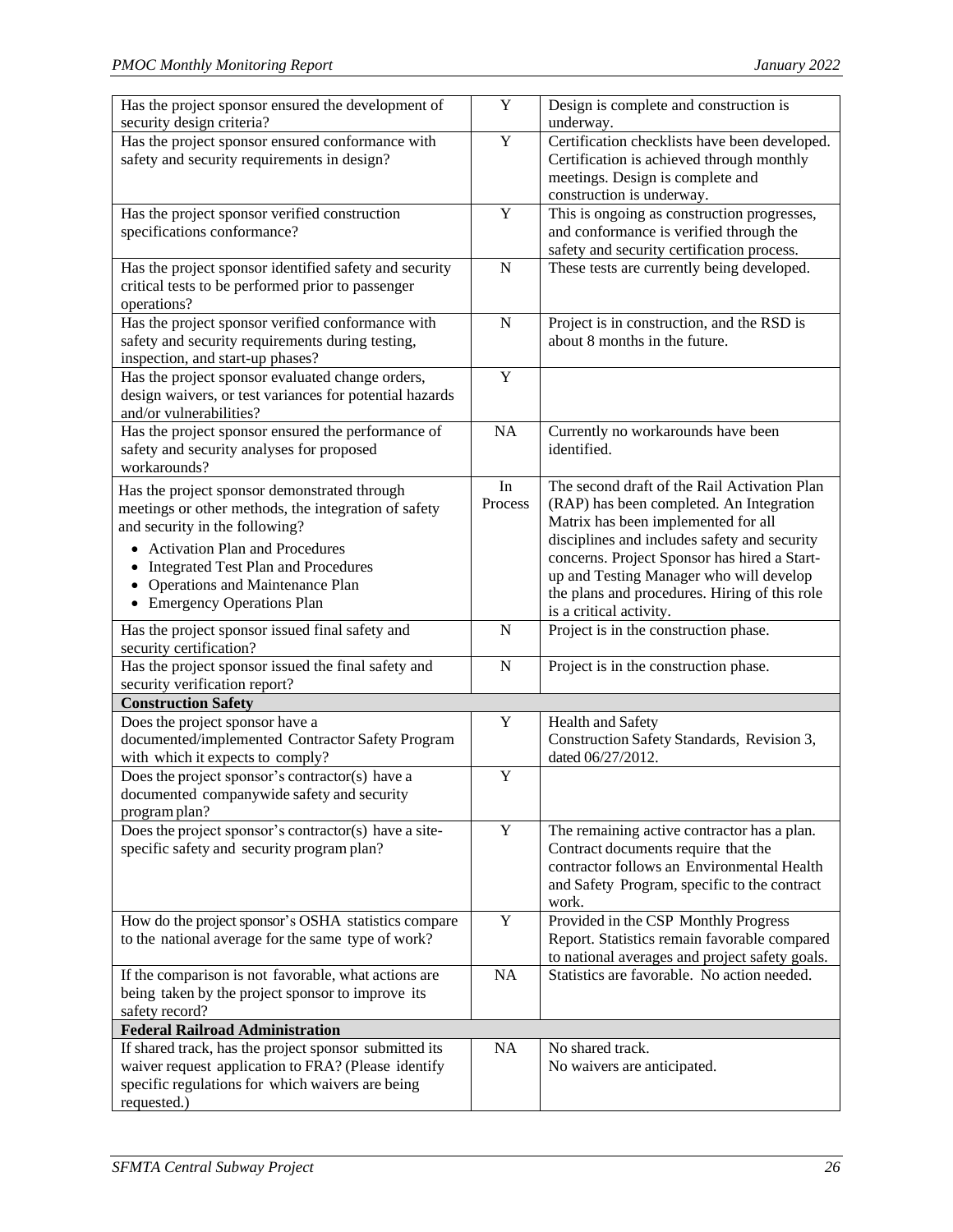| Has the project sponsor ensured the development of      | $\mathbf Y$         | Design is complete and construction is         |
|---------------------------------------------------------|---------------------|------------------------------------------------|
| security design criteria?                               |                     | underway.                                      |
| Has the project sponsor ensured conformance with        | Y                   | Certification checklists have been developed.  |
| safety and security requirements in design?             |                     | Certification is achieved through monthly      |
|                                                         |                     | meetings. Design is complete and               |
|                                                         |                     | construction is underway.                      |
| Has the project sponsor verified construction           | Y                   | This is ongoing as construction progresses,    |
| specifications conformance?                             |                     | and conformance is verified through the        |
|                                                         |                     | safety and security certification process.     |
| Has the project sponsor identified safety and security  | $\mathbf N$         | These tests are currently being developed.     |
|                                                         |                     |                                                |
| critical tests to be performed prior to passenger       |                     |                                                |
| operations?                                             |                     |                                                |
| Has the project sponsor verified conformance with       | $\overline{N}$      | Project is in construction, and the RSD is     |
| safety and security requirements during testing,        |                     | about 8 months in the future.                  |
| inspection, and start-up phases?                        |                     |                                                |
| Has the project sponsor evaluated change orders,        | Y                   |                                                |
| design waivers, or test variances for potential hazards |                     |                                                |
| and/or vulnerabilities?                                 |                     |                                                |
| Has the project sponsor ensured the performance of      | <b>NA</b>           | Currently no workarounds have been             |
| safety and security analyses for proposed               |                     | identified.                                    |
| workarounds?                                            |                     |                                                |
|                                                         | $\operatorname{In}$ | The second draft of the Rail Activation Plan   |
| Has the project sponsor demonstrated through            | Process             |                                                |
| meetings or other methods, the integration of safety    |                     | (RAP) has been completed. An Integration       |
| and security in the following?                          |                     | Matrix has been implemented for all            |
| • Activation Plan and Procedures                        |                     | disciplines and includes safety and security   |
| Integrated Test Plan and Procedures                     |                     | concerns. Project Sponsor has hired a Start-   |
| <b>Operations and Maintenance Plan</b>                  |                     | up and Testing Manager who will develop        |
| • Emergency Operations Plan                             |                     | the plans and procedures. Hiring of this role  |
|                                                         |                     | is a critical activity.                        |
| Has the project sponsor issued final safety and         | $\mathbf N$         | Project is in the construction phase.          |
| security certification?                                 |                     |                                                |
| Has the project sponsor issued the final safety and     | $\mathbf N$         | Project is in the construction phase.          |
| security verification report?                           |                     |                                                |
| <b>Construction Safety</b>                              |                     |                                                |
| Does the project sponsor have a                         | $\mathbf Y$         | Health and Safety                              |
| documented/implemented Contractor Safety Program        |                     | Construction Safety Standards, Revision 3,     |
| with which it expects to comply?                        |                     | dated 06/27/2012.                              |
| Does the project sponsor's contractor(s) have a         | $\mathbf Y$         |                                                |
|                                                         |                     |                                                |
| documented companywide safety and security              |                     |                                                |
| program plan?                                           |                     |                                                |
| Does the project sponsor's contractor(s) have a site-   | $\mathbf Y$         | The remaining active contractor has a plan.    |
| specific safety and security program plan?              |                     | Contract documents require that the            |
|                                                         |                     | contractor follows an Environmental Health     |
|                                                         |                     | and Safety Program, specific to the contract   |
|                                                         |                     | work.                                          |
| How do the project sponsor's OSHA statistics compare    | Y                   | Provided in the CSP Monthly Progress           |
| to the national average for the same type of work?      |                     | Report. Statistics remain favorable compared   |
|                                                         |                     | to national averages and project safety goals. |
| If the comparison is not favorable, what actions are    | NA                  | Statistics are favorable. No action needed.    |
| being taken by the project sponsor to improve its       |                     |                                                |
| safety record?                                          |                     |                                                |
| <b>Federal Railroad Administration</b>                  |                     |                                                |
|                                                         |                     |                                                |
| If shared track, has the project sponsor submitted its  | NA                  | No shared track.                               |
| waiver request application to FRA? (Please identify     |                     | No waivers are anticipated.                    |
| specific regulations for which waivers are being        |                     |                                                |
| requested.)                                             |                     |                                                |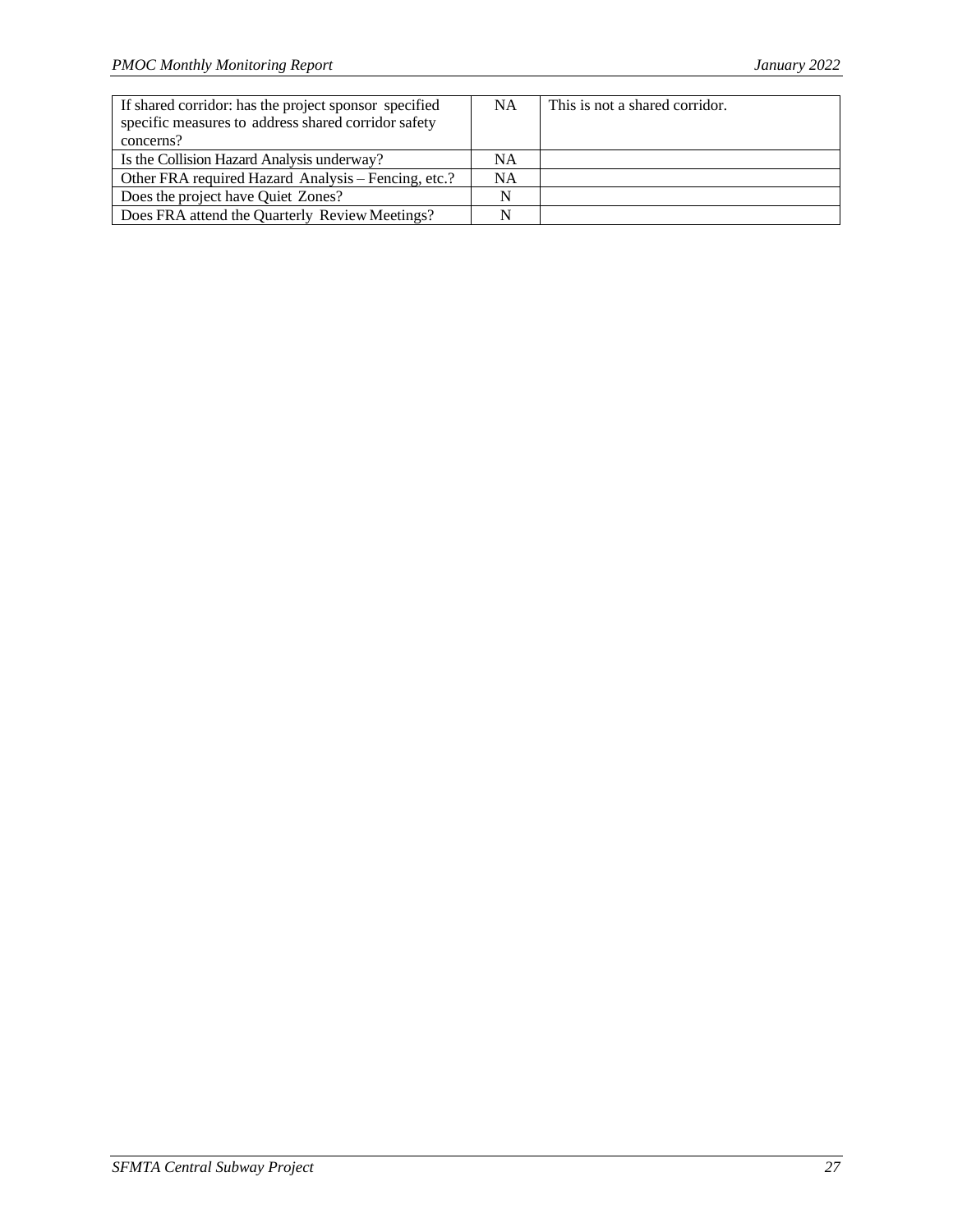| If shared corridor: has the project sponsor specified | <b>NA</b> | This is not a shared corridor. |
|-------------------------------------------------------|-----------|--------------------------------|
| specific measures to address shared corridor safety   |           |                                |
| concerns?                                             |           |                                |
| Is the Collision Hazard Analysis underway?            | NA        |                                |
| Other FRA required Hazard Analysis – Fencing, etc.?   | <b>NA</b> |                                |
| Does the project have Quiet Zones?                    | N         |                                |
| Does FRA attend the Quarterly Review Meetings?        | N         |                                |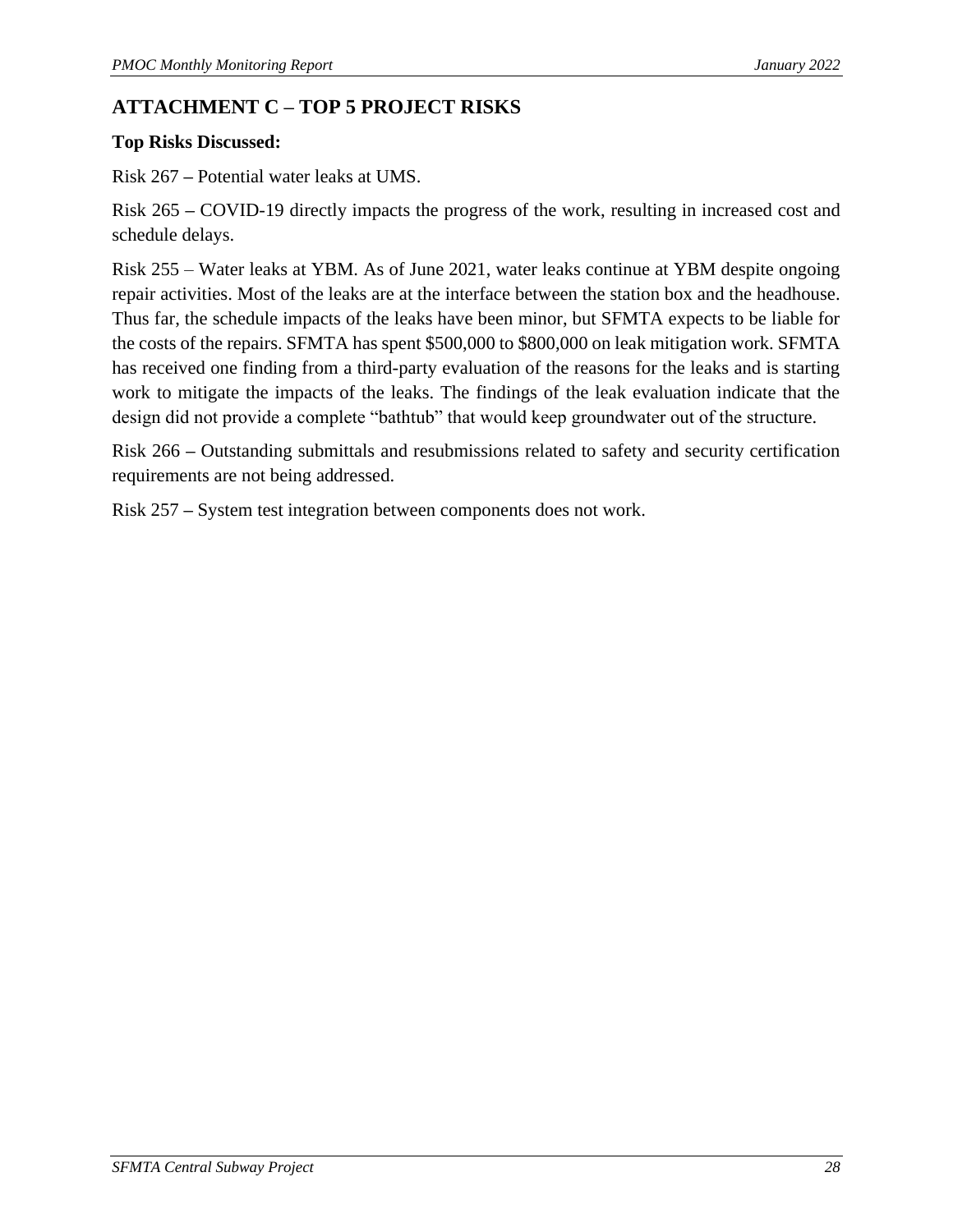# <span id="page-31-0"></span>**ATTACHMENT C – TOP 5 PROJECT RISKS**

#### **Top Risks Discussed:**

Risk 267 **–** Potential water leaks at UMS.

Risk 265 **–** COVID-19 directly impacts the progress of the work, resulting in increased cost and schedule delays.

Risk 255 – Water leaks at YBM. As of June 2021, water leaks continue at YBM despite ongoing repair activities. Most of the leaks are at the interface between the station box and the headhouse. Thus far, the schedule impacts of the leaks have been minor, but SFMTA expects to be liable for the costs of the repairs. SFMTA has spent \$500,000 to \$800,000 on leak mitigation work. SFMTA has received one finding from a third-party evaluation of the reasons for the leaks and is starting work to mitigate the impacts of the leaks. The findings of the leak evaluation indicate that the design did not provide a complete "bathtub" that would keep groundwater out of the structure.

Risk 266 **–** Outstanding submittals and resubmissions related to safety and security certification requirements are not being addressed.

Risk 257 **–** System test integration between components does not work.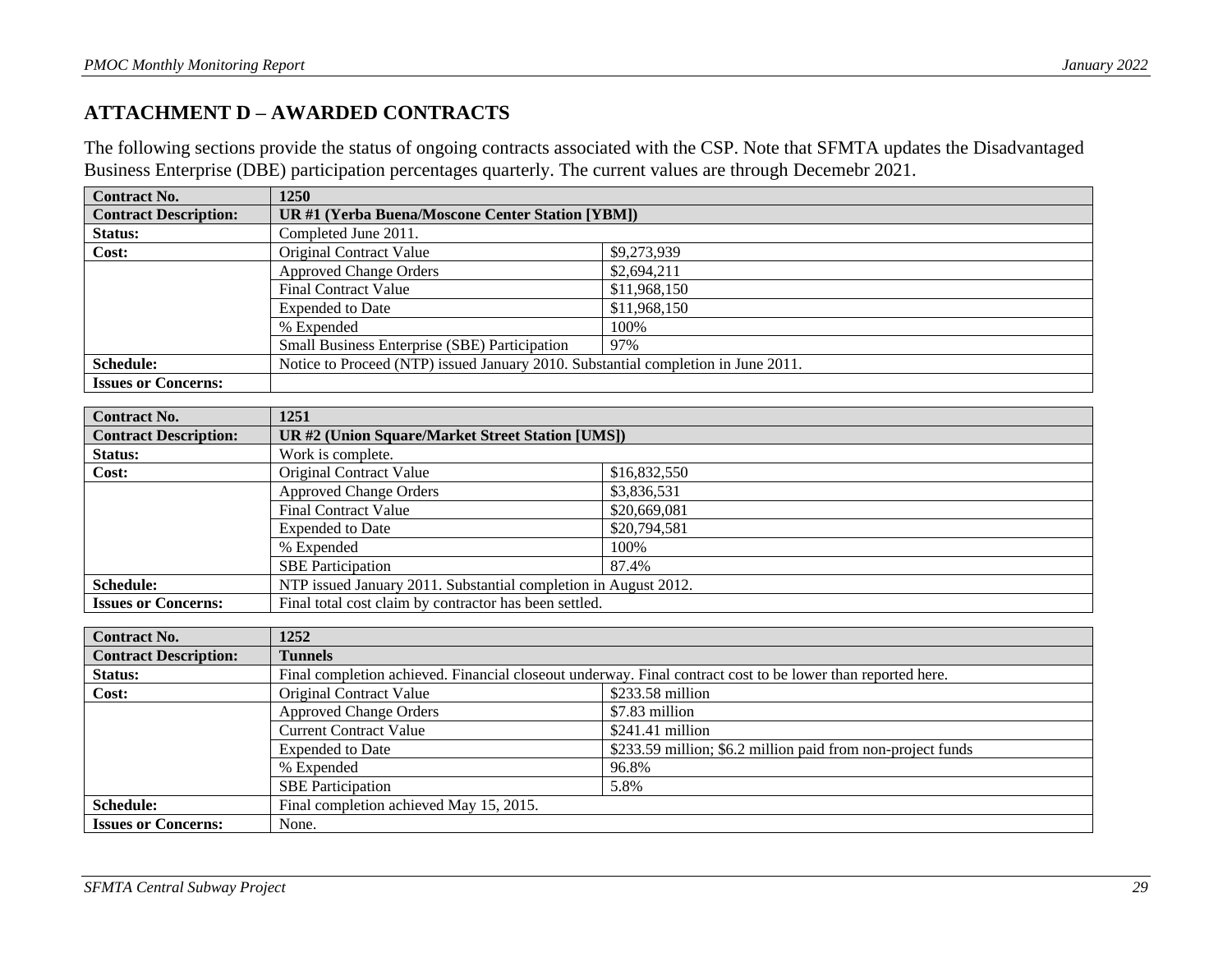## **ATTACHMENT D – AWARDED CONTRACTS**

The following sections provide the status of ongoing contracts associated with the CSP. Note that SFMTA updates the Disadvantaged Business Enterprise (DBE) participation percentages quarterly. The current values are through Decemebr 2021.

| <b>Contract No.</b>          | 1250                                                                              |              |  |
|------------------------------|-----------------------------------------------------------------------------------|--------------|--|
| <b>Contract Description:</b> | UR #1 (Yerba Buena/Moscone Center Station [YBM])                                  |              |  |
| Status:                      | Completed June 2011.                                                              |              |  |
| Cost:                        | Original Contract Value                                                           | \$9,273,939  |  |
|                              | <b>Approved Change Orders</b>                                                     | \$2,694,211  |  |
|                              | <b>Final Contract Value</b>                                                       | \$11,968,150 |  |
|                              | <b>Expended to Date</b>                                                           | \$11,968,150 |  |
|                              | % Expended                                                                        | 100%         |  |
|                              | Small Business Enterprise (SBE) Participation                                     | 97%          |  |
| Schedule:                    | Notice to Proceed (NTP) issued January 2010. Substantial completion in June 2011. |              |  |
| <b>Issues or Concerns:</b>   |                                                                                   |              |  |

<span id="page-32-0"></span>

| <b>Contract No.</b>          | 1251                                                            |              |
|------------------------------|-----------------------------------------------------------------|--------------|
| <b>Contract Description:</b> | <b>UR #2 (Union Square/Market Street Station [UMS])</b>         |              |
| <b>Status:</b>               | Work is complete.                                               |              |
| Cost:                        | <b>Original Contract Value</b>                                  | \$16,832,550 |
|                              | <b>Approved Change Orders</b>                                   | \$3,836,531  |
|                              | <b>Final Contract Value</b>                                     | \$20,669,081 |
|                              | <b>Expended to Date</b>                                         | \$20,794,581 |
|                              | % Expended                                                      | 100%         |
|                              | <b>SBE</b> Participation                                        | 87.4%        |
| <b>Schedule:</b>             | NTP issued January 2011. Substantial completion in August 2012. |              |
| <b>Issues or Concerns:</b>   | Final total cost claim by contractor has been settled.          |              |

| <b>Contract No.</b>          | 1252                                                                                                        |                                                             |  |
|------------------------------|-------------------------------------------------------------------------------------------------------------|-------------------------------------------------------------|--|
| <b>Contract Description:</b> | <b>Tunnels</b>                                                                                              |                                                             |  |
| <b>Status:</b>               | Final completion achieved. Financial closeout underway. Final contract cost to be lower than reported here. |                                                             |  |
| Cost:                        | Original Contract Value                                                                                     | $$233.58$ million                                           |  |
|                              | <b>Approved Change Orders</b>                                                                               | \$7.83 million                                              |  |
|                              | <b>Current Contract Value</b>                                                                               | $$241.41$ million                                           |  |
|                              | <b>Expended to Date</b>                                                                                     | \$233.59 million; \$6.2 million paid from non-project funds |  |
|                              | % Expended                                                                                                  | 96.8%                                                       |  |
|                              | <b>SBE</b> Participation                                                                                    | 5.8%                                                        |  |
| <b>Schedule:</b>             | Final completion achieved May 15, 2015.                                                                     |                                                             |  |
| <b>Issues or Concerns:</b>   | None.                                                                                                       |                                                             |  |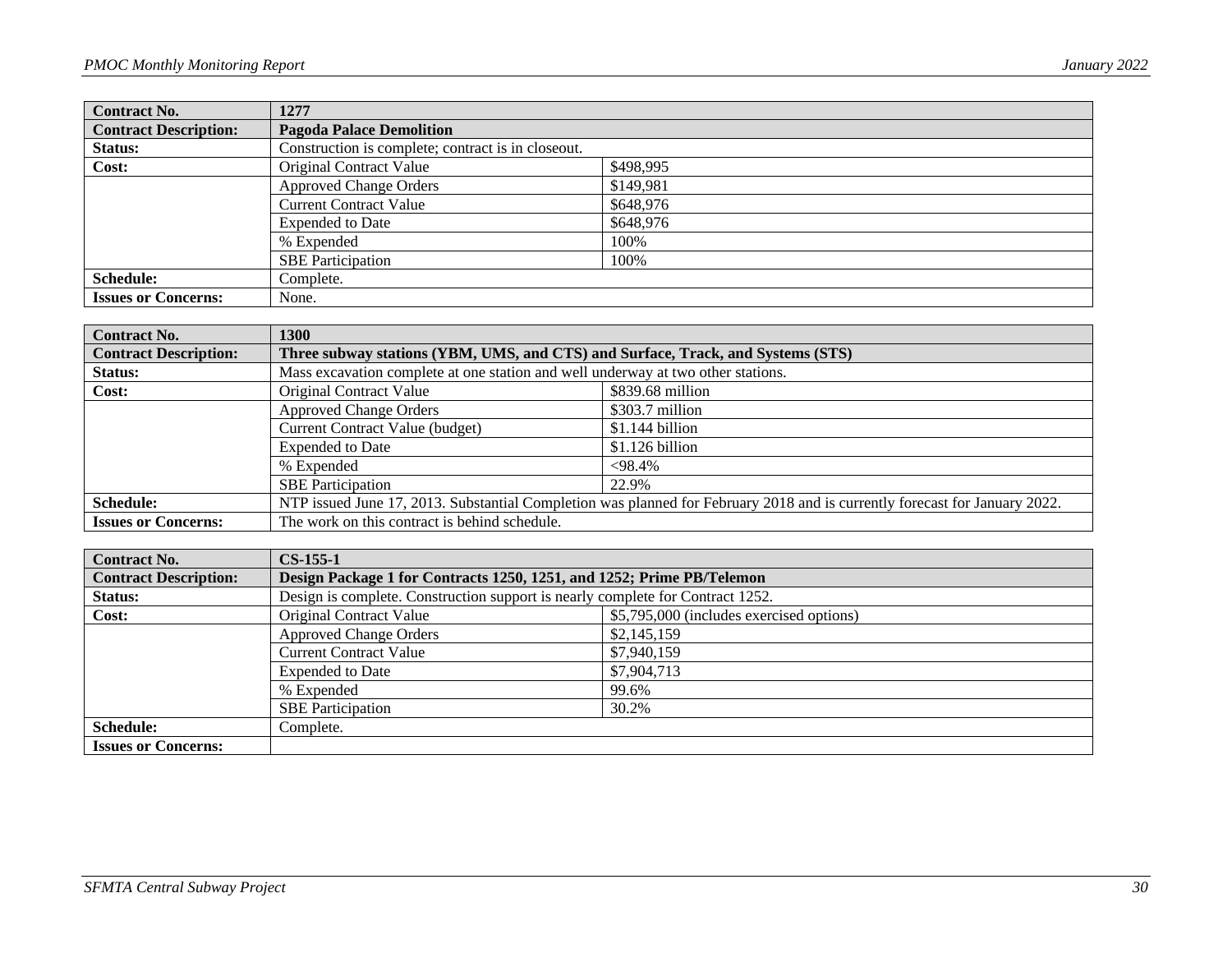| <b>Contract No.</b>          | 1277                                               |           |  |
|------------------------------|----------------------------------------------------|-----------|--|
| <b>Contract Description:</b> | <b>Pagoda Palace Demolition</b>                    |           |  |
| Status:                      | Construction is complete; contract is in closeout. |           |  |
| Cost:                        | <b>Original Contract Value</b>                     | \$498,995 |  |
|                              | <b>Approved Change Orders</b>                      | \$149,981 |  |
|                              | <b>Current Contract Value</b>                      | \$648,976 |  |
|                              | <b>Expended to Date</b>                            | \$648,976 |  |
|                              | % Expended                                         | 100%      |  |
|                              | <b>SBE</b> Participation                           | 100%      |  |
| <b>Schedule:</b>             | Complete.                                          |           |  |
| <b>Issues or Concerns:</b>   | None.                                              |           |  |

| <b>Contract No.</b>          | <b>1300</b>                                                                                                                |                  |  |
|------------------------------|----------------------------------------------------------------------------------------------------------------------------|------------------|--|
| <b>Contract Description:</b> | Three subway stations (YBM, UMS, and CTS) and Surface, Track, and Systems (STS)                                            |                  |  |
| Status:                      | Mass excavation complete at one station and well underway at two other stations.                                           |                  |  |
| Cost:                        | Original Contract Value                                                                                                    | \$839.68 million |  |
|                              | <b>Approved Change Orders</b>                                                                                              | $$303.7$ million |  |
|                              | <b>Current Contract Value (budget)</b>                                                                                     | $$1.144$ billion |  |
|                              | <b>Expended to Date</b>                                                                                                    | \$1.126 billion  |  |
|                              | % Expended                                                                                                                 | $<$ 98.4%        |  |
|                              | <b>SBE</b> Participation                                                                                                   | 22.9%            |  |
| <b>Schedule:</b>             | NTP issued June 17, 2013. Substantial Completion was planned for February 2018 and is currently forecast for January 2022. |                  |  |
| <b>Issues or Concerns:</b>   | The work on this contract is behind schedule.                                                                              |                  |  |

| <b>Contract No.</b>          | $CS-155-1$                                                                     |                                          |  |
|------------------------------|--------------------------------------------------------------------------------|------------------------------------------|--|
| <b>Contract Description:</b> | Design Package 1 for Contracts 1250, 1251, and 1252; Prime PB/Telemon          |                                          |  |
| <b>Status:</b>               | Design is complete. Construction support is nearly complete for Contract 1252. |                                          |  |
| Cost:                        | Original Contract Value                                                        | \$5,795,000 (includes exercised options) |  |
|                              | <b>Approved Change Orders</b>                                                  | \$2,145,159                              |  |
|                              | Current Contract Value                                                         | \$7,940,159                              |  |
|                              | <b>Expended to Date</b>                                                        | \$7,904,713                              |  |
|                              | % Expended                                                                     | 99.6%                                    |  |
|                              | <b>SBE</b> Participation                                                       | 30.2%                                    |  |
| <b>Schedule:</b>             | Complete.                                                                      |                                          |  |
| <b>Issues or Concerns:</b>   |                                                                                |                                          |  |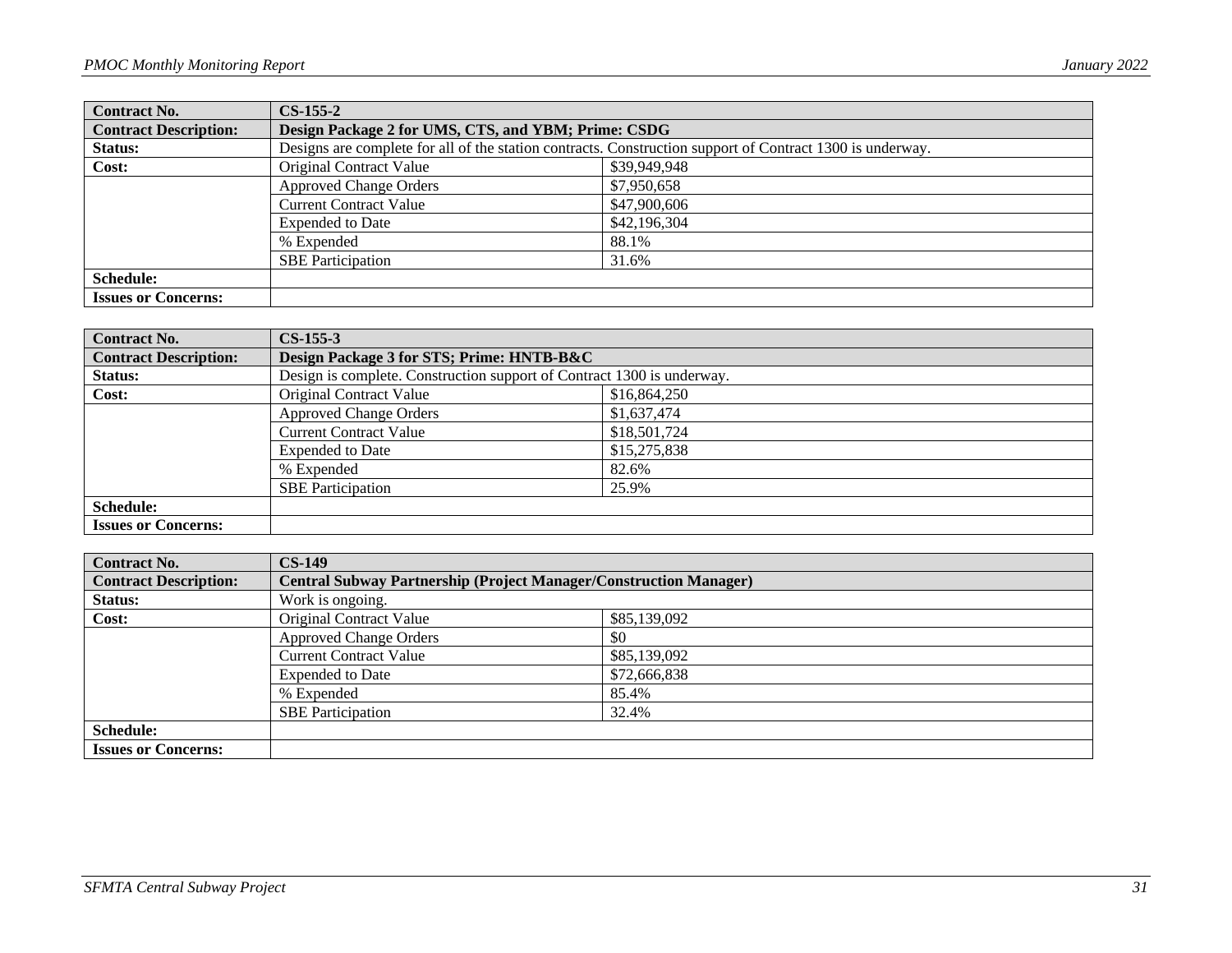| <b>Contract No.</b>          | $CS-155-2$                                                                                                |              |  |
|------------------------------|-----------------------------------------------------------------------------------------------------------|--------------|--|
| <b>Contract Description:</b> | Design Package 2 for UMS, CTS, and YBM; Prime: CSDG                                                       |              |  |
| Status:                      | Designs are complete for all of the station contracts. Construction support of Contract 1300 is underway. |              |  |
| Cost:                        | Original Contract Value                                                                                   | \$39,949,948 |  |
|                              | <b>Approved Change Orders</b>                                                                             | \$7,950,658  |  |
|                              | <b>Current Contract Value</b>                                                                             | \$47,900,606 |  |
|                              | <b>Expended to Date</b>                                                                                   | \$42,196,304 |  |
|                              | % Expended                                                                                                | 88.1%        |  |
|                              | <b>SBE</b> Participation                                                                                  | 31.6%        |  |
| <b>Schedule:</b>             |                                                                                                           |              |  |
| <b>Issues or Concerns:</b>   |                                                                                                           |              |  |

| <b>Contract No.</b>          | $CS-155-3$                                                             |              |
|------------------------------|------------------------------------------------------------------------|--------------|
| <b>Contract Description:</b> | Design Package 3 for STS; Prime: HNTB-B&C                              |              |
| Status:                      | Design is complete. Construction support of Contract 1300 is underway. |              |
| Cost:                        | <b>Original Contract Value</b>                                         | \$16,864,250 |
|                              | <b>Approved Change Orders</b>                                          | \$1,637,474  |
|                              | <b>Current Contract Value</b>                                          | \$18,501,724 |
|                              | <b>Expended to Date</b>                                                | \$15,275,838 |
|                              | % Expended                                                             | 82.6%        |
|                              | <b>SBE</b> Participation                                               | 25.9%        |
| <b>Schedule:</b>             |                                                                        |              |
| <b>Issues or Concerns:</b>   |                                                                        |              |

| <b>Contract No.</b>          | $CS-149$                                                                 |              |
|------------------------------|--------------------------------------------------------------------------|--------------|
| <b>Contract Description:</b> | <b>Central Subway Partnership (Project Manager/Construction Manager)</b> |              |
| Status:                      | Work is ongoing.                                                         |              |
| Cost:                        | <b>Original Contract Value</b>                                           | \$85,139,092 |
|                              | <b>Approved Change Orders</b>                                            | \$0          |
|                              | Current Contract Value                                                   | \$85,139,092 |
|                              | <b>Expended to Date</b>                                                  | \$72,666,838 |
|                              | % Expended                                                               | 85.4%        |
|                              | <b>SBE</b> Participation                                                 | 32.4%        |
| <b>Schedule:</b>             |                                                                          |              |
| <b>Issues or Concerns:</b>   |                                                                          |              |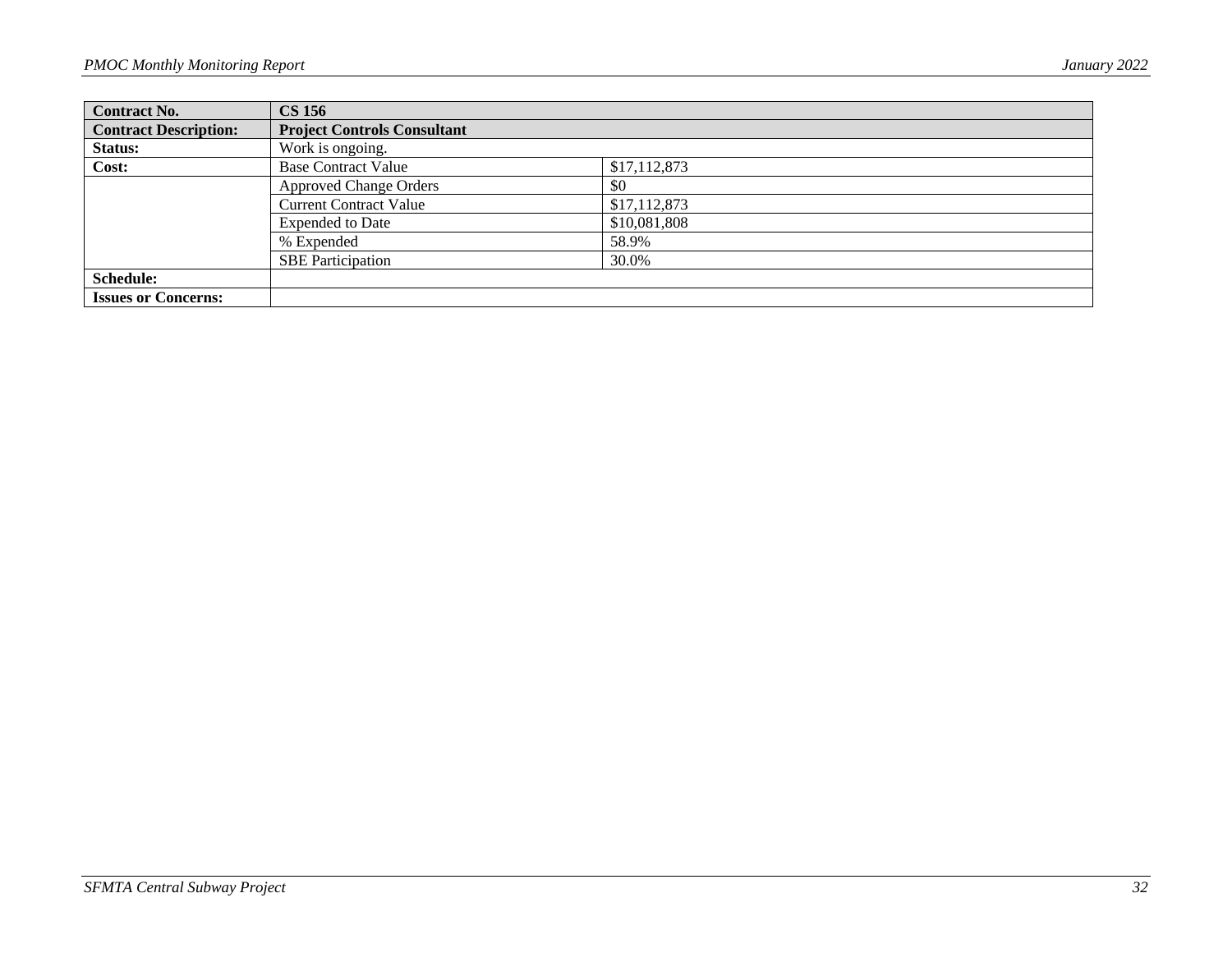| <b>Contract No.</b>          | <b>CS 156</b>                      |              |
|------------------------------|------------------------------------|--------------|
| <b>Contract Description:</b> | <b>Project Controls Consultant</b> |              |
| Status:                      | Work is ongoing.                   |              |
| Cost:                        | <b>Base Contract Value</b>         | \$17,112,873 |
|                              | <b>Approved Change Orders</b>      | \$0          |
|                              | <b>Current Contract Value</b>      | \$17,112,873 |
|                              | <b>Expended to Date</b>            | \$10,081,808 |
|                              | % Expended                         | 58.9%        |
|                              | <b>SBE</b> Participation           | 30.0%        |
| <b>Schedule:</b>             |                                    |              |
| <b>Issues or Concerns:</b>   |                                    |              |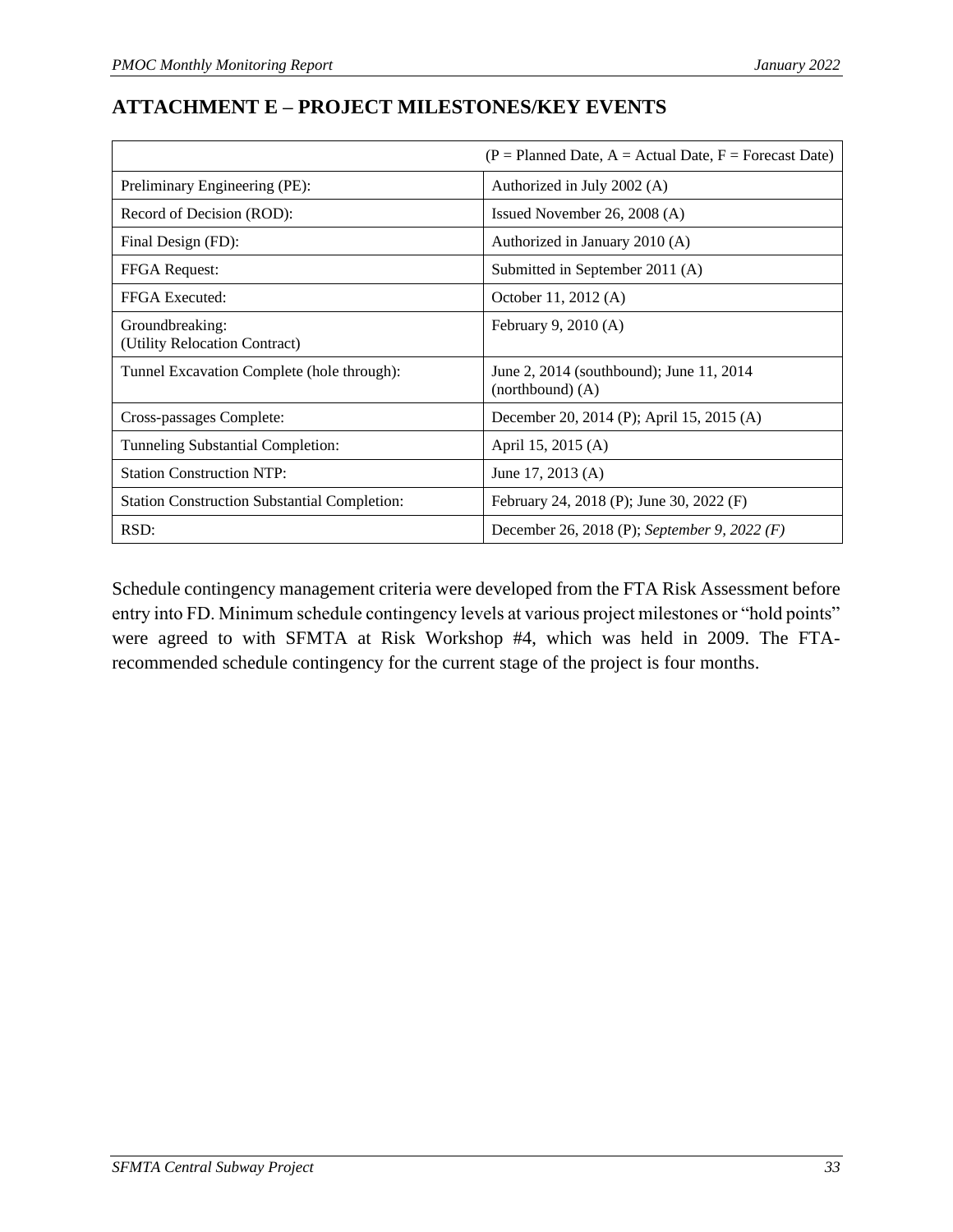# <span id="page-36-0"></span>**ATTACHMENT E – PROJECT MILESTONES/KEY EVENTS**

|                                                     | $(P =$ Planned Date, $A =$ Actual Date, $F =$ Forecast Date)     |
|-----------------------------------------------------|------------------------------------------------------------------|
| Preliminary Engineering (PE):                       | Authorized in July 2002 (A)                                      |
| Record of Decision (ROD):                           | Issued November 26, 2008 (A)                                     |
| Final Design (FD):                                  | Authorized in January 2010 (A)                                   |
| <b>FFGA</b> Request:                                | Submitted in September 2011 (A)                                  |
| FFGA Executed:                                      | October 11, 2012 (A)                                             |
| Groundbreaking:<br>(Utility Relocation Contract)    | February 9, 2010 (A)                                             |
| Tunnel Excavation Complete (hole through):          | June 2, 2014 (southbound); June 11, 2014<br>$(northbound)$ $(A)$ |
| Cross-passages Complete:                            | December 20, 2014 (P); April 15, 2015 (A)                        |
| Tunneling Substantial Completion:                   | April 15, 2015 (A)                                               |
| <b>Station Construction NTP:</b>                    | June 17, 2013 (A)                                                |
| <b>Station Construction Substantial Completion:</b> | February 24, 2018 (P); June 30, 2022 (F)                         |
| RSD:                                                | December 26, 2018 (P); September 9, 2022 (F)                     |

Schedule contingency management criteria were developed from the FTA Risk Assessment before entry into FD. Minimum schedule contingency levels at various project milestones or "hold points" were agreed to with SFMTA at Risk Workshop #4, which was held in 2009. The FTArecommended schedule contingency for the current stage of the project is four months.